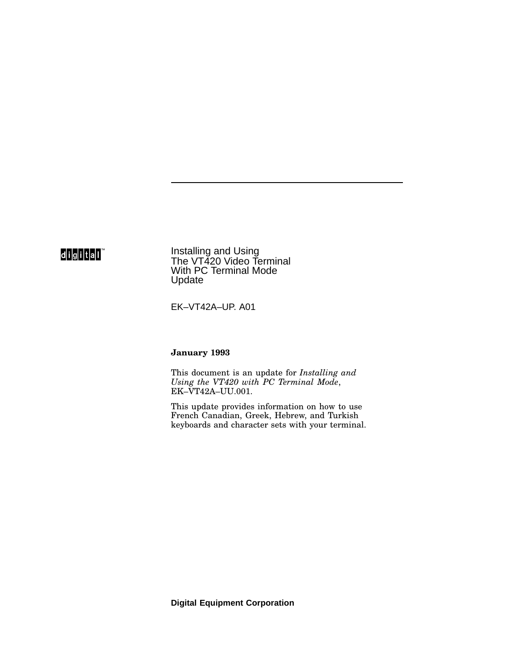## digital

Installing and Using The VT420 Video Terminal With PC Terminal Mode **Update** 

EK–VT42A–UP. A01

#### **January 1993**

This document is an update for *Installing and Using the VT420 with PC Terminal Mode*, EK–VT42A–UU.001.

This update provides information on how to use French Canadian, Greek, Hebrew, and Turkish keyboards and character sets with your terminal.

**Digital Equipment Corporation**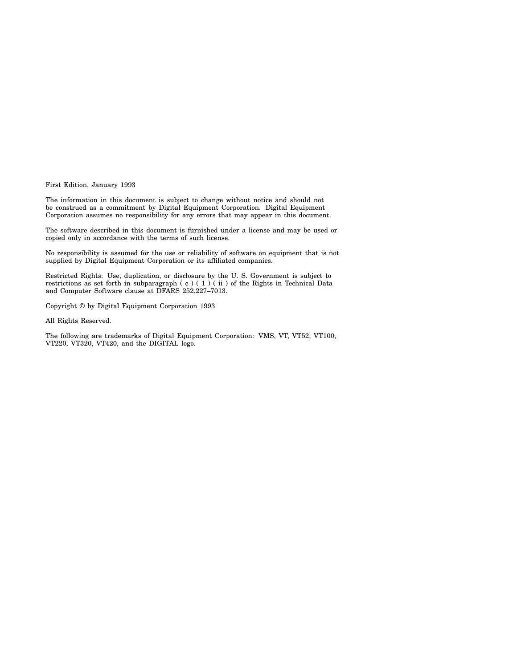First Edition, January 1993

The information in this document is subject to change without notice and should not be construed as a commitment by Digital Equipment Corporation. Digital Equipment Corporation assumes no responsibility for any errors that may appear in this document.

The software described in this document is furnished under a license and may be used or copied only in accordance with the terms of such license.

No responsibility is assumed for the use or reliability of software on equipment that is not supplied by Digital Equipment Corporation or its affiliated companies.

Restricted Rights: Use, duplication, or disclosure by the U. S. Government is subject to restrictions as set forth in subparagraph (c) (1) (ii) of the Rights in Technical Data and Computer Software clause at DFARS 252.227–7013.

Copyright © by Digital Equipment Corporation 1993

All Rights Reserved.

The following are trademarks of Digital Equipment Corporation: VMS, VT, VT52, VT100, VT220, VT320, VT420, and the DIGITAL logo.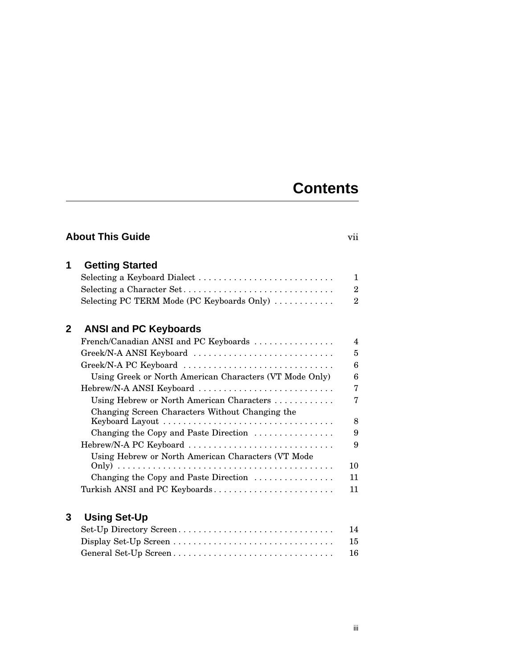# **Contents**

| <b>About This Guide</b><br>vii |                                                                     |                |
|--------------------------------|---------------------------------------------------------------------|----------------|
| 1                              | <b>Getting Started</b>                                              |                |
|                                | Selecting a Keyboard Dialect                                        | $\mathbf{1}$   |
|                                | Selecting a Character Set                                           | $\overline{2}$ |
|                                | Selecting PC TERM Mode (PC Keyboards Only)                          | $\overline{2}$ |
| $\overline{2}$                 | <b>ANSI and PC Keyboards</b>                                        |                |
|                                | French/Canadian ANSI and PC Keyboards                               | $\overline{4}$ |
|                                | Greek/N-A ANSI Keyboard                                             | 5              |
|                                | Greek/N-A PC Keyboard                                               | 6              |
|                                | Using Greek or North American Characters (VT Mode Only)             | 6              |
|                                | Hebrew/N-A ANSI Keyboard                                            | $\overline{7}$ |
|                                | Using Hebrew or North American Characters                           | 7              |
|                                | Changing Screen Characters Without Changing the                     |                |
|                                |                                                                     | 8              |
|                                | Changing the Copy and Paste Direction                               | 9              |
|                                | Hebrew/N-A PC Keyboard                                              | 9              |
|                                | Using Hebrew or North American Characters (VT Mode                  |                |
|                                |                                                                     | 10             |
|                                | Changing the Copy and Paste Direction $\ldots \ldots \ldots \ldots$ | 11             |
|                                | Turkish ANSI and PC Keyboards                                       | 11             |
| 3                              | <b>Using Set-Up</b>                                                 |                |
|                                | Set-Up Directory Screen                                             | 14             |
|                                |                                                                     | 15             |
|                                | General Set-Up Screen                                               | 16             |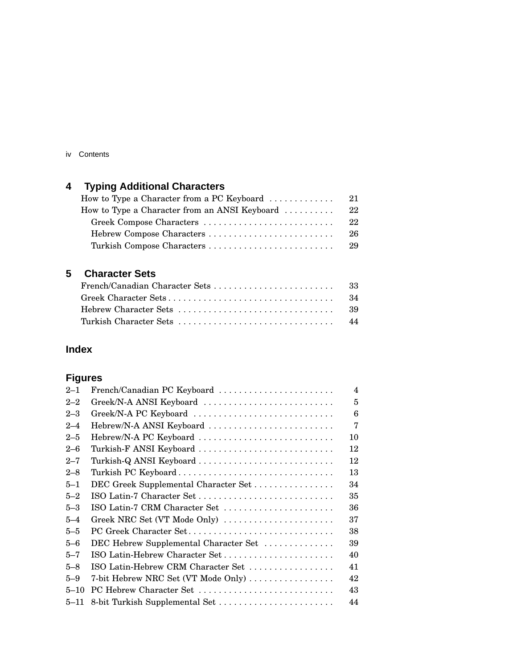#### iv Contents

# **4 Typing Additional Characters**

| How to Type a Character from a PC Keyboard $\ldots \ldots \ldots \ldots$ | 21  |
|--------------------------------------------------------------------------|-----|
| How to Type a Character from an ANSI Keyboard $\dots\dots\dots$          | 22  |
| Greek Compose Characters                                                 | 22  |
|                                                                          | 26  |
| Turkish Compose Characters                                               | -29 |
|                                                                          |     |

### **5 Character Sets**

## **Index**

## **Figures**

| $2 - 1$  | French/Canadian PC Keyboard           | $\overline{\mathbf{4}}$ |
|----------|---------------------------------------|-------------------------|
| $2 - 2$  | Greek/N-A ANSI Keyboard               | 5                       |
| $2 - 3$  | Greek/N-A PC Keyboard                 | 6                       |
| $2 - 4$  | Hebrew/N-A ANSI Keyboard              | 7                       |
| $2 - 5$  | Hebrew/N-A PC Keyboard                | 10                      |
| $2 - 6$  | Turkish-F ANSI Keyboard               | 12                      |
| $2 - 7$  | Turkish-Q ANSI Keyboard               | 12                      |
| $2 - 8$  | Turkish PC Keyboard                   | 13                      |
| $5 - 1$  | DEC Greek Supplemental Character Set  | 34                      |
| $5 - 2$  | ISO Latin-7 Character Set             | 35                      |
| $5 - 3$  | ISO Latin-7 CRM Character Set         | 36                      |
| $5 - 4$  | Greek NRC Set (VT Mode Only)          | 37                      |
| $5 - 5$  | PC Greek Character Set                | 38                      |
| $5 - 6$  | DEC Hebrew Supplemental Character Set | 39                      |
| $5 - 7$  | ISO Latin-Hebrew Character Set        | 40                      |
| $5 - 8$  | ISO Latin-Hebrew CRM Character Set    | 41                      |
| $5 - 9$  | 7-bit Hebrew NRC Set (VT Mode Only)   | 42                      |
| $5 - 10$ | PC Hebrew Character Set               | 43                      |
| $5 - 11$ | 8-bit Turkish Supplemental Set        | 44                      |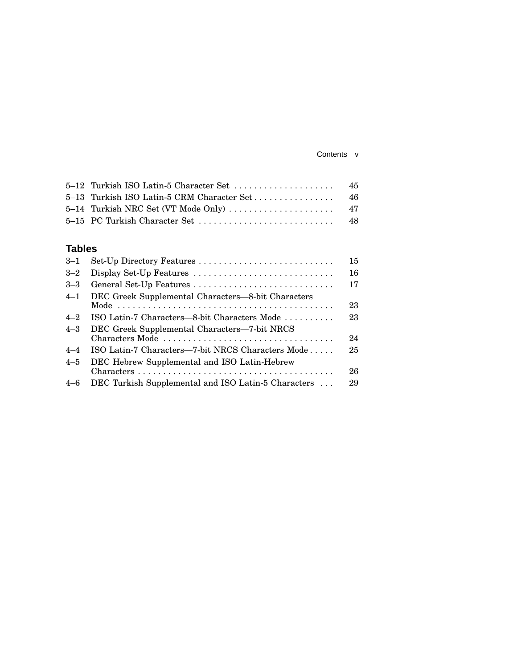#### Contents v

### **Tables**

| $3 - 1$ |                                                                 | 15 |
|---------|-----------------------------------------------------------------|----|
| $3 - 2$ | Display Set-Up Features                                         | 16 |
| $3 - 3$ | General Set-Up Features                                         | 17 |
| $4 - 1$ | DEC Greek Supplemental Characters-8-bit Characters              | 23 |
| $4 - 2$ | ISO Latin-7 Characters—8-bit Characters Mode                    | 23 |
| $4 - 3$ | DEC Greek Supplemental Characters-7-bit NRCS<br>Characters Mode | 24 |
| $4 - 4$ | ISO Latin-7 Characters-7-bit NRCS Characters Mode               | 25 |
| $4 - 5$ | DEC Hebrew Supplemental and ISO Latin-Hebrew                    |    |
|         |                                                                 | 26 |
| $4 - 6$ | DEC Turkish Supplemental and ISO Latin-5 Characters             | 29 |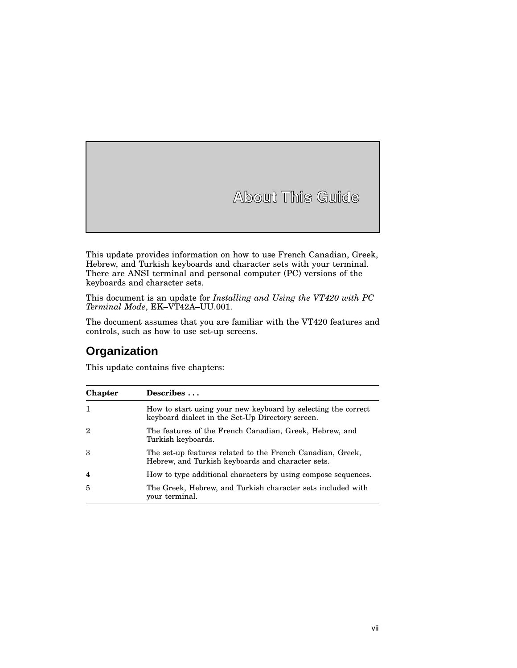# **About This Guide**

This update provides information on how to use French Canadian, Greek, Hebrew, and Turkish keyboards and character sets with your terminal. There are ANSI terminal and personal computer (PC) versions of the keyboards and character sets.

This document is an update for *Installing and Using the VT420 with PC Terminal Mode*, EK–VT42A–UU.001.

The document assumes that you are familiar with the VT420 features and controls, such as how to use set-up screens.

## **Organization**

This update contains five chapters:

| <b>Chapter</b> | Describes                                                                                                         |
|----------------|-------------------------------------------------------------------------------------------------------------------|
| $\mathbf{1}$   | How to start using your new keyboard by selecting the correct<br>keyboard dialect in the Set-Up Directory screen. |
| 2              | The features of the French Canadian, Greek, Hebrew, and<br>Turkish keyboards.                                     |
| 3              | The set-up features related to the French Canadian, Greek,<br>Hebrew, and Turkish keyboards and character sets.   |
| $\overline{4}$ | How to type additional characters by using compose sequences.                                                     |
| $\overline{5}$ | The Greek, Hebrew, and Turkish character sets included with<br>vour terminal.                                     |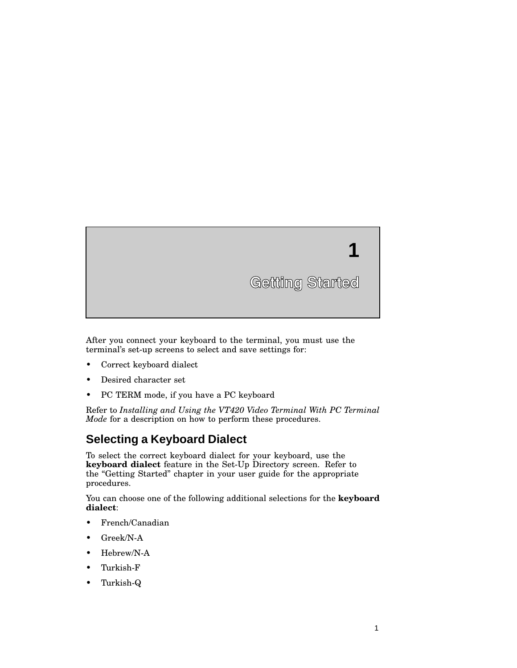

After you connect your keyboard to the terminal, you must use the terminal's set-up screens to select and save settings for:

- Correct keyboard dialect
- Desired character set
- PC TERM mode, if you have a PC keyboard

Refer to *Installing and Using the VT420 Video Terminal With PC Terminal Mode* for a description on how to perform these procedures.

## **Selecting a Keyboard Dialect**

To select the correct keyboard dialect for your keyboard, use the **keyboard dialect** feature in the Set-Up Directory screen. Refer to the "Getting Started" chapter in your user guide for the appropriate procedures.

You can choose one of the following additional selections for the **keyboard dialect**:

- French/Canadian
- Greek/N-A
- Hebrew/N-A
- Turkish-F
- Turkish-Q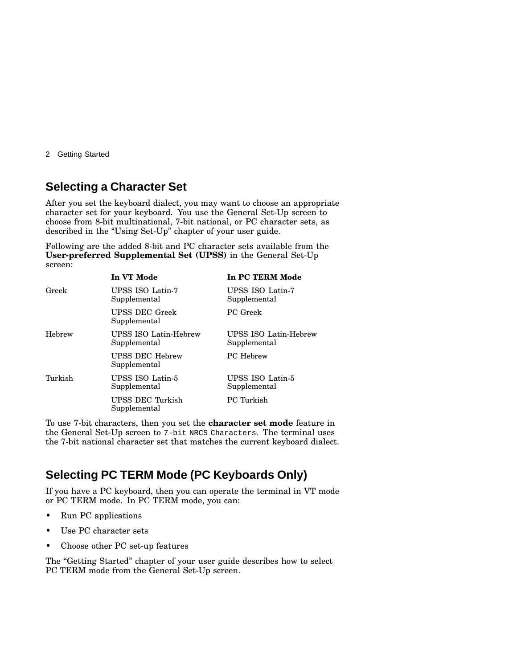2 Getting Started

### **Selecting a Character Set**

After you set the keyboard dialect, you may want to choose an appropriate character set for your keyboard. You use the General Set-Up screen to choose from 8-bit multinational, 7-bit national, or PC character sets, as described in the "Using Set-Up" chapter of your user guide.

Following are the added 8-bit and PC character sets available from the **User-preferred Supplemental Set (UPSS)** in the General Set-Up screen:

|         | In VT Mode                             | In PC TERM Mode                       |
|---------|----------------------------------------|---------------------------------------|
| Greek   | UPSS ISO Latin-7<br>Supplemental       | UPSS ISO Latin-7<br>Supplemental      |
|         | <b>UPSS DEC Greek</b><br>Supplemental  | PC Greek                              |
| Hebrew  | UPSS ISO Latin-Hebrew<br>Supplemental  | UPSS ISO Latin-Hebrew<br>Supplemental |
|         | <b>UPSS DEC Hebrew</b><br>Supplemental | <b>PC</b> Hebrew                      |
| Turkish | UPSS ISO Latin-5<br>Supplemental       | UPSS ISO Latin-5<br>Supplemental      |
|         | UPSS DEC Turkish<br>Supplemental       | PC Turkish                            |

To use 7-bit characters, then you set the **character set mode** feature in the General Set-Up screen to 7-bit NRCS Characters. The terminal uses the 7-bit national character set that matches the current keyboard dialect.

## **Selecting PC TERM Mode (PC Keyboards Only)**

If you have a PC keyboard, then you can operate the terminal in VT mode or PC TERM mode. In PC TERM mode, you can:

- Run PC applications
- Use PC character sets
- Choose other PC set-up features

The "Getting Started" chapter of your user guide describes how to select PC TERM mode from the General Set-Up screen.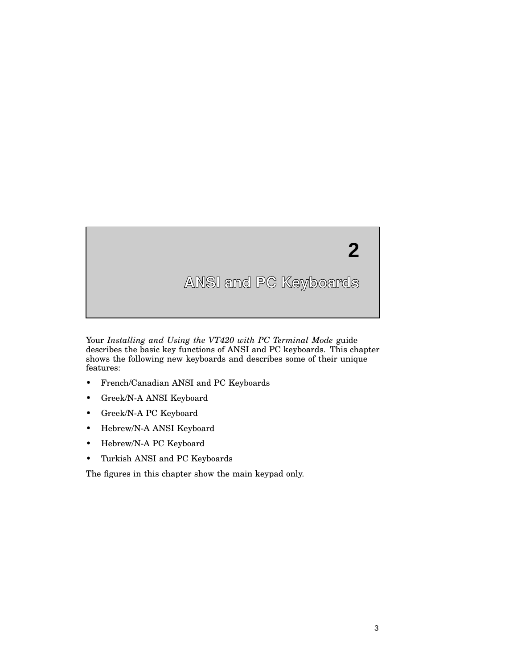

Your *Installing and Using the VT420 with PC Terminal Mode* guide describes the basic key functions of ANSI and PC keyboards. This chapter shows the following new keyboards and describes some of their unique features:

- French/Canadian ANSI and PC Keyboards
- Greek/N-A ANSI Keyboard
- Greek/N-A PC Keyboard
- Hebrew/N-A ANSI Keyboard
- Hebrew/N-A PC Keyboard
- Turkish ANSI and PC Keyboards

The figures in this chapter show the main keypad only.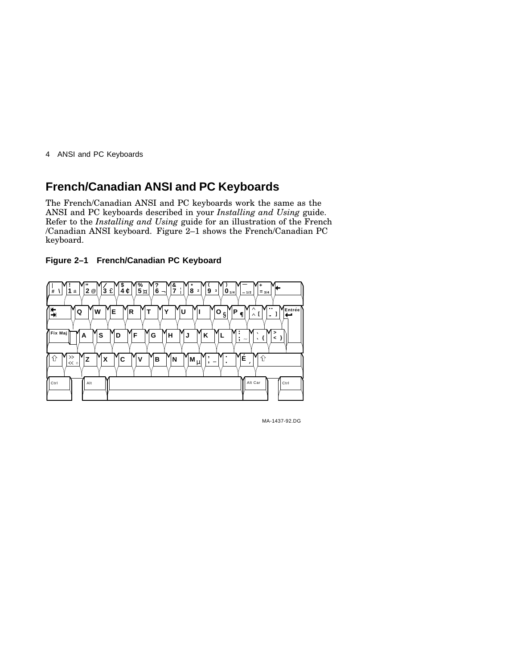## **French/Canadian ANSI and PC Keyboards**

The French/Canadian ANSI and PC keyboards work the same as the ANSI and PC keyboards described in your *Installing and Using* guide. Refer to the *Installing and Using* guide for an illustration of the French /Canadian ANSI keyboard. Figure 2–1 shows the French/Canadian PC keyboard.





MA-1437-92.DG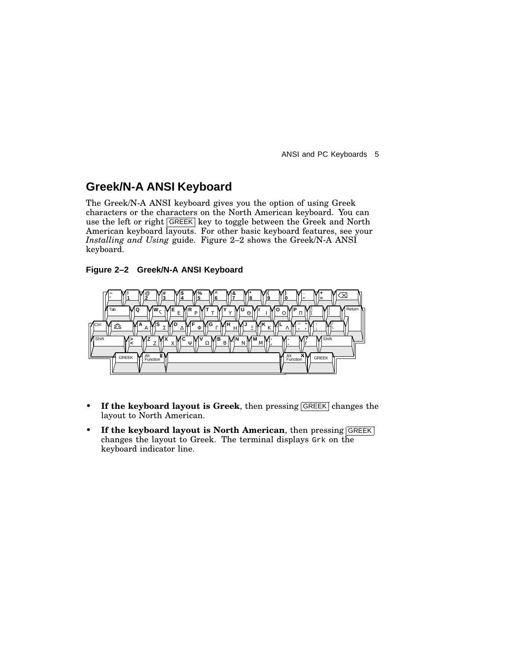### **Greek/N-A ANSI Keyboard**

The Greek/N-A ANSI keyboard gives you the option of using Greek characters or the characters on the North American keyboard. You can use the left or right GREEK key to toggle between the Greek and North American keyboard layouts. For other basic keyboard features, see your *Installing and Using* guide. Figure 2–2 shows the Greek/N-A ANSI keyboard.

#### **Figure 2–2 Greek/N-A ANSI Keyboard**



- If the keyboard layout is Greek, then pressing GREEK changes the layout to North American.
- **If the keyboard layout is North American**, then pressing GREEK changes the layout to Greek. The terminal displays Grk on the keyboard indicator line.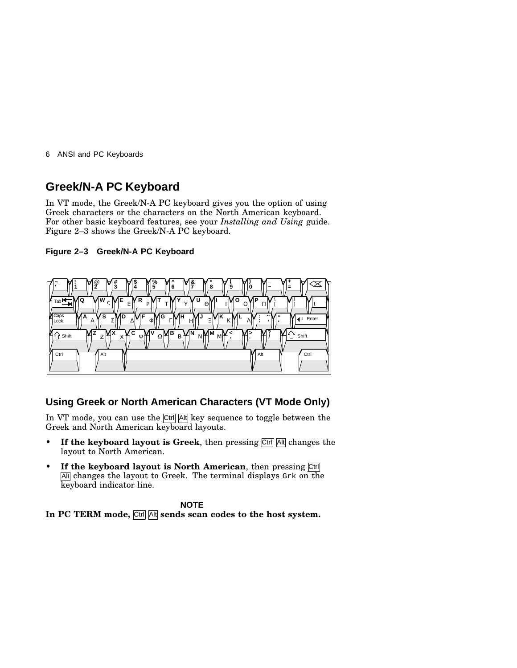## **Greek/N-A PC Keyboard**

In VT mode, the Greek/N-A PC keyboard gives you the option of using Greek characters or the characters on the North American keyboard. For other basic keyboard features, see your *Installing and Using* guide. Figure 2–3 shows the Greek/N-A PC keyboard.

#### **Figure 2–3 Greek/N-A PC Keyboard**



### **Using Greek or North American Characters (VT Mode Only)**

In VT mode, you can use the Ctrl Alt key sequence to toggle between the Greek and North American keyboard layouts.

- If the keyboard layout is Greek, then pressing  $\overline{C}$ trl Alt changes the layout to North American.
- **If the keyboard layout is North American**, then pressing Ctrl Alt changes the layout to Greek. The terminal displays Grk on the keyboard indicator line.

#### **NOTE**

**In PC TERM mode,** Ctrl Alt **sends scan codes to the host system.**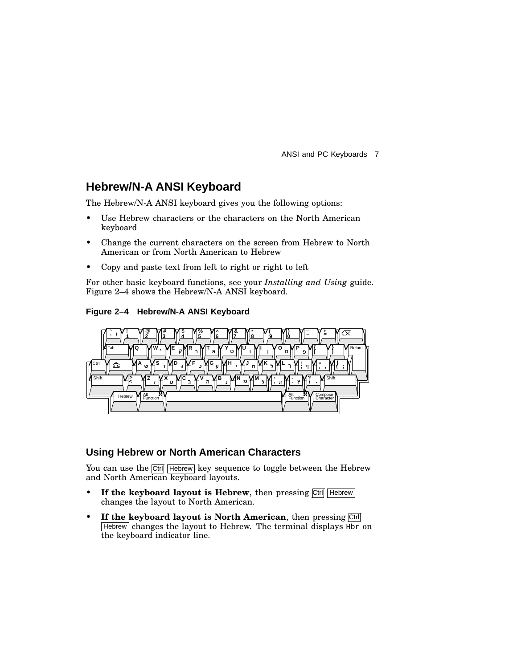## **Hebrew/N-A ANSI Keyboard**

The Hebrew/N-A ANSI keyboard gives you the following options:

- Use Hebrew characters or the characters on the North American keyboard
- Change the current characters on the screen from Hebrew to North American or from North American to Hebrew
- Copy and paste text from left to right or right to left

For other basic keyboard functions, see your *Installing and Using* guide. Figure 2–4 shows the Hebrew/N-A ANSI keyboard.

**Figure 2–4 Hebrew/N-A ANSI Keyboard**



### **Using Hebrew or North American Characters**

You can use the Ctrl Hebrew key sequence to toggle between the Hebrew and North American keyboard layouts.

- If the keyboard layout is Hebrew, then pressing Ctrl Hebrew changes the layout to North American.
- **If the keyboard layout is North American**, then pressing Ctrl Hebrew changes the layout to Hebrew. The terminal displays Hbr on the keyboard indicator line.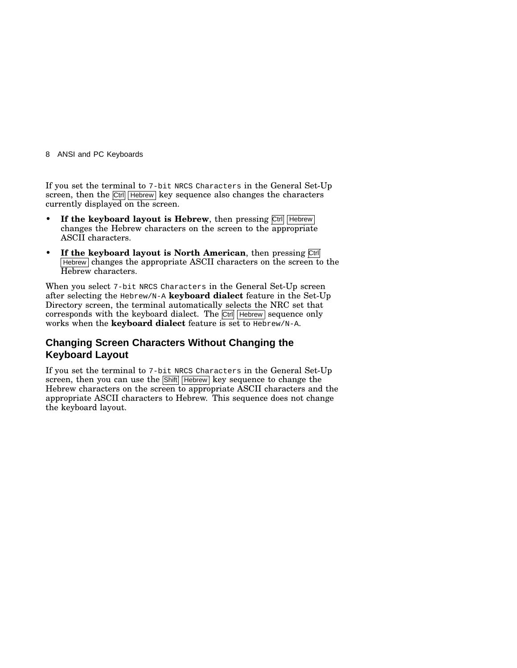If you set the terminal to 7-bit NRCS Characters in the General Set-Up screen, then the Ctrl Hebrew key sequence also changes the characters currently displayed on the screen.

- If the keyboard layout is Hebrew, then pressing Ctrl Hebrew changes the Hebrew characters on the screen to the appropriate ASCII characters.
- **If the keyboard layout is North American**, then pressing Ctrl  $H$  Hebrew changes the appropriate ASCII characters on the screen to the Hebrew characters.

When you select 7-bit NRCS Characters in the General Set-Up screen after selecting the Hebrew/N-A **keyboard dialect** feature in the Set-Up Directory screen, the terminal automatically selects the NRC set that corresponds with the keyboard dialect. The Ctrl Hebrew sequence only works when the **keyboard dialect** feature is set to Hebrew/N-A.

### **Changing Screen Characters Without Changing the Keyboard Layout**

If you set the terminal to 7-bit NRCS Characters in the General Set-Up screen, then you can use the Shift Hebrew key sequence to change the Hebrew characters on the screen to appropriate ASCII characters and the appropriate ASCII characters to Hebrew. This sequence does not change the keyboard layout.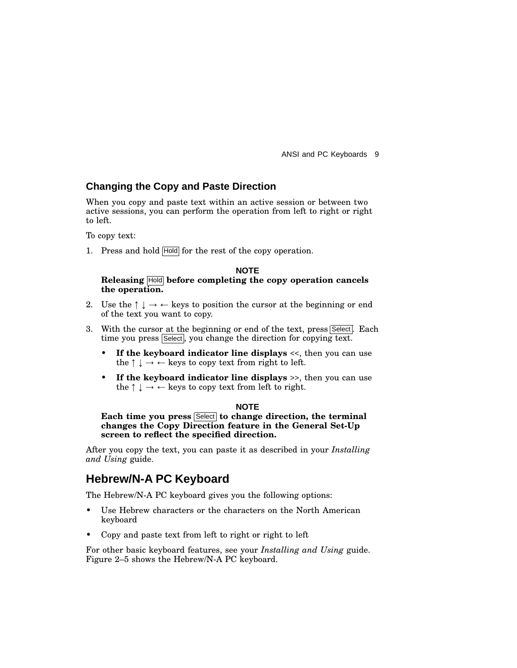### **Changing the Copy and Paste Direction**

When you copy and paste text within an active session or between two active sessions, you can perform the operation from left to right or right to left.

To copy text:

1. Press and hold Hold for the rest of the copy operation.

#### **NOTE Releasing** Hold **before completing the copy operation cancels the operation.**

- 2. Use the  $\uparrow \downarrow \rightarrow \leftarrow$  keys to position the cursor at the beginning or end of the text you want to copy.
- 3. With the cursor at the beginning or end of the text, press Select. Each time you press Select, you change the direction for copying text.
	- **If the keyboard indicator line displays** <<, then you can use the  $\uparrow \downarrow \rightarrow \leftarrow$  keys to copy text from right to left.
	- **If the keyboard indicator line displays** >>, then you can use the  $\uparrow \downarrow \rightarrow \leftarrow$  keys to copy text from left to right.

#### **NOTE**

**Each time you press** Select **to change direction, the terminal changes the Copy Direction feature in the General Set-Up screen to reflect the specified direction.**

After you copy the text, you can paste it as described in your *Installing and Using* guide.

### **Hebrew/N-A PC Keyboard**

The Hebrew/N-A PC keyboard gives you the following options:

- Use Hebrew characters or the characters on the North American keyboard
- Copy and paste text from left to right or right to left

For other basic keyboard features, see your *Installing and Using* guide. Figure 2–5 shows the Hebrew/N-A PC keyboard.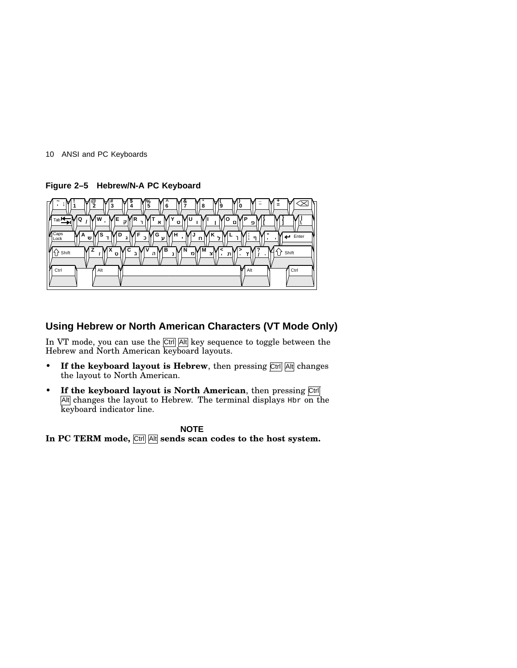10 ANSI and PC Keyboards

**Figure 2–5 Hebrew/N-A PC Keyboard**



### **Using Hebrew or North American Characters (VT Mode Only)**

In VT mode, you can use the Ctrl Alt key sequence to toggle between the Hebrew and North American keyboard layouts.

- If the keyboard layout is Hebrew, then pressing  $\overline{C}$ trl  $\overline{A}$ ttl changes the layout to North American.
- **If the keyboard layout is North American**, then pressing Ctrl Alt changes the layout to Hebrew. The terminal displays  $H$ br on the keyboard indicator line.

### **NOTE**

**In PC TERM mode,** Ctrl Alt **sends scan codes to the host system.**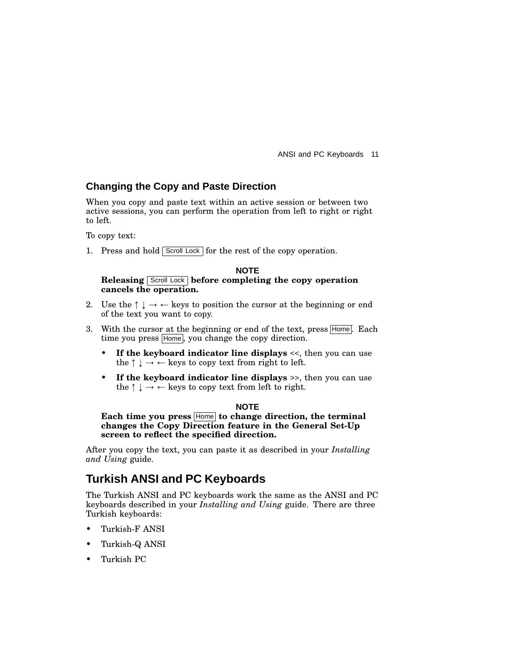### **Changing the Copy and Paste Direction**

When you copy and paste text within an active session or between two active sessions, you can perform the operation from left to right or right to left.

To copy text:

1. Press and hold Scroll Lock for the rest of the copy operation.

#### **NOTE Releasing** Scroll Lock **before completing the copy operation cancels the operation.**

- 2. Use the  $\uparrow \downarrow \rightarrow \leftarrow$  keys to position the cursor at the beginning or end of the text you want to copy.
- 3. With the cursor at the beginning or end of the text, press Home. Each time you press Home, you change the copy direction.
	- **If the keyboard indicator line displays** <<, then you can use the  $\uparrow \downarrow \rightarrow \leftarrow$  keys to copy text from right to left.
	- **If the keyboard indicator line displays** >>, then you can use the  $\uparrow \downarrow \rightarrow \leftarrow$  keys to copy text from left to right.

#### **NOTE**

**Each time you press** Home **to change direction, the terminal changes the Copy Direction feature in the General Set-Up screen to reflect the specified direction.**

After you copy the text, you can paste it as described in your *Installing and Using* guide.

### **Turkish ANSI and PC Keyboards**

The Turkish ANSI and PC keyboards work the same as the ANSI and PC keyboards described in your *Installing and Using* guide. There are three Turkish keyboards:

- Turkish-F ANSI
- Turkish-Q ANSI
- Turkish PC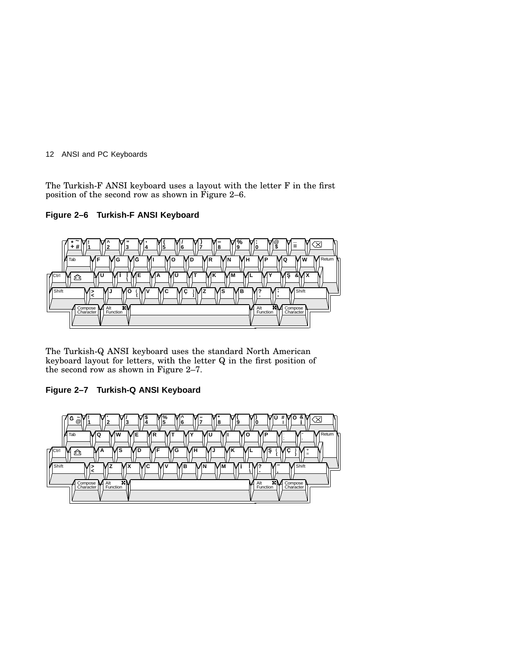The Turkish-F ANSI keyboard uses a layout with the letter F in the first position of the second row as shown in Figure 2–6.

**Figure 2–6 Turkish-F ANSI Keyboard**



The Turkish-Q ANSI keyboard uses the standard North American keyboard layout for letters, with the letter Q in the first position of the second row as shown in Figure 2–7.

### **Figure 2–7 Turkish-Q ANSI Keyboard**

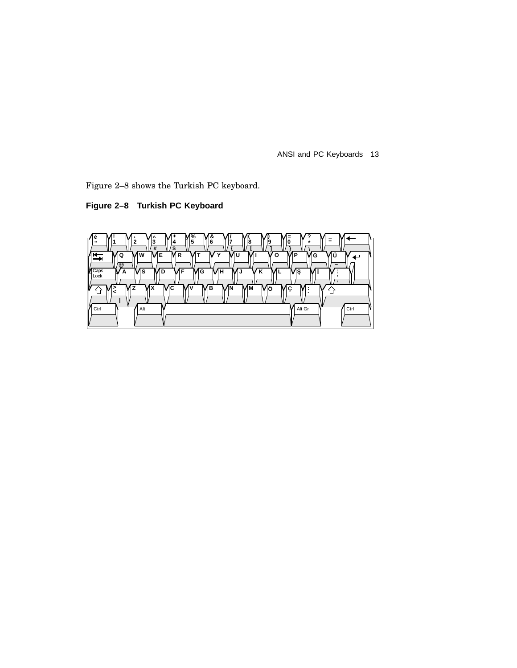Figure 2–8 shows the Turkish PC keyboard.

**Figure 2–8 Turkish PC Keyboard**

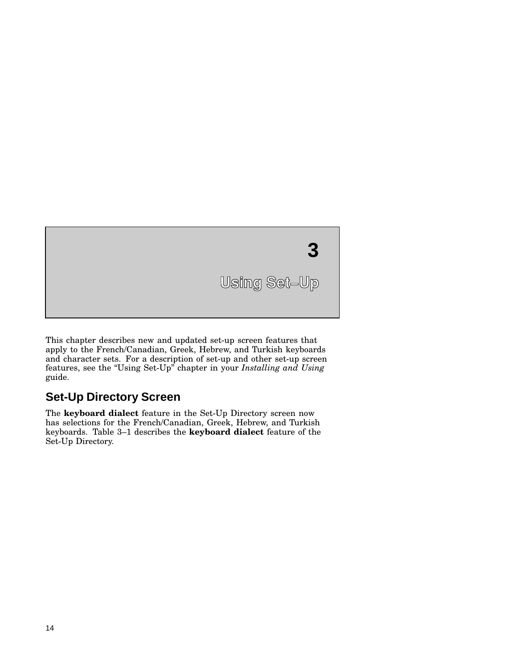

This chapter describes new and updated set-up screen features that apply to the French/Canadian, Greek, Hebrew, and Turkish keyboards and character sets. For a description of set-up and other set-up screen features, see the ''Using Set-Up'' chapter in your *Installing and Using* guide.

## **Set-Up Directory Screen**

The **keyboard dialect** feature in the Set-Up Directory screen now has selections for the French/Canadian, Greek, Hebrew, and Turkish keyboards. Table 3–1 describes the **keyboard dialect** feature of the Set-Up Directory.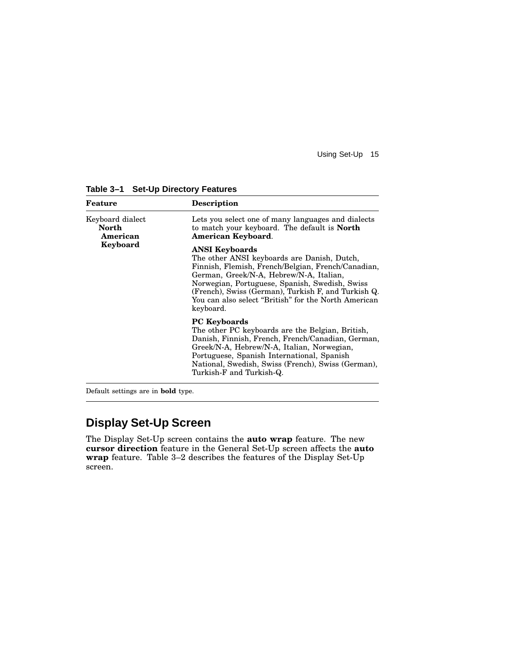| Feature                               | <b>Description</b>                                                                                                                                                                                                                                                                                                                                  |  |
|---------------------------------------|-----------------------------------------------------------------------------------------------------------------------------------------------------------------------------------------------------------------------------------------------------------------------------------------------------------------------------------------------------|--|
| Keyboard dialect<br>North<br>American | Lets you select one of many languages and dialects<br>to match your keyboard. The default is <b>North</b><br>American Keyboard.                                                                                                                                                                                                                     |  |
| Keyboard                              | <b>ANSI Keyboards</b><br>The other ANSI keyboards are Danish, Dutch,<br>Finnish, Flemish, French/Belgian, French/Canadian,<br>German, Greek/N-A, Hebrew/N-A, Italian,<br>Norwegian, Portuguese, Spanish, Swedish, Swiss<br>(French), Swiss (German), Turkish F, and Turkish Q.<br>You can also select "British" for the North American<br>keyboard. |  |
|                                       | <b>PC</b> Keyboards<br>The other PC keyboards are the Belgian, British,<br>Danish, Finnish, French, French/Canadian, German,<br>Greek/N-A, Hebrew/N-A, Italian, Norwegian,<br>Portuguese, Spanish International, Spanish<br>National, Swedish, Swiss (French), Swiss (German),<br>Turkish-F and Turkish-Q.                                          |  |

**Table 3–1 Set-Up Directory Features**

Default settings are in **bold** type.

## **Display Set-Up Screen**

The Display Set-Up screen contains the **auto wrap** feature. The new **cursor direction** feature in the General Set-Up screen affects the **auto wrap** feature. Table 3–2 describes the features of the Display Set-Up screen.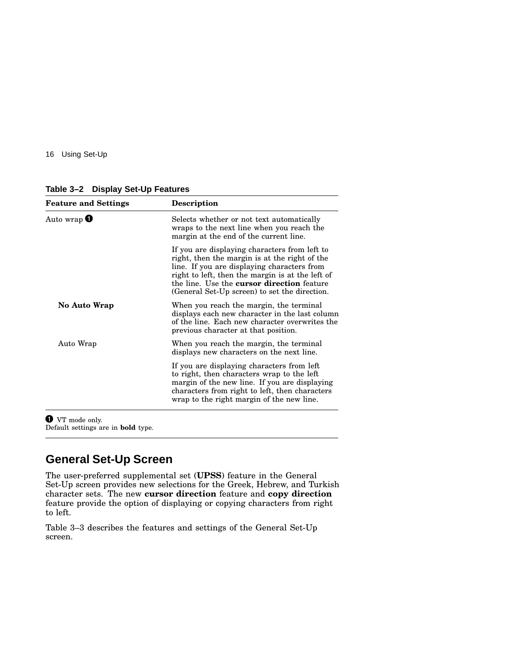**Table 3–2 Display Set-Up Features**

| <b>Feature and Settings</b> | <b>Description</b>                                                                                                                                                                                                                                                                                      |  |
|-----------------------------|---------------------------------------------------------------------------------------------------------------------------------------------------------------------------------------------------------------------------------------------------------------------------------------------------------|--|
| Auto wrap $\bm{\mathbb{U}}$ | Selects whether or not text automatically<br>wraps to the next line when you reach the<br>margin at the end of the current line.                                                                                                                                                                        |  |
|                             | If you are displaying characters from left to<br>right, then the margin is at the right of the<br>line. If you are displaying characters from<br>right to left, then the margin is at the left of<br>the line. Use the <b>cursor direction</b> feature<br>(General Set-Up screen) to set the direction. |  |
| <b>No Auto Wrap</b>         | When you reach the margin, the terminal<br>displays each new character in the last column<br>of the line. Each new character overwrites the<br>previous character at that position.                                                                                                                     |  |
| Auto Wrap                   | When you reach the margin, the terminal<br>displays new characters on the next line.                                                                                                                                                                                                                    |  |
|                             | If you are displaying characters from left<br>to right, then characters wrap to the left<br>margin of the new line. If you are displaying<br>characters from right to left, then characters<br>wrap to the right margin of the new line.                                                                |  |

**O** VT mode only.

Default settings are in **bold** type.

### **General Set-Up Screen**

The user-preferred supplemental set (**UPSS**) feature in the General Set-Up screen provides new selections for the Greek, Hebrew, and Turkish character sets. The new **cursor direction** feature and **copy direction** feature provide the option of displaying or copying characters from right to left.

Table 3–3 describes the features and settings of the General Set-Up screen.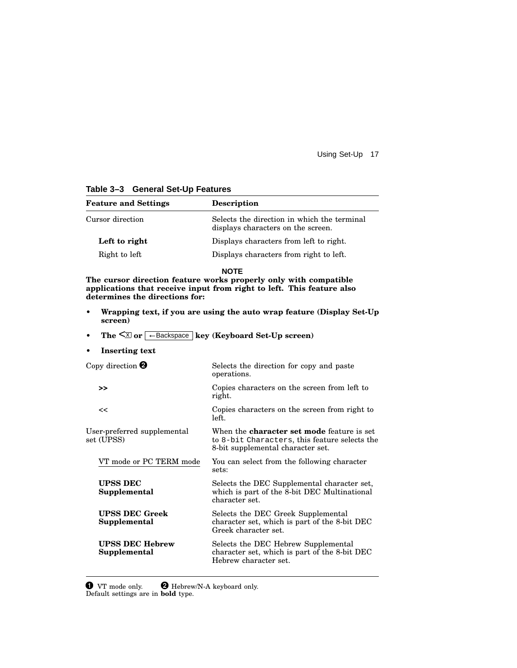| <b>Feature and Settings</b>                                                                                          | <b>Description</b>                                                                                                                                       |  |
|----------------------------------------------------------------------------------------------------------------------|----------------------------------------------------------------------------------------------------------------------------------------------------------|--|
| Cursor direction                                                                                                     | Selects the direction in which the terminal<br>displays characters on the screen.                                                                        |  |
| Left to right                                                                                                        | Displays characters from left to right.                                                                                                                  |  |
| Right to left                                                                                                        | Displays characters from right to left.                                                                                                                  |  |
| determines the directions for:                                                                                       | <b>NOTE</b><br>The cursor direction feature works properly only with compatible<br>applications that receive input from right to left. This feature also |  |
| Wrapping text, if you are using the auto wrap feature (Display Set-Up)<br>screen)                                    |                                                                                                                                                          |  |
| The $\overline{\leq}$ or $\overline{\left(-\frac{\text{Backspace}}{\text{key}}\right)}$ key (Keyboard Set-Up screen) |                                                                                                                                                          |  |
| <b>Inserting text</b>                                                                                                |                                                                                                                                                          |  |
| Copy direction $\boldsymbol{Q}$                                                                                      | Selects the direction for copy and paste<br>operations.                                                                                                  |  |
| >>                                                                                                                   | Copies characters on the screen from left to<br>right.                                                                                                   |  |
| <<                                                                                                                   | Copies characters on the screen from right to<br>left.                                                                                                   |  |
| User-preferred supplemental<br>set (UPSS)                                                                            | When the <b>character set mode</b> feature is set<br>to 8-bit Characters, this feature selects the<br>8-bit supplemental character set.                  |  |
| VT mode or PC TERM mode                                                                                              | You can select from the following character<br>sets:                                                                                                     |  |
| <b>UPSS DEC</b><br>Supplemental                                                                                      | Selects the DEC Supplemental character set,<br>which is part of the 8-bit DEC Multinational<br>character set.                                            |  |
| <b>UPSS DEC Greek</b><br>Supplemental                                                                                | Selects the DEC Greek Supplemental<br>character set, which is part of the 8-bit DEC<br>Greek character set.                                              |  |
| <b>UPSS DEC Hebrew</b><br>Supplemental                                                                               | Selects the DEC Hebrew Supplemental<br>character set, which is part of the 8-bit DEC<br>Hebrew character set.                                            |  |

### **Table 3–3 General Set-Up Features**

**O** VT mode only. **Q** Hebrew/N-A keyboard only. Default settings are in **bold** type.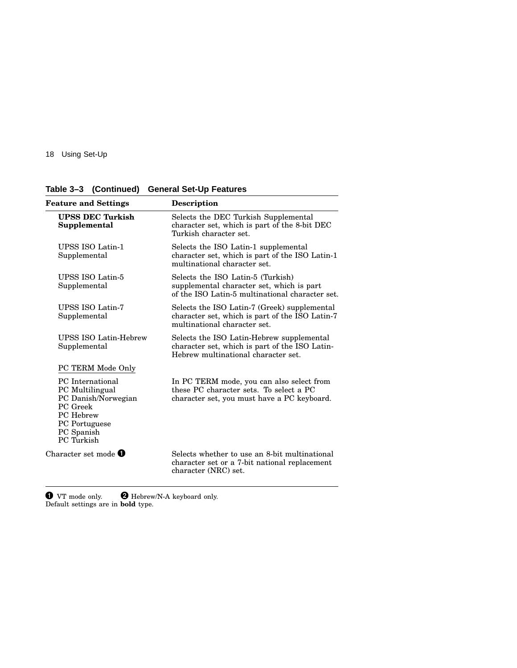|  | Table 3-3 (Continued) General Set-Up Features |
|--|-----------------------------------------------|
|  |                                               |

| Feature and Settings                                                                                                                    | Description                                                                                                                         |  |  |
|-----------------------------------------------------------------------------------------------------------------------------------------|-------------------------------------------------------------------------------------------------------------------------------------|--|--|
| <b>UPSS DEC Turkish</b><br>Supplemental                                                                                                 | Selects the DEC Turkish Supplemental<br>character set, which is part of the 8-bit DEC<br>Turkish character set.                     |  |  |
| UPSS ISO Latin-1<br>Supplemental                                                                                                        | Selects the ISO Latin-1 supplemental<br>character set, which is part of the ISO Latin-1<br>multinational character set.             |  |  |
| UPSS ISO Latin-5<br>Supplemental                                                                                                        | Selects the ISO Latin-5 (Turkish)<br>supplemental character set, which is part<br>of the ISO Latin-5 multinational character set.   |  |  |
| UPSS ISO Latin-7<br>Supplemental                                                                                                        | Selects the ISO Latin-7 (Greek) supplemental<br>character set, which is part of the ISO Latin-7<br>multinational character set.     |  |  |
| <b>UPSS ISO Latin-Hebrew</b><br>Supplemental                                                                                            | Selects the ISO Latin-Hebrew supplemental<br>character set, which is part of the ISO Latin-<br>Hebrew multinational character set.  |  |  |
| PC TERM Mode Only                                                                                                                       |                                                                                                                                     |  |  |
| <b>PC</b> International<br>PC Multilingual<br>PC Danish/Norwegian<br>PC Greek<br>PC Hebrew<br>PC Portuguese<br>PC Spanish<br>PC Turkish | In PC TERM mode, you can also select from<br>these PC character sets. To select a PC<br>character set, you must have a PC keyboard. |  |  |
| Character set mode $\boldsymbol{0}$                                                                                                     | Selects whether to use an 8-bit multinational<br>character set or a 7-bit national replacement<br>character (NRC) set.              |  |  |
|                                                                                                                                         |                                                                                                                                     |  |  |

**O** VT mode only. **Q** Hebrew/N-A keyboard only. Default settings are in **bold** type.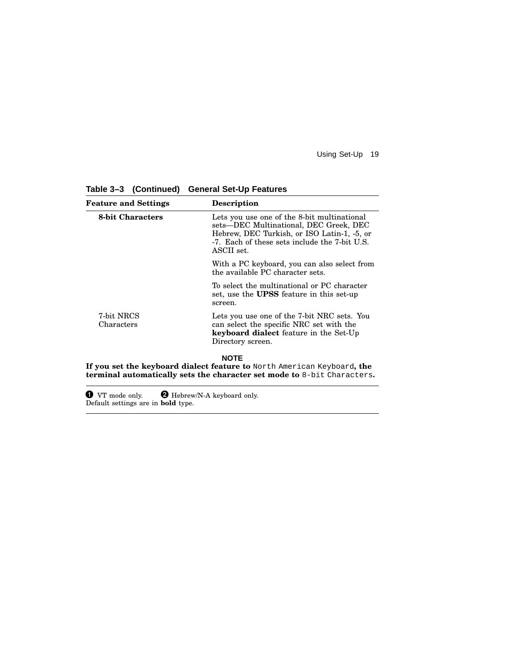| <b>Feature and Settings</b> | <b>Description</b>                                                                                                                                                                                  |
|-----------------------------|-----------------------------------------------------------------------------------------------------------------------------------------------------------------------------------------------------|
| <b>8-bit Characters</b>     | Lets you use one of the 8-bit multinational<br>sets—DEC Multinational, DEC Greek, DEC<br>Hebrew, DEC Turkish, or ISO Latin-1, -5, or<br>-7. Each of these sets include the 7-bit U.S.<br>ASCII set. |
|                             | With a PC keyboard, you can also select from<br>the available PC character sets.                                                                                                                    |
|                             | To select the multinational or PC character<br>set, use the <b>UPSS</b> feature in this set-up<br>screen.                                                                                           |
| 7-bit NRCS<br>Characters    | Lets you use one of the 7-bit NRC sets. You<br>can select the specific NRC set with the<br>keyboard dialect feature in the Set-Up<br>Directory screen.                                              |
|                             | <b>NOTE</b><br>If you set the keyboard dialect feature to North American Keyboard, the<br><b>terminal automatically sets the character set mode to 8-bit Characters.</b>                            |

**Table 3–3 (Continued) General Set-Up Features**

**O** VT mode only. **Q** Hebrew/N-A keyboard only. Default settings are in **bold** type.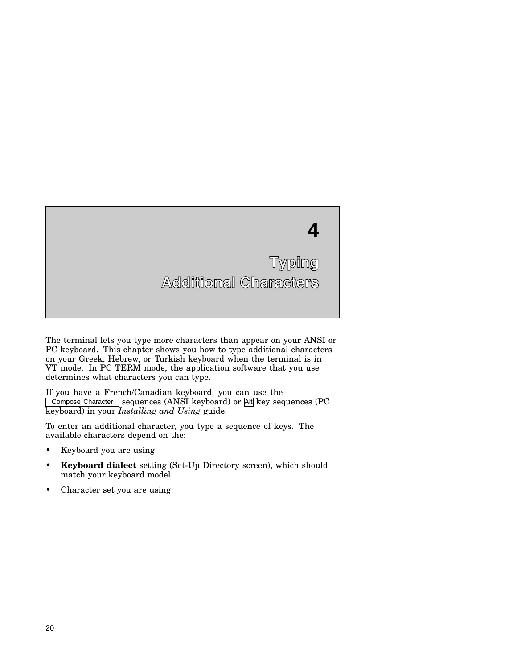

The terminal lets you type more characters than appear on your ANSI or PC keyboard. This chapter shows you how to type additional characters on your Greek, Hebrew, or Turkish keyboard when the terminal is in VT mode. In PC TERM mode, the application software that you use determines what characters you can type.

If you have a French/Canadian keyboard, you can use the Compose Character sequences (ANSI keyboard) or Alt key sequences (PC keyboard) in your *Installing and Using* guide.

To enter an additional character, you type a sequence of keys. The available characters depend on the:

- Keyboard you are using
- **Keyboard dialect** setting (Set-Up Directory screen), which should match your keyboard model
- Character set you are using

**4**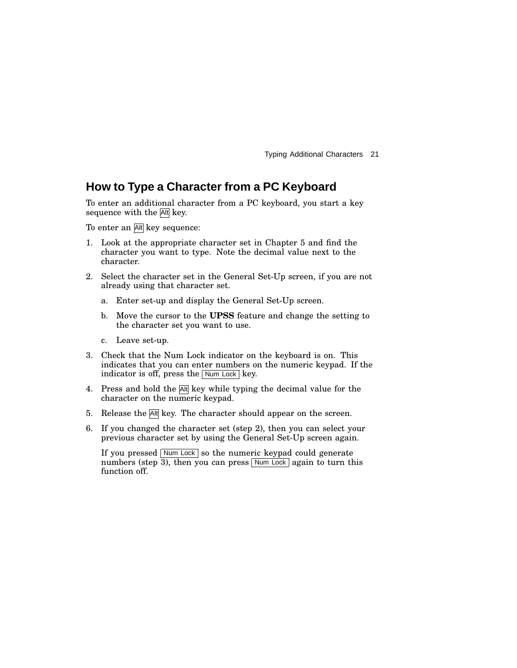### **How to Type a Character from a PC Keyboard**

To enter an additional character from a PC keyboard, you start a key sequence with the Alt key.

To enter an Alt key sequence:

- 1. Look at the appropriate character set in Chapter 5 and find the character you want to type. Note the decimal value next to the character.
- 2. Select the character set in the General Set-Up screen, if you are not already using that character set.
	- a. Enter set-up and display the General Set-Up screen.
	- b. Move the cursor to the **UPSS** feature and change the setting to the character set you want to use.
	- c. Leave set-up.
- 3. Check that the Num Lock indicator on the keyboard is on. This indicates that you can enter numbers on the numeric keypad. If the indicator is off, press the  $\sqrt{\frac{N_{\text{um}}}{N_{\text{u}}}}$  key.
- 4. Press and hold the A<sup>tt</sup> key while typing the decimal value for the character on the numeric keypad.
- 5. Release the  $\overline{At}$  key. The character should appear on the screen.
- 6. If you changed the character set (step 2), then you can select your previous character set by using the General Set-Up screen again.

If you pressed  $\boxed{\text{Num Lock}}$  so the numeric keypad could generate numbers (step  $\overline{3}$ ), then you can press Num Lock again to turn this function off.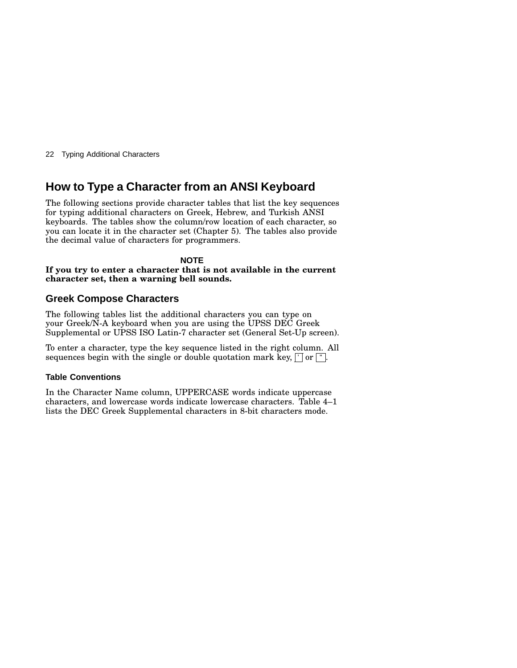### **How to Type a Character from an ANSI Keyboard**

The following sections provide character tables that list the key sequences for typing additional characters on Greek, Hebrew, and Turkish ANSI keyboards. The tables show the column/row location of each character, so you can locate it in the character set (Chapter 5). The tables also provide the decimal value of characters for programmers.

**NOTE If you try to enter a character that is not available in the current character set, then a warning bell sounds.**

### **Greek Compose Characters**

The following tables list the additional characters you can type on your Greek/N-A keyboard when you are using the UPSS DEC Greek Supplemental or UPSS ISO Latin-7 character set (General Set-Up screen).

To enter a character, type the key sequence listed in the right column. All sequences begin with the single or double quotation mark key,  $\lceil \cdot \rceil$  or  $\lceil \cdot \rceil$ .

#### **Table Conventions**

In the Character Name column, UPPERCASE words indicate uppercase characters, and lowercase words indicate lowercase characters. Table 4–1 lists the DEC Greek Supplemental characters in 8-bit characters mode.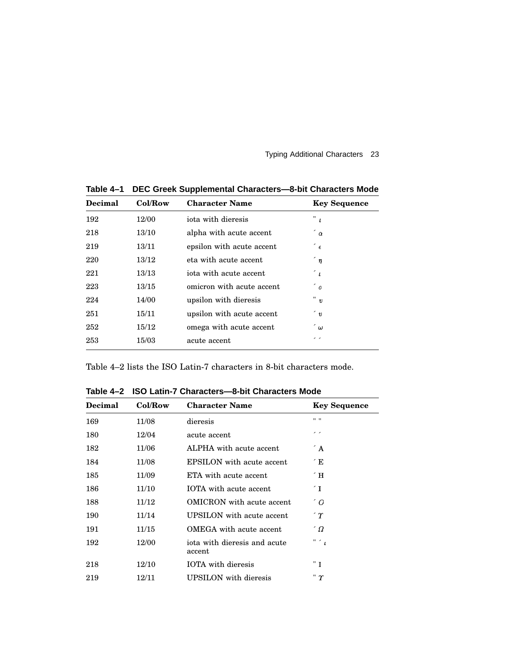| <b>Decimal</b> | Col/Row | <b>Character Name</b>     | <b>Key Sequence</b>     |  |
|----------------|---------|---------------------------|-------------------------|--|
| 192            | 12/00   | iota with dieresis        | $^{\prime\prime}$ $t^-$ |  |
| 218            | 13/10   | alpha with acute accent   | $\alpha$                |  |
| 219            | 13/11   | epsilon with acute accent | $\epsilon$              |  |
| 220            | 13/12   | eta with acute accent     | $\hat{\eta}$            |  |
| 221            | 13/13   | iota with acute accent    | $\hat{\phantom{a}}$     |  |
| 223            | 13/15   | omicron with acute accent | $\degree$ 0             |  |
| 224            | 14/00   | upsilon with dieresis     | "v                      |  |
| 251            | 15/11   | upsilon with acute accent | $\degree v$             |  |
| 252            | 15/12   | omega with acute accent   | ້ພ                      |  |
| 253            | 15/03   | acute accent              | , ,                     |  |
|                |         |                           |                         |  |

**Table 4–1 DEC Greek Supplemental Characters—8-bit Characters Mode**

Table 4–2 lists the ISO Latin-7 characters in 8-bit characters mode.

**Table 4–2 ISO Latin-7 Characters—8-bit Characters Mode**

| Col/Row<br><b>Decimal</b> |       | <b>Character Name</b>                  | <b>Key Sequence</b>  |  |  |
|---------------------------|-------|----------------------------------------|----------------------|--|--|
| 169                       | 11/08 | dieresis                               | $11 - 11$            |  |  |
| 180                       | 12/04 | acute accent                           | , ,                  |  |  |
| 182                       | 11/06 | ALPHA with acute accent                | $\Delta$             |  |  |
| 184                       | 11/08 | EPSILON with acute accent              | ΄E                   |  |  |
| 185                       | 11/09 | ETA with acute accent                  | $\hat{}$ H           |  |  |
| 186                       | 11/10 | IOTA with acute accent                 | $\mathbf{I}$         |  |  |
| 188                       | 11/12 | <b>OMICRON</b> with acute accent       | $^{\prime}$ O        |  |  |
| 190                       | 11/14 | UPSILON with acute accent              | $\hat{r}$            |  |  |
| 191                       | 11/15 | OMEGA with acute accent                | $^{\prime}$ $\Omega$ |  |  |
| 192                       | 12/00 | iota with dieresis and acute<br>accent | " $\leq$             |  |  |
| 218                       | 12/10 | <b>IOTA</b> with dieresis              | " T                  |  |  |
| 219                       | 12/11 | UPSILON with dieresis                  | " γ                  |  |  |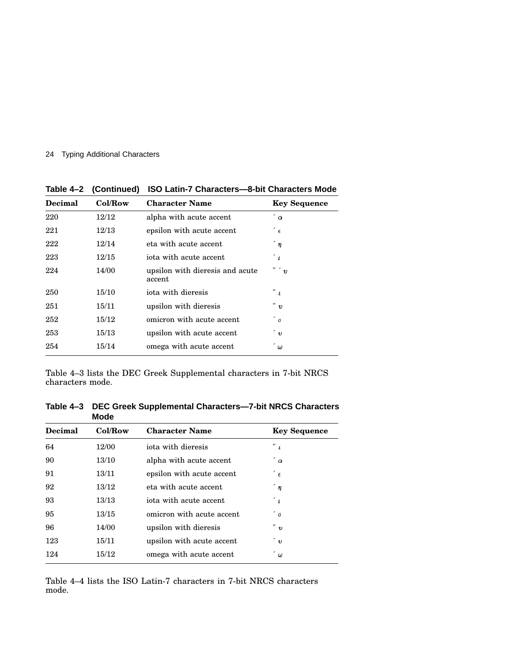| <b>Decimal</b> | Col/Row | <b>Character Name</b>                     | <b>Key Sequence</b> |
|----------------|---------|-------------------------------------------|---------------------|
| 220            | 12/12   | alpha with acute accent                   | $\alpha$            |
| 221            | 12/13   | epsilon with acute accent                 | $\epsilon$          |
| 222            | 12/14   | eta with acute accent                     | $\hat{\eta}$        |
| 223            | 12/15   | iota with acute accent                    | $\overline{L}$      |
| 224            | 14/00   | upsilon with dieresis and acute<br>accent | " $v$               |
| 250            | 15/10   | iota with dieresis                        | " 1                 |
| 251            | 15/11   | upsilon with dieresis                     | " ข                 |
| 252            | 15/12   | omicron with acute accent                 | $\degree$ 0         |
| 253            | 15/13   | upsilon with acute accent                 | $\degree v$         |
| 254            | 15/14   | omega with acute accent                   | ້ພ                  |

**Table 4–2 (Continued) ISO Latin-7 Characters—8-bit Characters Mode**

Table 4–3 lists the DEC Greek Supplemental characters in 7-bit NRCS characters mode.

**Table 4–3 DEC Greek Supplemental Characters—7-bit NRCS Characters Mode**

| Decimal<br>Col/Row |       | <b>Character Name</b>     | <b>Key Sequence</b> |
|--------------------|-------|---------------------------|---------------------|
| 64                 | 12/00 | iota with dieresis        | $\ ^{n}$ $_{L}$     |
| 90                 | 13/10 | alpha with acute accent   | $\alpha$            |
| 91                 | 13/11 | epsilon with acute accent | $\epsilon$          |
| 92                 | 13/12 | eta with acute accent     | $\hat{q}$           |
| 93                 | 13/13 | iota with acute accent    | $\hat{\phantom{a}}$ |
| 95                 | 13/15 | omicron with acute accent | $\degree$ 0         |
| 96                 | 14/00 | upsilon with dieresis     | " ข                 |
| 123                | 15/11 | upsilon with acute accent | ัข                  |
| 124                | 15/12 | omega with acute accent   | $\omega$            |

Table 4–4 lists the ISO Latin-7 characters in 7-bit NRCS characters mode.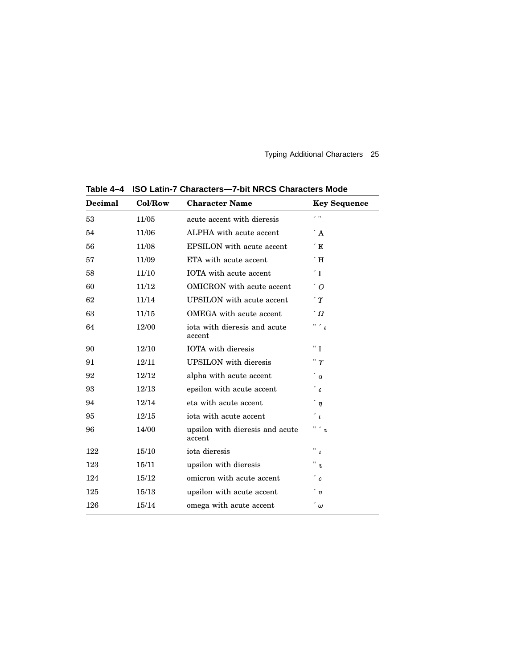| <b>Decimal</b> | Col/Row | <b>Character Name</b>                              | <b>Key Sequence</b>       |
|----------------|---------|----------------------------------------------------|---------------------------|
| 53             | 11/05   | acute accent with dieresis                         | z. n                      |
| 54             | 11/06   | ALPHA with acute accent                            | $\angle$ A                |
| 56             | 11/08   | <b>EPSILON</b> with acute accent                   | $\sqrt{E}$                |
| 57             | 11/09   | ETA with acute accent                              | $\sqrt{H}$                |
| 58             | 11/10   | IOTA with acute accent                             | $\mathcal{L}$ T           |
| 60             | 11/12   | OMICRON with acute accent                          | $\degree$ O               |
| 62             | 11/14   | UPSILON with acute accent                          | $\gamma$                  |
| 63             | 11/15   | OMEGA with acute accent                            | $\hat{a}$                 |
| 64             | 12/00   | iota with dieresis and acute<br>accent             | " '                       |
| 90             | 12/10   | <b>IOTA</b> with dieresis                          | "I"                       |
| 91             | 12/11   | <b>UPSILON</b> with dieresis                       | " $r$                     |
| 92             | 12/12   | alpha with acute accent                            | $\alpha$                  |
| 93             | 12/13   | epsilon with acute accent                          | $^\prime$ $\epsilon$      |
| 94             | 12/14   | eta with acute accent                              | $\hat{\eta}$              |
| 95             | 12/15   | iota with acute accent                             | $\leq$                    |
| 96             | 14/00   | " ' v<br>upsilon with dieresis and acute<br>accent |                           |
| 122            | 15/10   | iota dieresis                                      | $\ ^{\shortparallel }\ t$ |
| 123            | 15/11   | upsilon with dieresis                              |                           |
| 124            | 15/12   | omicron with acute accent                          | $^\prime$ $_{0}$          |
| 125            | 15/13   | upsilon with acute accent                          | $^{\prime}$ v             |
| 126            | 15/14   | $\hat{\phantom{a}}$<br>omega with acute accent     |                           |

**Table 4–4 ISO Latin-7 Characters—7-bit NRCS Characters Mode**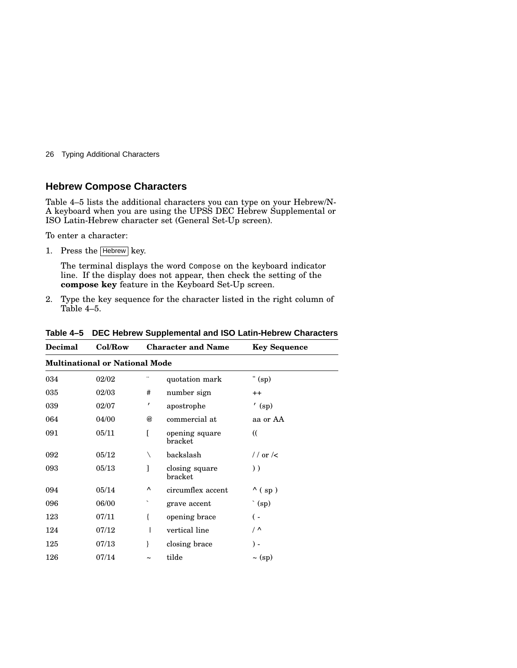### **Hebrew Compose Characters**

Table 4–5 lists the additional characters you can type on your Hebrew/N-A keyboard when you are using the UPSS DEC Hebrew Supplemental or ISO Latin-Hebrew character set (General Set-Up screen).

To enter a character:

1. Press the Hebrew key.

The terminal displays the word Compose on the keyboard indicator line. If the display does not appear, then check the setting of the **compose key** feature in the Keyboard Set-Up screen.

2. Type the key sequence for the character listed in the right column of Table 4–5.

| Decimal                               | Col/Row | <b>Character and Name</b> |                           | <b>Key Sequence</b> |  |
|---------------------------------------|---------|---------------------------|---------------------------|---------------------|--|
| <b>Multinational or National Mode</b> |         |                           |                           |                     |  |
| 034                                   | 02/02   |                           | quotation mark            | " $(sp)$            |  |
| 035                                   | 02/03   | #                         | number sign               | $++$                |  |
| 039                                   | 02/07   | $\pmb{r}$                 | apostrophe                | $($ sp $)$          |  |
| 064                                   | 04/00   | @                         | commercial at             | aa or AA            |  |
| 091                                   | 05/11   |                           | opening square<br>bracket | $\mathcal{U}$       |  |
| 092                                   | 05/12   | ∖                         | backslash                 | // or $\prime$      |  |
| 093                                   | 05/13   |                           | closing square<br>bracket | $)$ )               |  |
| 094                                   | 05/14   | Λ                         | circumflex accent         | $^{\wedge}$ (sp)    |  |
| 096                                   | 06/00   | ↖                         | grave accent              | $\hat{p}$ (sp)      |  |
| 123                                   | 07/11   | ſ                         | opening brace             | ( –                 |  |
| 124                                   | 07/12   |                           | vertical line             | $\sqrt{2}$          |  |
| 125                                   | 07/13   | ł                         | closing brace             | $) -$               |  |
| 126                                   | 07/14   | $\tilde{\phantom{a}}$     | tilde                     | $\sim$ (sp)         |  |

**Table 4–5 DEC Hebrew Supplemental and ISO Latin-Hebrew Characters**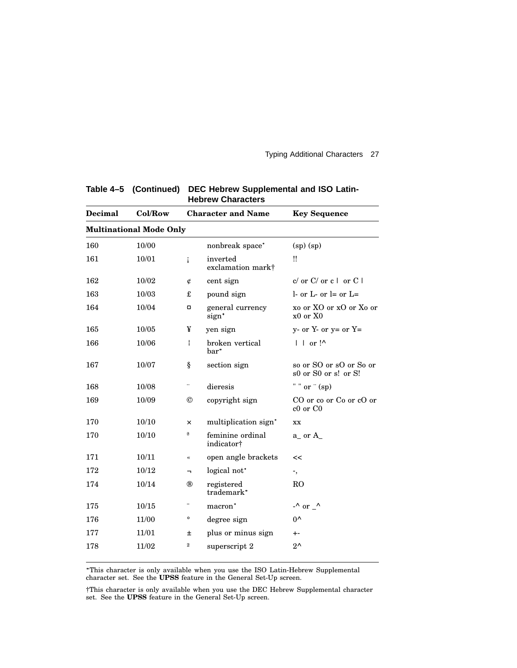| Col/Row                        | <b>Character and Name</b> |                                     | <b>Key Sequence</b>                                       |  |  |  |
|--------------------------------|---------------------------|-------------------------------------|-----------------------------------------------------------|--|--|--|
| <b>Multinational Mode Only</b> |                           |                                     |                                                           |  |  |  |
| 10/00                          |                           | nonbreak space*                     | $(sp)$ $(sp)$                                             |  |  |  |
| 10/01                          | i                         | inverted<br>exclamation mark†       | $\mathbf{u}$                                              |  |  |  |
| 10/02                          | ¢                         | cent sign                           | $c/$ or $C/$ or $c \mid$ or $C \mid$                      |  |  |  |
| 10/03                          | £                         | pound sign                          | 1- or L- or $l =$ or $L =$                                |  |  |  |
| 10/04                          | a                         | general currency<br>sign*           | xo or XO or xO or Xo or<br>$x0$ or $X0$                   |  |  |  |
| 10/05                          | ¥                         | yen sign                            | $y-$ or $Y-$ or $y=$ or $Y=$                              |  |  |  |
| 10/06                          | ł                         | broken vertical<br>bar <sup>*</sup> | $\vert \ \vert$ or $\vert$ <sup><math>\wedge</math></sup> |  |  |  |
| 10/07                          | ş                         | section sign                        | so or SO or sO or So or<br>s0 or S0 or s! or S!           |  |  |  |
| 10/08                          | .,                        | dieresis                            | $\mathbf{u}$ $\mathbf{u}$<br>or $\degree$ (sp)            |  |  |  |
| 10/09                          | $^{\circ}$                | copyright sign                      | CO or co or Co or cO or<br>$c0$ or $C0$                   |  |  |  |
| 10/10                          | ×                         | multiplication sign*                | XX                                                        |  |  |  |
| 10/10                          | a                         | feminine ordinal<br>indicator†      | $a_{-}$ or $A_{-}$                                        |  |  |  |
| 10/11                          | $\overline{\bf{X}}$       | open angle brackets                 | <<                                                        |  |  |  |
| 10/12                          | h                         | logical not*                        | -,                                                        |  |  |  |
| 10/14                          | ®                         | registered<br>trademark*            | R <sub>O</sub>                                            |  |  |  |
| 10/15                          |                           | macron*                             | $-\wedge$ or $\wedge$                                     |  |  |  |
| 11/00                          | o                         | degree sign                         | $0^{\wedge}$                                              |  |  |  |
| 11/01                          | 士                         | plus or minus sign                  | $+ -$                                                     |  |  |  |
| 11/02                          | $\,2$                     | superscript 2                       | $2^{\wedge}$                                              |  |  |  |
|                                |                           |                                     |                                                           |  |  |  |

**Table 4–5 (Continued) DEC Hebrew Supplemental and ISO Latin-Hebrew Characters**

 This character is only available when you use the ISO Latin-Hebrew Supplemental character set. See the **UPSS** feature in the General Set-Up screen.

†This character is only available when you use the DEC Hebrew Supplemental character set. See the **UPSS** feature in the General Set-Up screen.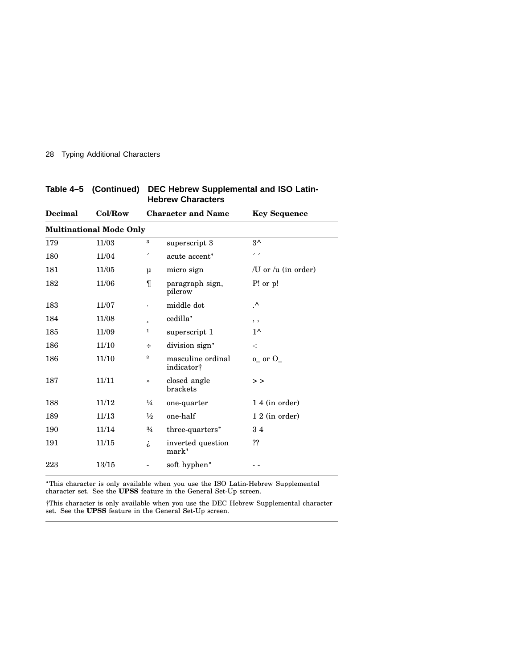| <b>Decimal</b> | Col/Row                        |                         | <b>Character and Name</b>              | <b>Key Sequence</b>      |  |  |  |
|----------------|--------------------------------|-------------------------|----------------------------------------|--------------------------|--|--|--|
|                | <b>Multinational Mode Only</b> |                         |                                        |                          |  |  |  |
| 179            | 11/03                          | 3                       | superscript 3                          | $3^{\wedge}$             |  |  |  |
| 180            | 11/04                          | ٠                       | acute accent*                          | , ,                      |  |  |  |
| 181            | 11/05                          | $\mu$                   | micro sign                             | /U or / $\mu$ (in order) |  |  |  |
| 182            | $11/06$                        | $\P$                    | paragraph sign,<br>pilcrow             | $P!$ or $p!$             |  |  |  |
| 183            | 11/07                          | $\bullet$               | middle dot                             | .^                       |  |  |  |
| 184            | 11/08                          | $\overline{a}$          | cedilla*                               | , ,                      |  |  |  |
| 185            | 11/09                          | $\mathbf 1$             | superscript 1                          | $1^{\wedge}$             |  |  |  |
| 186            | 11/10                          | ÷                       | division sign*                         | 41                       |  |  |  |
| 186            | 11/10                          | $\overline{\mathbf{0}}$ | masculine ordinal<br>indicator†        | $o_{-}$ or $O_{-}$       |  |  |  |
| 187            | 11/11                          | $\rightarrow$           | closed angle<br>brackets               | >                        |  |  |  |
| 188            | 11/12                          | $\frac{1}{4}$           | one-quarter                            | 1 4 (in order)           |  |  |  |
| 189            | 11/13                          | $\frac{1}{2}$           | one-half                               | $12$ (in order)          |  |  |  |
| 190            | 11/14                          | $\frac{3}{4}$           | three-quarters*                        | 34                       |  |  |  |
| 191            | 11/15                          | i,                      | inverted question<br>mark <sup>*</sup> | ??                       |  |  |  |
| 223            | 13/15                          |                         | soft hyphen*                           |                          |  |  |  |

**Table 4–5 (Continued) DEC Hebrew Supplemental and ISO Latin-Hebrew Characters**

 This character is only available when you use the ISO Latin-Hebrew Supplemental character set. See the **UPSS** feature in the General Set-Up screen.

†This character is only available when you use the DEC Hebrew Supplemental character set. See the **UPSS** feature in the General Set-Up screen.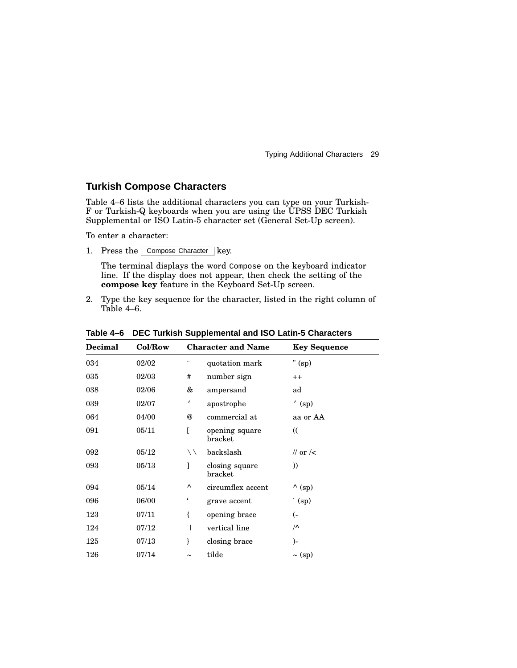### **Turkish Compose Characters**

Table 4–6 lists the additional characters you can type on your Turkish-F or Turkish-Q keyboards when you are using the UPSS DEC Turkish Supplemental or ISO Latin-5 character set (General Set-Up screen).

To enter a character:

1. Press the Compose Character key.

The terminal displays the word Compose on the keyboard indicator line. If the display does not appear, then check the setting of the **compose key** feature in the Keyboard Set-Up screen.

2. Type the key sequence for the character, listed in the right column of Table 4–6.

| <b>Decimal</b> | Col/Row |                       | <b>Character and Name</b> | <b>Key Sequence</b>  |
|----------------|---------|-----------------------|---------------------------|----------------------|
| 034            | 02/02   |                       | quotation mark            | " $(sp)$             |
| 035            | 02/03   | #                     | number sign               | $++$                 |
| 038            | 02/06   | &                     | ampersand                 | ad                   |
| 039            | 02/07   | $\pmb{\prime}$        | apostrophe                | $($ sp)              |
| 064            | 04/00   | @                     | commercial at             | aa or AA             |
| 091            | 05/11   | Г                     | opening square<br>bracket | $\mathcal{L}$        |
| 092            | 05/12   | $\setminus$           | backslash                 | // or $\prime$       |
| 093            | 05/13   | 1                     | closing square<br>bracket | ))                   |
| 094            | 05/14   | Λ                     | circumflex accent         | $\wedge$ (sp)        |
| 096            | 06/00   | $\epsilon$            | grave accent              | $\hat{p}$ (sp)       |
| 123            | 07/11   | ſ                     | opening brace             | <sup>-</sup> )       |
| 124            | 07/12   |                       | vertical line             | $\sqrt{\phantom{a}}$ |
| 125            | 07/13   | ł                     | closing brace             | )-                   |
| 126            | 07/14   | $\tilde{\phantom{a}}$ | tilde                     | $\sim$ (sp)          |

**Table 4–6 DEC Turkish Supplemental and ISO Latin-5 Characters**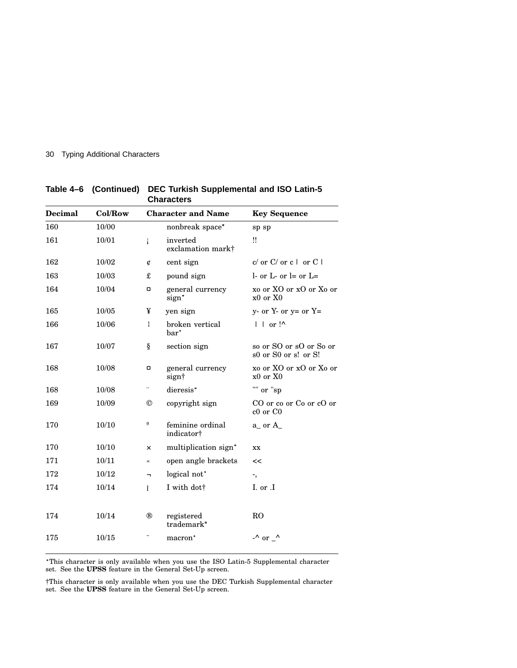| Decimal<br>160 | Col/Row |                | <b>Character and Name</b>           | <b>Key Sequence</b>                             |  |
|----------------|---------|----------------|-------------------------------------|-------------------------------------------------|--|
|                | 10/00   |                | nonbreak space*                     | sp sp                                           |  |
| 161            | 10/01   | i              | inverted<br>exclamation mark†       | ‼                                               |  |
| 162            | 10/02   | ¢              | cent sign                           | $c/$ or $C/$ or $c \mid$ or $C \mid$            |  |
| 163            | 10/03   | £              | pound sign                          | 1- or L- or $l =$ or $L =$                      |  |
| 164            | 10/04   | a              | general currency<br>sign*           | xo or XO or xO or Xo or<br>$x0$ or $X0$         |  |
| 165            | 10/05   | ¥              | yen sign                            | $y-$ or $Y-$ or $y=$ or $Y=$                    |  |
| 166            | 10/06   | Ł              | broken vertical<br>bar <sup>*</sup> | $\vert \ \vert$ or $\vert \wedge$               |  |
| 167            | 10/07   | ş              | section sign                        | so or SO or sO or So or<br>s0 or S0 or s! or S! |  |
| 168            | 10/08   | a              | general currency<br>sign†           | xo or XO or xO or Xo or<br>x0 or X0             |  |
| 168            | 10/08   |                | dieresis*                           | "" or "sp                                       |  |
| 169            | 10/09   | $^{\circledR}$ | copyright sign                      | CO or co or Co or cO or<br>c0 or C0             |  |
| 170            | 10/10   | a              | feminine ordinal<br>indicator†      | $a_{-}$ or $A_{-}$                              |  |
| 170            | 10/10   | ×              | multiplication sign*                | XX                                              |  |
| 171            | 10/11   |                | open angle brackets                 | <<                                              |  |
| 172            | 10/12   | $\blacksquare$ | logical not*                        | ۰,                                              |  |
| 174            | 10/14   | İ              | I with dott                         | I. or .I                                        |  |
|                |         |                |                                     |                                                 |  |
| 174            | 10/14   | ®              | registered<br>trademark*            | R <sub>O</sub>                                  |  |
| 175            | 10/15   |                | macron <sup>*</sup>                 | $-$ ^ or $-$ ^                                  |  |
|                |         |                |                                     |                                                 |  |

**Table 4–6 (Continued) DEC Turkish Supplemental and ISO Latin-5 Characters**

 This character is only available when you use the ISO Latin-5 Supplemental character set. See the **UPSS** feature in the General Set-Up screen.

†This character is only available when you use the DEC Turkish Supplemental character set. See the **UPSS** feature in the General Set-Up screen.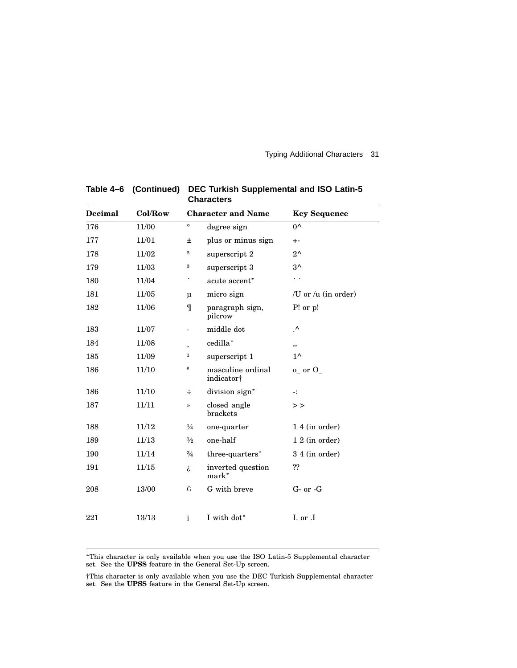| <b>Decimal</b> | Col/Row   |                  | <b>Character and Name</b>       | <b>Key Sequence</b>      |
|----------------|-----------|------------------|---------------------------------|--------------------------|
| 176            | 11/00     | $\circ$          | degree sign                     | $0^{\wedge}$             |
| 177            | 11/01     | 士                | plus or minus sign              | $+ -$                    |
| 178            | 11/02     | $\boldsymbol{2}$ | superscript 2                   | $2^{\wedge}$             |
| 179            | 11/03     | 3                | superscript 3                   | $3^{\wedge}$             |
| 180            | 11/04     |                  | acute accent*                   | $\overline{\phantom{a}}$ |
| 181            | 11/05     | $\mu$            | micro sign                      | /U or / $\mu$ (in order) |
| 182            | 11/06     | $\P$             | paragraph sign,<br>pilcrow      | $P!$ or $p!$             |
| 183            | 11/07     |                  | middle dot                      | $\cdot^{\wedge}$         |
| 184            | 11/08     | ś                | cedilla*                        | , ,                      |
| 185            | 11/09     | 1                | superscript 1                   | $1^{\wedge}$             |
| 186            | 11/10     | $\underline{0}$  | masculine ordinal<br>indicator† | $o_$ or $O_$             |
| 186            | 11/10     | ÷                | division sign*                  | -:                       |
| 187            | 11/11     | $\rightarrow$    | closed angle<br>brackets        | $>$ $>$                  |
| 188            | 11/12     | $\frac{1}{4}$    | one-quarter                     | 1 4 (in order)           |
| 189            | 11/13     | $\frac{1}{2}$    | one-half                        | $12$ (in order)          |
| 190            | 11/14     | $\frac{3}{4}$    | three-quarters*                 | 3 4 (in order)           |
| 191            | 11/15     | i,               | inverted question<br>mark*      | ??                       |
| 208            | $13/00\,$ | Ğ                | G with breve                    | $G-$ or $-G$             |
| 221            | 13/13     | Ť                | I with dot <sup>*</sup>         | I. or .I                 |

**Table 4–6 (Continued) DEC Turkish Supplemental and ISO Latin-5 Characters**

 This character is only available when you use the ISO Latin-5 Supplemental character set. See the **UPSS** feature in the General Set-Up screen.

†This character is only available when you use the DEC Turkish Supplemental character set. See the **UPSS** feature in the General Set-Up screen.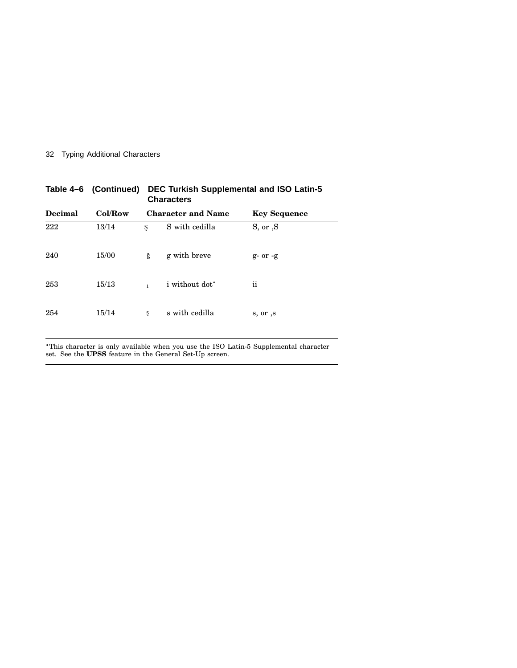| Col/Row |              |                       | <b>Key Sequence</b>                     |
|---------|--------------|-----------------------|-----------------------------------------|
| 13/14   | Ş            | S with cedilla        | S, or, S                                |
| 15/00   | ğ            | g with breve          | $g-$ or $-g$                            |
| 15/13   | $\mathbf{1}$ | <i>i</i> without dot* | ii                                      |
| 15/14   | ş            | s with cedilla        | s, or , s                               |
|         |              |                       | Characters<br><b>Character and Name</b> |

**Table 4–6 (Continued) DEC Turkish Supplemental and ISO Latin-5 Characters**

 This character is only available when you use the ISO Latin-5 Supplemental character set. See the **UPSS** feature in the General Set-Up screen.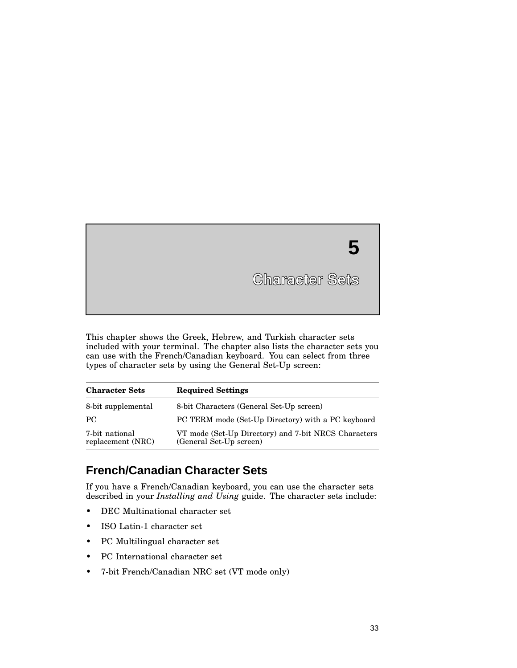**5**

This chapter shows the Greek, Hebrew, and Turkish character sets included with your terminal. The chapter also lists the character sets you can use with the French/Canadian keyboard. You can select from three types of character sets by using the General Set-Up screen:

| <b>Character Sets</b>               | <b>Required Settings</b>                                                        |
|-------------------------------------|---------------------------------------------------------------------------------|
| 8-bit supplemental                  | 8-bit Characters (General Set-Up screen)                                        |
| PC.                                 | PC TERM mode (Set-Up Directory) with a PC keyboard                              |
| 7-bit national<br>replacement (NRC) | VT mode (Set-Up Directory) and 7-bit NRCS Characters<br>(General Set-Up screen) |

## **French/Canadian Character Sets**

If you have a French/Canadian keyboard, you can use the character sets described in your *Installing and Using* guide. The character sets include:

- DEC Multinational character set
- ISO Latin-1 character set
- PC Multilingual character set
- PC International character set
- 7-bit French/Canadian NRC set (VT mode only)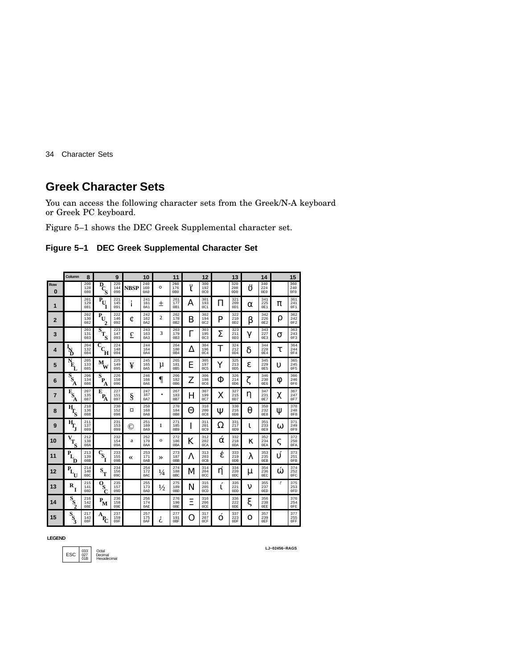## **Greek Character Sets**

You can access the following character sets from the Greek/N-A keyboard or Greek PC keyboard.

Figure 5–1 shows the DEC Greek Supplemental character set.

| Figure 5-1 DEC Greek Supplemental Character Set |
|-------------------------------------------------|
|                                                 |

|                 | Column                                                                                 | 8                 |                                                           | 9                 |             | 10                |               | 11                            |              | 12                            |          | 13                            |          | 14                            |          | 15                            |
|-----------------|----------------------------------------------------------------------------------------|-------------------|-----------------------------------------------------------|-------------------|-------------|-------------------|---------------|-------------------------------|--------------|-------------------------------|----------|-------------------------------|----------|-------------------------------|----------|-------------------------------|
| Row<br>$\bf{0}$ |                                                                                        | 200<br>128<br>080 | $\overline{P}_{C_{\text{S}}}$                             | 220<br>144<br>090 | <b>NBSP</b> | 240<br>160<br>0A0 | $\circ$       | 260<br>176<br>0B0             | <u></u><br>ī | 300<br>192<br>0C0             |          | 320<br>208<br>0D <sub>0</sub> | <br>Û    | 340<br>224<br>0E0             |          | 360<br>240<br>0F0             |
| 1               |                                                                                        | 201<br>129<br>081 | $\overline{\mathbf{P}}_{\!\!\mathbf{U}_{\!\!\mathbf{1}}}$ | 221<br>145<br>091 | ı           | 241<br>161<br>0A1 | 士             | 261<br>177<br>0B1             | A            | 301<br>193<br>0C1             | П        | 321<br>209<br>0D1             | $\alpha$ | 341<br>225<br>0E1             | π        | 361<br>241<br>0F1             |
| $\overline{2}$  |                                                                                        | 202<br>130<br>082 | $\overline{P}_{U_2}$                                      | 222<br>146<br>092 | ¢           | 242<br>162<br>0A2 | $\mathbf{2}$  | 262<br>178<br>0B2             | B            | 302<br>194<br>0C2             | P        | 322<br>210<br>0D2             | β        | 342<br>226<br>0E2             | ρ        | 362<br>242<br>0F <sub>2</sub> |
| 3               |                                                                                        | 203<br>131<br>083 | $\overline{s}_{T_S}$                                      | 223<br>147<br>093 | £           | 243<br>163<br>0A3 | 3             | 263<br>179<br>0B3             | Γ            | 303<br>195<br>0C <sub>3</sub> | Σ        | 323<br>211<br>OD3             | γ        | 343<br>227<br>0E3             | σ        | 363<br>243<br>0F3             |
| 4               | $\frac{I_N}{D}$                                                                        | 204<br>132<br>084 | C<br>$\mathbf{c}_{\mathbf{H}}$                            | 224<br>148<br>094 |             | 244<br>164<br>0A4 |               | 264<br>180<br>0B4             | Δ            | 304<br>196<br>0C4             | T        | 324<br>212<br>OD4             | δ        | 344<br>228<br>0E4             | τ        | 364<br>244<br>0F4             |
| 5               | $\bar{N}_{\!\!\!E_{\scriptscriptstyle \!L}}$                                           | 205<br>133<br>085 | $\mathbf{\hat{M}}_{\mathbf{W}}$                           | 225<br>149<br>095 | ¥           | 245<br>165<br>0A5 | μ             | 265<br>181<br>0 <sub>B5</sub> | E            | 305<br>197<br>0C5             | Y        | 325<br>213<br>0D <sub>5</sub> | ε        | 345<br>229<br>0 <sub>E5</sub> | υ        | 365<br>245<br>0F5             |
| 6               | $\overline{s}_{\!\!\scriptscriptstyle \mathsf{S}_{\!\!\scriptscriptstyle \mathsf{A}}}$ | 206<br>134<br>086 | $\overline{\textbf{s}}_{\textbf{P}_{\!\!\textbf{A}}}$     | 226<br>150<br>096 |             | 246<br>166<br>0A6 | $\P$          | 266<br>182<br>0B6             | Z            | 306<br>198<br><b>0C6</b>      | Φ        | 326<br>214<br>0D6             |          | 346<br>230<br>0E6             | φ        | 366<br>246<br>0F6             |
| 7               | $\bar{\mathbf{E}}_\mathbf{S}$<br>A                                                     | 207<br>135<br>087 | E<br>$P_{\rm A}$                                          | 227<br>151<br>097 | ş           | 247<br>167<br>0A7 | ٠             | 267<br>183<br>0B7             | Н            | 307<br>199<br>0C7             | X        | 327<br>215<br>0D7             | η        | 347<br>231<br>0E7             | χ        | 367<br>247<br>0F7             |
| 8               | $\overline{\mathbf{H}}_\mathbf{S}$                                                     | 210<br>136<br>088 |                                                           | 230<br>152<br>098 | ¤           | 250<br>168<br>0A8 |               | 270<br>184<br>0B8             | Θ            | 310<br>200<br>0C8             | Ψ        | 330<br>216<br>0D <sub>8</sub> | θ        | 350<br>232<br>0E8             | Ψ        | 370<br>248<br>0F8             |
| 9               | $\overline{\mathbf{H}}_{\mathbf{\overline{I}}_{\mathbf{\overline{J}}}}$                | 211<br>137<br>089 |                                                           | 231<br>153<br>099 | ©           | 251<br>169<br>0A9 | 1             | 271<br>185<br>0B9             | I            | 311<br>201<br>0C9             | Ω        | 331<br>217<br>0D9             | 1.       | 351<br>233<br>0E9             | $\omega$ | 371<br>249<br>0F9             |
| 10              | $\overline{v}_{T_{S}}$                                                                 | 212<br>138<br>08A |                                                           | 232<br>154<br>09A | a           | 252<br>170<br>0AA | $\mathbf{o}$  | 272<br>186<br>0BA             | K            | 312<br>202<br>0CA             | $\alpha$ | 332<br>218<br>0DA             | к        | 352<br>234<br>0EA             | ς        | 372<br>250<br>0FA             |
| 11              | $\mathbf{P}_{\mathbf{L}_{\mathbf{D}}}$                                                 | 213<br>139<br>08B | $\bar{c}_{\rm s_I}$                                       | 233<br>155<br>09B | ≪           | 253<br>171<br>0AB | $\rightarrow$ | 273<br>187<br>0 <sub>BB</sub> | Λ            | 313<br>203<br>0CB             | έ        | 333<br>219<br>0 <sub>DB</sub> | λ        | 353<br>235<br>0EB             | ิบ์      | 373<br>251<br>0FB             |
| 12              | $\bar{\mathbf{P}}_{\!L_{\!U}}$                                                         | 214<br>140<br>08C | $\mathbf{s}_{\textrm{\tiny T}}$                           | 234<br>156<br>09C |             | 254<br>172<br>0AC | $\frac{1}{4}$ | 274<br>188<br>0 <sub>BC</sub> | M            | 314<br>204<br>0CC             | ή        | 334<br>220<br>0 <sub>DC</sub> | μ        | 354<br>236<br>0EC             | ώ        | 374<br>252<br>0FC             |
| 13              | R<br>Ĭ                                                                                 | 215<br>141<br>08D | $\overline{\mathbf{Q}}_{\!\!\mathbf{C}}$                  | 235<br>157<br>09D |             | 255<br>173<br>0AD | $\frac{1}{2}$ | 275<br>189<br>0 <sub>BD</sub> | N            | 315<br>205<br>0CD             | ĩ.       | 335<br>221<br>0 <sub>DD</sub> | ν        | 355<br>237<br>0ED             | ╭        | 375<br>253<br>0FD             |
| 14              | $\overline{s}_{\!\!\!s_{\!\!\!2}}$                                                     | 216<br>142<br>08E | $\mathbf{P}_{\mathbf{M}}$                                 | 236<br>158<br>09E |             | 256<br>174<br>0AE |               | 276<br>190<br>0BE             | Ξ            | 316<br>206<br>0CE             |          | 336<br>222<br>0 <sub>DE</sub> | ξ        | 356<br>238<br>0EE             |          | 376<br>254<br>0FE             |
| 15              | $\mathbf{s}_{\mathbf{s}}$                                                              | 217<br>143<br>08F | А<br>$\mathbf{P}_{\!\! \boldsymbol{C}}$                   | 237<br>159<br>09F |             | 257<br>175<br>0AF | ι,            | 277<br>191<br>0BF             | O            | 317<br>207<br>0CF             | $\Omega$ | 337<br>223<br>0DF             | $\Omega$ | 357<br>239<br>0EF             |          | 377<br>255<br>0FF             |

**LEGEND**

ESC 033 Octal<br>ESC 027 Decimal<br>01B Hexadecimal

**LJ−02456−RAGS**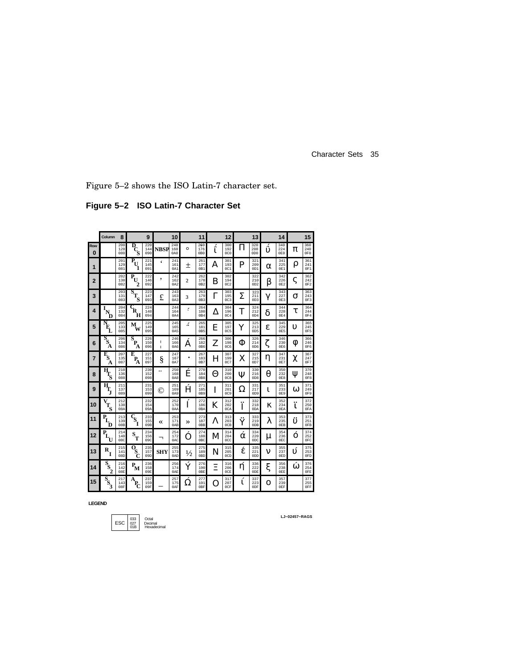Figure 5–2 shows the ISO Latin-7 character set.

**Figure 5–2 ISO Latin-7 Character Set**

|                | Column                                              | 8                 |                                                   | 9                 |             | 10                |               | 11                             |         | 12                            |       | 13                             |   | 14                |                           | 15                            |
|----------------|-----------------------------------------------------|-------------------|---------------------------------------------------|-------------------|-------------|-------------------|---------------|--------------------------------|---------|-------------------------------|-------|--------------------------------|---|-------------------|---------------------------|-------------------------------|
| Row<br>O       |                                                     | 200<br>128<br>080 | D<br>Ś                                            | 220<br>144<br>090 | <b>NBSP</b> | 240<br>160<br>0A0 | $\circ$       | 260<br>176<br>0B <sub>0</sub>  | ć.<br>ι | 300<br>192<br>0C0             | П     | 320<br>208<br>0D <sub>0</sub>  | υ | 340<br>224<br>0E0 | π                         | 360<br>240<br>0F <sub>0</sub> |
| 1              |                                                     | 201<br>129<br>081 | $\overline{\mathbf{P}}$<br>$\mathbf{U}$           | 221<br>145<br>091 | $\epsilon$  | 241<br>161<br>0A1 | $\pm$         | 261<br>177<br>0B1              | A       | 301<br>193<br>0C1             | P     | 321<br>209<br>0 <sub>D1</sub>  | α | 341<br>225<br>0E1 | ρ                         | 361<br>241<br>0F1             |
| $\overline{2}$ |                                                     | 202<br>130<br>082 | $\bar{\mathbf{P}}_{\mathbf{U}}$<br>$\overline{c}$ | 222<br>146<br>092 | ,           | 242<br>162<br>0A2 | $\mathbf{2}$  | 262<br>178<br>0B2              | B       | 302<br>194<br>0C2             |       | 322<br>210<br>0D2              | β | 342<br>226<br>0E2 | ς                         | 362<br>242<br>0F2             |
| 3              |                                                     | 203<br>131<br>083 | $\overline{s}_{T_S}$                              | 223<br>147<br>093 | £           | 243<br>163<br>0A3 | 3             | 263<br>179<br>0 <sub>B</sub> 3 | Γ       | 303<br>195<br>0C <sub>3</sub> | Σ     | 323<br>211<br>OD3              | γ | 343<br>227<br>0E3 | σ                         | 363<br>243<br>0F3             |
| 4              | D                                                   | 204<br>132<br>084 | $\mathbf{G}_\mathbf{R}$<br>Ħ                      | 224<br>148<br>094 |             | 244<br>164<br>0A4 | ر             | 264<br>180<br>0B4              | Δ       | 304<br>196<br>0C4             | Т     | 324<br>212<br>OD4              | δ | 344<br>228<br>0E4 | τ                         | 364<br>244<br>0F4             |
| 5              | $\bar{N}_{\!\!\rm L}$                               | 205<br>133<br>085 | M<br>w                                            | 225<br>149<br>095 |             | 245<br>165<br>0A5 | ۰,            | 265<br>181<br>0B5              | E       | 305<br>197<br>0C5             | Y     | 325<br>213<br>0D5              | E | 345<br>229<br>0E5 | υ                         | 365<br>245<br>0F5             |
| 6              | $S_{S_{A}}$                                         | 206<br>134<br>086 | $\overline{\mathbf{s}}$<br>P<br>A                 | 226<br>150<br>096 | ı<br>Î.     | 246<br>166<br>0A6 | А             | 266<br>182<br>0 <sub>B6</sub>  | Z       | 306<br>198<br>0C6             | Φ     | 326<br>214<br>0D6              |   | 346<br>230<br>0E6 | Φ                         | 366<br>246<br>0F6             |
| 7              | $\bar{\mathbf{F}}_\mathrm{S}$<br>А                  | 207<br>135<br>087 | E<br>$P_{\!A}$                                    | 227<br>151<br>097 | ş           | 247<br>167<br>0A7 | ٠             | 267<br>183<br>0 <sub>B7</sub>  | H       | 307<br>199<br>0C7             | х     | 327<br>215<br>0D7              | η | 347<br>231<br>0E7 | χ                         | 367<br>247<br>0F7             |
| 8              | $\bar{H}_{T_S}$                                     | 210<br>136<br>088 |                                                   | 230<br>152<br>098 |             | 250<br>168<br>0A8 | Ĕ             | 270<br>184<br>0B8              | Θ       | 310<br>200<br>0C8             | Ψ     | 330<br>216<br>0 <sub>D</sub> 8 | θ | 350<br>232<br>0E8 | Ψ                         | 370<br>248<br>0F8             |
| 9              | $\overline{\mathbf{H}}_{\mathbf{T}_\mathbf{J}}$     | 211<br>137<br>089 |                                                   | 231<br>153<br>099 | O           | 251<br>169<br>0A9 | Ĥ             | 271<br>185<br>0B9              | I       | 311<br>201<br>0C9             | Ω     | 331<br>217<br>0D9              | ι | 351<br>233<br>0E9 | ω                         | 371<br>249<br>0F9             |
| 10             | $\bar{v}_{T_S}$                                     | 212<br>138<br>08A |                                                   | 232<br>154<br>09A |             | 252<br>170<br>0AA | Í             | 272<br>186<br>0BA              | K       | 312<br>202<br>0CA             | <br>Ī | 332<br>218<br>0 <sub>D</sub> A | κ | 352<br>234<br>0EA | <br>ī.                    | 372<br>250<br>0FA             |
| 11             | $\bar{\mathbf{P}}_{\mathbf{L}}$<br>D                | 213<br>139<br>08B | $\bar{c}_{\mathbf{s}_{\mathbf{I}}}$               | 233<br>155<br>09B | «           | 253<br>171<br>0AB | ≫             | 273<br>187<br>0 <sub>BB</sub>  | Λ       | 313<br>203<br>0CB             | <br>Ÿ | 333<br>219<br>0 <sub>D</sub> B | λ | 353<br>235<br>0EB | <br>$\overline{\upsilon}$ | 373<br>251<br>0FB             |
| 12             | $\overline{\mathbf{P}}_{\!\!\mathbf{L}_{\text{U}}}$ | 214<br>140<br>08C | $\mathbf{s}_{\mathbf{T}}$                         | 234<br>156<br>09C | ┑           | 254<br>172<br>0AC | O             | 274<br>188<br>0 <sub>BC</sub>  | M       | 314<br>204<br>0CC             | ά     | 334<br>220<br>0 <sub>DC</sub>  | μ | 354<br>236<br>0EC | $\Omega$                  | 374<br>252<br>0FC             |
| 13             | $\mathbf{R}_{\mathbf{I}}$                           | 215<br>141<br>08D | $\overline{\mathbf{0}}_{\mathbf{S}_{\mathbf{C}}}$ | 235<br>157<br>09D | <b>SHY</b>  | 255<br>173<br>0AD | $\frac{1}{2}$ | 275<br>189<br>0 <sub>BD</sub>  | N       | 315<br>205<br>0CD             | έ     | 335<br>221<br>0 <sub>DD</sub>  | ν | 355<br>237<br>0ED | $\acute{\mathrm{o}}$      | 375<br>253<br>0FD             |
| 14             | $\overline{s}_{\rm s}$                              | 216<br>142<br>08E | $P_{\mathbf{M}}$                                  | 236<br>158<br>09E |             | 256<br>174<br>0AE | Ý             | 276<br>190<br>0BE              | Ξ       | 316<br>206<br>0CE             | η     | 336<br>222<br>0DE              | ξ | 356<br>238<br>0EE | $\omega$                  | 376<br>254<br>0FE             |
| 15             | $\bar{s}_{s_3}$                                     | 217<br>143<br>08F | A<br>$\mathbf{P}_{\!\mathbf{C}}$                  | 237<br>159<br>09F |             | 257<br>175<br>0AF | Ω             | 277<br>191<br>0BF              | O       | 317<br>207<br>0CF             | í     | 337<br>223<br>0 <sub>DF</sub>  | O | 357<br>239<br>0EF |                           | 377<br>255<br>0FF             |

**LEGEND**

$$
\fbox{ESC} \begin{array}{|c|c|} \hline 033 & \multicolumn{1}{|}{\text{Octal}} \\ 027 & \multicolumn{1}{|}{\text{Decimal}} \\ 018 & \text{Hexadecimal} \end{array}
$$

**LJ−02457−RAGS**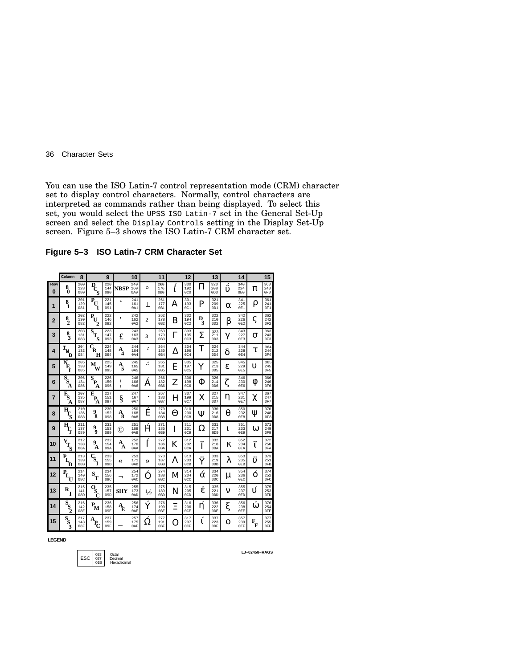You can use the ISO Latin-7 control representation mode (CRM) character set to display control characters. Normally, control characters are interpreted as commands rather than being displayed. To select this set, you would select the UPSS ISO Latin-7 set in the General Set-Up screen and select the Display Controls setting in the Display Set-Up screen. Figure 5–3 shows the ISO Latin-7 CRM character set.

**Figure 5–3 ISO Latin-7 CRM Character Set**

|                 | Column                                                        | 8                 |                                               | 9                 |             | 10                |               | 11                             |        | 12                            |        | 13                                        |    | 14                            |          | 15                |
|-----------------|---------------------------------------------------------------|-------------------|-----------------------------------------------|-------------------|-------------|-------------------|---------------|--------------------------------|--------|-------------------------------|--------|-------------------------------------------|----|-------------------------------|----------|-------------------|
| Row<br>$\bf{0}$ | 8<br>Õ                                                        | 200<br>128<br>080 | D<br>Ś                                        | 220<br>144<br>090 | <b>NBSP</b> | 240<br>160<br>0A0 | $\circ$       | 260<br>176<br>0B0              | ئ<br>1 | 300<br>192<br>0C0             | П      | 320<br>208<br>0D <sub>0</sub>             | υ  | 340<br>224<br>0E0             | π        | 360<br>240<br>0F0 |
| 1               | 8<br>1                                                        | 201<br>129<br>081 | $\bar{\mathbf{P}}_{\mathbf{U}}$<br>1          | 221<br>145<br>091 | ۷           | 241<br>161<br>0A1 | $^+$          | 261<br>177<br>0B1              | А      | 301<br>193<br>0C1             | P      | 321<br>209<br>0D1                         | α  | 341<br>225<br>0E1             | ρ        | 361<br>241<br>0F1 |
| $\overline{2}$  | $\frac{8}{2}$                                                 | 202<br>130<br>082 | P<br>U                                        | 222<br>146<br>092 | ٠           | 242<br>162<br>0A2 | 2             | 262<br>178<br>0B2              | В      | 302<br>194<br>0C2             | D<br>3 | 322<br>210<br>0D2                         | β  | 342<br>226<br>0E2             | ς        | 362<br>242<br>0F2 |
| 3               | 8<br>3                                                        | 203<br>131<br>083 | $\overline{\mathbf{s}}_{_{\mathbf{T}}}$<br>'S | 223<br>147<br>093 | £           | 243<br>163<br>0A3 | 3             | 263<br>179<br>0B3              | Г      | 303<br>195<br>0C <sub>3</sub> | Σ      | 323<br>211<br>0D3                         | γ  | 343<br>227<br>0E3             | σ        | 363<br>243<br>0F3 |
| 4               | I<br>N<br>ת                                                   | 204<br>132<br>084 | R<br>н                                        | 224<br>148<br>094 | А<br>4      | 244<br>164<br>0A4 | ٠             | 264<br>180<br>0B4              | л      | 304<br>196<br>0C4             | T      | 324<br>212<br>0D4                         | δ  | 344<br>228<br>0E4             | τ        | 364<br>244<br>0F4 |
| 5               | P<br>E                                                        | 205<br>133<br>085 | м<br>W                                        | 225<br>149<br>095 | A<br>5      | 245<br>165<br>0A5 | Z.            | 265<br>181<br>0B5              | Е      | 305<br>197<br>0C5             | Ÿ      | 325<br>213<br>0 <sub>D</sub> <sub>5</sub> | ε  | 345<br>229<br>0 <sub>E5</sub> | υ        | 365<br>245<br>0F5 |
| 6               | $\bar{s}_s$<br>А                                              | 206<br>134<br>086 | S<br>P<br>Α                                   | 226<br>150<br>096 | I<br>ı      | 246<br>166<br>0A6 | Α             | 266<br>182<br>0B6              | Z      | 306<br>198<br>0C6             | Φ      | 326<br>214<br>0 <sub>D</sub> <sub>6</sub> |    | 346<br>230<br>0E6             | 0        | 366<br>246<br>0F6 |
| 7               | $\bar{\mathbf{E}}_\mathbf{S}$<br>А                            | 207<br>135<br>087 | E<br>P.<br>Α                                  | 227<br>151<br>097 | ş           | 247<br>167<br>0A7 | ٠             | 267<br>183<br>0B7              | н      | 307<br>199<br>0C7             | X      | 327<br>215<br>0D7                         | η  | 347<br>231<br>0E7             | χ        | 367<br>247<br>0F7 |
| 8               | $\mathbf{H}_{\!\! \boldsymbol{\Gamma}_{\!\! \boldsymbol{S}}}$ | 210<br>136<br>088 | 9<br>Ŕ.                                       | 230<br>152<br>098 | Ą<br>8      | 250<br>168<br>0A8 | Ë             | 270<br>184<br>0B <sub>8</sub>  | Θ      | 310<br>200<br>0C8             | Ψ      | 330<br>216<br>0D8                         | θ  | 350<br>232<br>0E8             | W        | 370<br>248<br>0F8 |
| 9               | ц                                                             | 211<br>137<br>089 | 9<br>9                                        | 231<br>153<br>099 | O           | 251<br>169<br>0A9 | Ĥ             | 271<br>185<br>0B9              | I      | 311<br>201<br>0C9             | Ω      | 331<br>217<br>0 <sub>D</sub> 9            | 1. | 351<br>233<br>0E9             | $\omega$ | 371<br>249<br>0F9 |
| 10              | V<br>T<br>Ś                                                   | 212<br>138<br>08A | 9<br>А                                        | 232<br>154<br>09A | A<br>А      | 252<br>170<br>0AA |               | 272<br>186<br>0 <sub>B</sub> A | K      | 312<br>202<br>0CA             | <br>I  | 332<br>218<br>0 <sub>D</sub> A            | κ  | 352<br>234<br>0EA             | <br>ī    | 372<br>250<br>0FA |
| 11              | $P_{I}$<br>D                                                  | 213<br>139<br>08B | $\mathbf{c}_{\mathbf{s}_{\mathbf{r}}}$        | 233<br>155<br>09B | «           | 253<br>171<br>0AB | ≫             | 273<br>187<br>0 <sub>BB</sub>  | л      | 313<br>203<br>0CB             | <br>Ÿ  | 333<br>219<br>0DB                         | λ  | 353<br>235<br>0EB             | <br>ิง   | 373<br>251<br>0FB |
| 12              | P.<br>U                                                       | 214<br>140<br>08C | S<br>Έ                                        | 234<br>156<br>09C | ٦           | 254<br>172<br>0AC | ∩             | 274<br>188<br>0 <sub>BC</sub>  | M      | 314<br>204<br>0CC             | α      | 334<br>220<br>0 <sub>D</sub>              | μ  | 354<br>236<br>0EC             | Õ        | 374<br>252<br>0FC |
| 13              | R                                                             | 215<br>141<br>08D | $\mathbf{o}_{\mathbf{s}}$                     | 235<br>157<br>09D | <b>SHY</b>  | 255<br>173<br>0AD | $\frac{1}{2}$ | 275<br>189<br>0 <sub>BD</sub>  | N      | 315<br>205<br>0CD             | έ      | 335<br>221<br>0 <sub>DD</sub>             | ν  | 355<br>237<br>0ED             | Ú        | 375<br>253<br>0FD |
| 14              | $\mathbf{s}_{\mathrm{s}}$                                     | 216<br>142<br>08E | $P_{\mathbf{M}}$                              | 236<br>158<br>09E | A<br>Ē      | 256<br>174<br>0AE | Ý             | 276<br>190<br>0 <sub>BE</sub>  | Ξ      | 316<br>206<br>0CE             | η      | 336<br>222<br>0 <sub>DE</sub>             | ξ  | 356<br>238<br>0EE             | ⋒        | 376<br>254<br>0FE |
| 15              | S<br>$S_3$                                                    | 217<br>143<br>08F | А<br>$\mathbf{P}_{\!\mathbf{C}}$              | 237<br>159<br>09F |             | 257<br>175<br>0AF | Ω             | 277<br>191<br>0BF              | 0      | 317<br>207<br>0CF             | L      | 337<br>223<br>0DF                         | О  | 357<br>239<br>0EF             | F<br>F   | 377<br>255<br>0FF |

**LEGEND**



**LJ−02458−RAGS**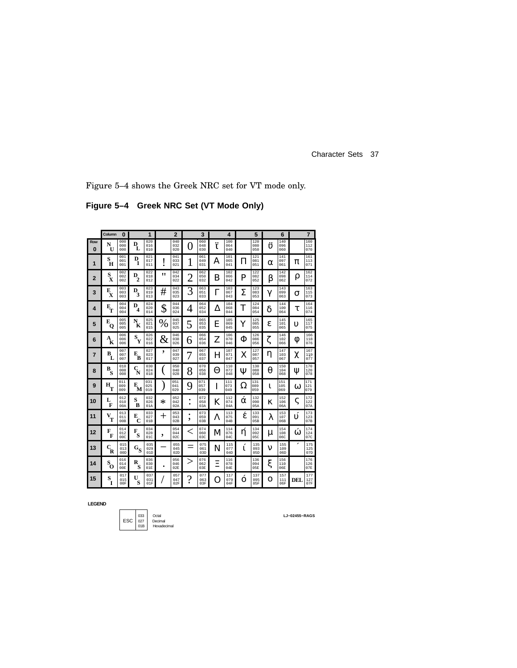Figure 5–4 shows the Greek NRC set for VT mode only.

**Figure 5–4 Greek NRC Set (VT Mode Only)**

|                 | Column                                             | O                             |                           | 1                 |      | $\overline{2}$    |                | 3                 |        | 4                 |          | 5                 |          | 6                 |     | $\overline{7}$                |
|-----------------|----------------------------------------------------|-------------------------------|---------------------------|-------------------|------|-------------------|----------------|-------------------|--------|-------------------|----------|-------------------|----------|-------------------|-----|-------------------------------|
| Row<br>$\bf{0}$ | N<br>$\mathbf{U}$                                  | 000<br>000<br>000             | D<br>L                    | 020<br>016<br>010 |      | 040<br>032<br>020 | 0              | 060<br>048<br>030 | <br>1. | 100<br>064<br>040 |          | 120<br>080<br>050 | <br>U)   | 140<br>096<br>060 |     | 160<br>112<br>070             |
| 1               | S<br>H                                             | 001<br>001<br>001             | D<br>1                    | 021<br>017<br>011 |      | 041<br>033<br>021 |                | 061<br>049<br>031 | Α      | 101<br>065<br>041 | П        | 121<br>081<br>051 | $\alpha$ | 141<br>097<br>061 | π   | 161<br>113<br>071             |
| $\overline{2}$  | $\mathbf{s}_{\mathbf{x}}$                          | 002<br>002<br>002             | $D_2$                     | 022<br>018<br>012 | "    | 042<br>034<br>022 | $\overline{c}$ | 062<br>050<br>032 | B      | 102<br>066<br>042 | P        | 122<br>082<br>052 | β        | 142<br>098<br>062 | ρ   | 162<br>114<br>072             |
| 3               | E<br>$\mathbf{x}$                                  | 003<br>003<br>003             | D<br>3                    | 023<br>019<br>013 | #    | 043<br>035<br>023 | 3              | 063<br>051<br>033 | Г      | 103<br>067<br>043 | Σ        | 123<br>083<br>053 | γ        | 143<br>099<br>063 | σ   | 163<br>115<br>073             |
| 4               | $\mathbf{E}_{\mathbf{T}}$                          | 004<br>004<br>004             | D<br>4                    | 024<br>020<br>014 | \$   | 044<br>036<br>024 | 4              | 064<br>052<br>034 | Δ      | 104<br>068<br>044 | T        | 124<br>084<br>054 | δ        | 144<br>100<br>064 | τ   | 164<br>116<br>074             |
| 5               | E<br>о                                             | 005<br>005<br>005             | N<br>K                    | 025<br>021<br>015 | %    | 045<br>037<br>025 | 5              | 065<br>053<br>035 | E      | 105<br>069<br>045 | Y        | 125<br>085<br>055 | ε        | 145<br>101<br>065 | υ   | $\frac{165}{117}$<br>075      |
| 6               | $\boldsymbol{A}_{\!\!\mathbf{K}}^{\phantom{\dag}}$ | 006<br>006<br>006             | $\mathbf{s}_{\mathbf{y}}$ | 026<br>022<br>016 | $\&$ | 046<br>038<br>026 | 6              | 066<br>054<br>036 | Z      | 106<br>070<br>046 | Φ        | 126<br>086<br>056 | ζ        | 146<br>102<br>066 | Φ   | 166<br>118<br>076             |
| 7               | в<br>L                                             | 007<br>007<br>007             | $\mathbf{E}_{\mathbf{B}}$ | 027<br>023<br>017 | ,    | 047<br>039<br>027 |                | 067<br>055<br>037 | H      | 107<br>071<br>047 | X        | 127<br>087<br>057 | η        | 147<br>103<br>067 | χ   | 167<br>$\frac{119}{077}$      |
| 8               | в<br>s                                             | 010<br>008<br>008             | $\mathbf{C}_{\mathbf{N}}$ | 030<br>024<br>018 |      | 050<br>040<br>028 | 8              | 070<br>056<br>038 | Θ      | 110<br>072<br>048 | Ψ        | 130<br>088<br>058 | θ        | 150<br>104<br>068 | Ψ   | 170<br>120<br>078             |
| 9               | $\mathbf{H}_{\mathbf{T}}$                          | 011<br>009<br>009             | $\mathbf{E}_{\mathbf{M}}$ | 031<br>025<br>019 |      | 051<br>041<br>029 | 9              | 071<br>057<br>039 | I      | 111<br>073<br>049 | Ω        | 131<br>089<br>059 | ι        | 151<br>105<br>069 | ω   | 171<br>121<br>079             |
| 10              | L<br>F                                             | 012<br>010<br>00A             | S<br>B                    | 032<br>026<br>01A | ∗    | 052<br>042<br>02A | ٠<br>٠         | 072<br>058<br>03A | K      | 112<br>074<br>04A | $\alpha$ | 132<br>090<br>05A | κ        | 152<br>106<br>06A | ς   | 172<br>122<br>07A             |
| 11              | V<br>T                                             | 013<br>011<br>00B             | E<br>C                    | 033<br>027<br>01B | ┿    | 053<br>043<br>02B | ٠<br>۰         | 073<br>059<br>03B | Λ      | 113<br>075<br>04B | έ        | 133<br>091<br>05B | λ        | 153<br>107<br>06B | ιí  | 173<br>123<br>07B             |
| 12              | F<br>F                                             | 014<br>012<br>00 <sub>C</sub> | F<br>S                    | 034<br>028<br>01C | ,    | 054<br>044<br>02C | $\,<\,$        | 074<br>060<br>03C | М      | 114<br>076<br>04C | ή        | 134<br>092<br>05C | μ        | 154<br>108<br>06C | ó   | 174<br>124<br>07C             |
| 13              | $\mathbf{c}_{\mathbf{R}}^{\phantom{\dag}}$         | 015<br>013<br>00D             | $\mathbf{G}_{\mathbf{S}}$ | 035<br>029<br>01D |      | 055<br>045<br>02D |                | 075<br>061<br>03D | N      | 115<br>077<br>04D | 1.       | 135<br>093<br>05D | ν        | 155<br>109<br>06D |     | 175<br>125<br>07 <sub>D</sub> |
| 14              | $\mathbf{s}_\mathrm{o}$                            | 016<br>014<br>00E             | R<br>s                    | 036<br>030<br>01E |      | 056<br>046<br>02E | >              | 076<br>062<br>03E | Ξ      | 116<br>078<br>04E |          | 136<br>094<br>05E | ξ        | 156<br>110<br>06E |     | 176<br>126<br>07E             |
| 15              | S<br>Ī                                             | 017<br>015<br>00F             | U<br>S                    | 037<br>031<br>01F |      | 057<br>047<br>02F | ?              | 077<br>063<br>03F | O      | 117<br>079<br>04F | $\Omega$ | 137<br>095<br>05F | $\Omega$ | 157<br>111<br>06F | DEL | 177<br>127<br>07F             |

**LEGEND**

$$
\begin{array}{|c|c|} \hline & 033 & \text{Octal} \\ \hline \text{ESC} & 027 & \text{Decimal} \\ \hline 01B & \text{Hexadecimal} \end{array}
$$

**LJ−02455−RAGS**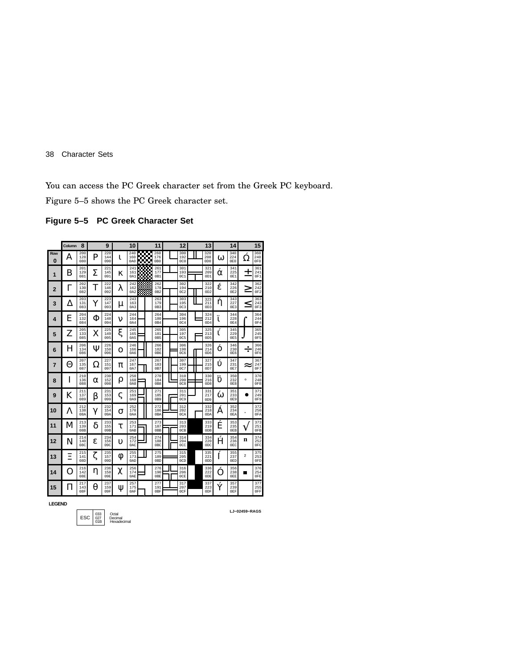You can access the PC Greek character set from the Greek PC keyboard.

Figure 5–5 shows the PC Greek character set.

### **Figure 5–5 PC Greek Character Set**

|                 | Column | 8                 |   | 9                 |    | 10                |            | 11                             | 12                            | 13                             |          | 14                |                         | 15                            |
|-----------------|--------|-------------------|---|-------------------|----|-------------------|------------|--------------------------------|-------------------------------|--------------------------------|----------|-------------------|-------------------------|-------------------------------|
| Row<br>$\Omega$ | A      | 200<br>128<br>080 | P | 220<br>144<br>090 | 1. | 240<br>160<br>0A0 | КÖ.<br>KW. | 260<br>176<br>0B <sub>0</sub>  | 300<br>192<br>0C0             | 320<br>208<br>0 <sub>D</sub> O | $\Omega$ | 340<br>224<br>0E0 | Ω                       | 360<br>240<br>0F0             |
| 1               | B      | 201<br>129<br>081 | Σ | 221<br>145<br>091 | κ  | 241<br>161<br>0A1 |            | 261<br>177<br>0B1              | 301<br>193<br>0C1             | 321<br>209<br>0D1              | α        | 341<br>225<br>0E1 | ┭                       | 361<br>241<br>OF1             |
| $\overline{2}$  | Γ      | 202<br>130<br>082 | T | 222<br>146<br>092 | λ  | 242<br>162<br>0A2 |            | 262<br>178<br>0B2              | 302<br>194<br>0C2             | 322<br>210<br>0D2              | έ        | 342<br>226<br>0E2 | نر                      | 362<br>242<br>0F <sub>2</sub> |
| 3               | Δ      | 203<br>131<br>083 | Y | 223<br>147<br>093 | μ  | 243<br>163<br>0A3 |            | 263<br>179<br>0B3              | 303<br>195<br>0C <sub>3</sub> | 323<br>211<br>0D3              | ή        | 343<br>227<br>0E3 | <                       | 363<br>243<br>0F3             |
| 4               | E      | 204<br>132<br>084 | Φ | 224<br>148<br>094 | ν  | 244<br>164<br>0A4 |            | 264<br>180<br>0B4              | 304<br>196<br>0C4             | 324<br>212<br>0D4              | 1        | 344<br>228<br>0E4 |                         | 364<br>244<br>0F4             |
| 5               | Z      | 205<br>133<br>085 | X | 225<br>149<br>095 | ξ  | 245<br>165<br>0A5 |            | 265<br>181<br>0B5              | 305<br>197<br>0C5             | 325<br>213<br>0 <sub>D5</sub>  | 1.       | 345<br>229<br>0E5 |                         | 365<br>245<br>OF5             |
| 6               | H      | 206<br>134<br>086 | Ψ | 226<br>150<br>096 | O  | 246<br>166<br>0A6 |            | 266<br>182<br>0 <sub>B6</sub>  | 306<br>198<br><b>0C6</b>      | 326<br>214<br>0D6              | O        | 346<br>230<br>0E6 | ÷                       | 366<br>246<br>0F6             |
| 7               | Θ      | 207<br>135<br>087 | Ω | 227<br>151<br>097 | π  | 247<br>167<br>0A7 |            | 267<br>183<br>0B7              | 307<br>199<br>0C7             | 327<br>215<br>0D7              | í        | 347<br>231<br>0E7 | ≈                       | 367<br>247<br>0F7             |
| 8               | I      | 210<br>136<br>088 | α | 230<br>152<br>098 | ρ  | 250<br>168<br>0A8 |            | 270<br>184<br>0B8              | 310<br>200<br>0C8             | 330<br>216<br>0D <sub>8</sub>  | <br>D    | 350<br>232<br>0E8 | $\circ$                 | 370<br>248<br>0F8             |
| 9               | K      | 211<br>137<br>089 | β | 231<br>153<br>099 | ς  | 251<br>169<br>0A9 |            | 271<br>185<br>0B9              | 311<br>201<br>0C9             | 331<br>217<br>0 <sub>D</sub> 9 | Ŵ        | 351<br>233<br>0E9 |                         | 371<br>249<br>0F9             |
| 10              | Λ      | 212<br>138<br>08A | γ | 232<br>154<br>09A | σ  | 252<br>170<br>0AA |            | 272<br>186<br>0 <sub>B</sub> A | 312<br>202<br>0CA             | 332<br>218<br>0 <sub>D</sub> A | Α        | 352<br>234<br>0EA |                         | 372<br>250<br>0FA             |
| 11              | M      | 213<br>139<br>08B | δ | 233<br>155<br>09B | τ  | 253<br>171<br>0AB |            | 273<br>187<br>0 <sub>BB</sub>  | 313<br>203<br>0CB             | 333<br>219<br>ODB              | Ė        | 353<br>235<br>0EB |                         | 373<br>251<br>0FB             |
| 12              | N      | 214<br>140<br>08C | ε | 234<br>156<br>09C | υ  | 254<br>172<br>0AC |            | 274<br>188<br>0 <sub>BC</sub>  | 314<br>204<br>0CC             | 334<br>220<br>0 <sub>DC</sub>  | Ĥ        | 354<br>236<br>0EC | n                       | 374<br>252<br>0FC             |
| 13              | Ξ      | 215<br>141<br>08D | ζ | 235<br>157<br>09D | 0  | 255<br>173<br>0AD |            | 275<br>189<br>0 <sub>BD</sub>  | 315<br>205<br>0CD             | 335<br>221<br>ODD              | Í        | 355<br>237<br>0ED | $\overline{\mathbf{2}}$ | 375<br>253<br>0FD             |
| 14              |        | 216<br>142<br>08E | η | 236<br>158<br>09E | χ  | 256<br>174<br>0AE |            | 276<br>190<br>0 <sub>BE</sub>  | 316<br>206<br>0CE             | 336<br>222<br>0DE              |          | 356<br>238<br>0EE | ▬                       | 376<br>254<br>0FE             |
| 15              | Ħ      | 217<br>143<br>08F | θ | 237<br>159<br>09F | Ψ  | 257<br>175<br>0AF |            | 277<br>191<br>0 <sub>BF</sub>  | 317<br>207<br>0CF             | 337<br>223<br>0 <sub>DF</sub>  | Ý        | 357<br>239<br>0EF |                         | 377<br>255<br>0FF             |

**LEGEND**

033 Octal 027 Decimal 01B Hexadecimal ESC

**LJ−02459−RAGS**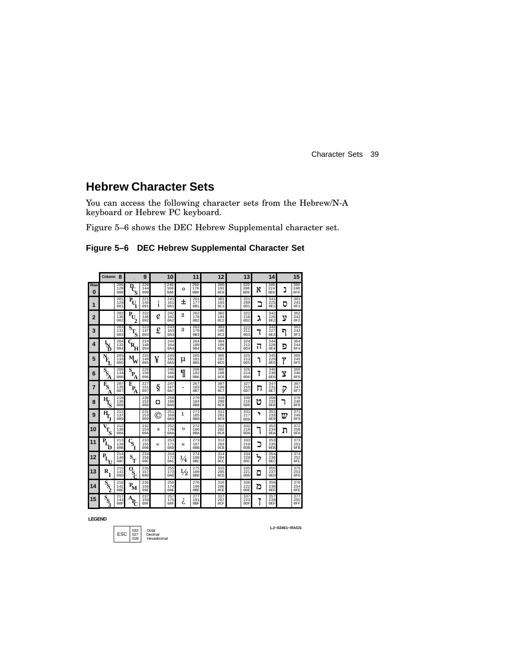## **Hebrew Character Sets**

You can access the following character sets from the Hebrew/N-A keyboard or Hebrew PC keyboard.

Figure 5–6 shows the DEC Hebrew Supplemental character set.

|          | Column 8                                          |                   |                                                 | 9                 |    | 10                |               | 11                             | 12                             |  | 13                             |      | 14                |   | 15                            |
|----------|---------------------------------------------------|-------------------|-------------------------------------------------|-------------------|----|-------------------|---------------|--------------------------------|--------------------------------|--|--------------------------------|------|-------------------|---|-------------------------------|
| Row<br>O |                                                   | 200<br>128<br>080 | $\bar{P}_{C}$                                   | 220<br>144<br>090 |    | 240<br>160<br>0A0 | $\circ$       | 260<br>176<br>0B0              | 300<br>192<br>0 <sub>C</sub> 0 |  | 320<br>208<br>0D <sub>0</sub>  | x    | 340<br>224<br>0E0 | נ | 360<br>240<br>0F <sub>0</sub> |
| 1        |                                                   | 201<br>129<br>081 | $\bar{P}_{U}$                                   | 221<br>145<br>091 |    | 241<br>161<br>0A1 | Ŧ             | 261<br>177<br>0B1              | 301<br>193<br>0C1              |  | 321<br>209<br>0D1              | ב    | 341<br>225<br>0E1 | ס | 361<br>241<br>0F1             |
| 2        |                                                   | 202<br>130<br>082 | $\mathbf{P}_{\!\mathrm{U}}$                     | 222<br>146<br>092 | ¢  | 242<br>162<br>0A2 | 2             | 262<br>178<br>0B2              | 302<br>194<br>0C2              |  | 322<br>210<br>OD2              | ٦    | 342<br>226<br>0E2 | ע | 362<br>242<br>0F2             |
| 3        |                                                   | 203<br>131<br>083 | $\mathbf{s}_{\mathbf{T}_{\mathbf{S}}}$          | 223<br>147<br>093 | £  | 243<br>163<br>0A3 | 3             | 263<br>179<br>0B3              | 303<br>195<br>0C3              |  | 323<br>$\frac{5}{211}$<br>OD3  | ٦    | 343<br>227<br>0E3 | ন | 363<br>243<br>0F3             |
| 4        | ዄ                                                 | 204<br>132<br>084 | Ŕ,<br>н                                         | 224<br>148<br>094 |    | 244<br>164<br>0A4 |               | 264<br>180<br>0B4              | 304<br>196<br>0C4              |  | 324<br>212<br>OD4              | Π    | 344<br>228<br>0E4 | פ | 364<br>244<br>0F4             |
| 5        | Ł                                                 | 205<br>133<br>085 | м,                                              | 225<br>149<br>095 | ¥  | 245<br>165<br>0A5 | μ             | 265<br>181<br>0B5              | 305<br>197<br>0C5              |  | 325<br>213<br>0D5              | ٦    | 345<br>229<br>0E5 | Ÿ | 365<br>245<br>0F5             |
| 6        | $\bar{S}_{\!S}$<br>Ά                              | 206<br>134<br>086 | s<br>P.<br>А                                    | 226<br>150<br>096 |    | 246<br>166<br>0A6 | I             | 266<br>182<br>0B6              | 306<br>198<br>0C6              |  | 326<br>214<br>0D6              | 7    | 346<br>230<br>0E6 | Ÿ | 366<br>246<br>0F6             |
| 7        | $\mathbf{F}_{\!S}$<br>А                           | 207<br>135<br>087 | E<br>$P_{A}$                                    | 227<br>151<br>097 | §  | 247<br>167<br>0A7 | $\bullet$     | 267<br>183<br>0B7              | 307<br>199<br>0C7              |  | 327<br>215<br>0D7              | π    | 347<br>231<br>0E7 | P | 367<br>247<br>0F7             |
| 8        |                                                   | 210<br>136<br>088 |                                                 | 230<br>152<br>098 | o  | 250<br>168<br>0A8 |               | 270<br>184<br>0B8              | 310<br>200<br>0C8              |  | 330<br>216<br>0D <sub>8</sub>  | υ    | 350<br>232<br>0E8 |   | 370<br>248<br>0F8             |
| 9        | $\mathbf{H}_{\!\!\mathbf{I}_{\!\mathbf{r}}}$<br>J | 211<br>137<br>089 |                                                 | 231<br>153<br>099 | O) | 251<br>169<br>0A9 | 1             | 271<br>185<br>0B9              | 311<br>201<br>0C9              |  | 331<br>217<br>0D9              | ,    | 351<br>233<br>0E9 | ω | 371<br>249<br>0F9             |
| 10       | $\mathbf{T}_{\mathbf{S}}$                         | 212<br>138<br>08A |                                                 | 232<br>154<br>09A | a  | 252<br>170<br>0AA | o             | 272<br>186<br>0 <sub>B</sub> A | 312<br>202<br>0CA              |  | 332<br>218<br>0 <sub>D</sub> A |      | 352<br>234<br>0EA | ת | 372<br>250<br>0FA             |
| 11       | P<br>D                                            | 213<br>139<br>08B | $\overline{\mathbf{S}}_{\mathbf{r}}$            | 233<br>155<br>09B | «  | 253<br>171<br>0AB | $\mathcal{P}$ | 273<br>187<br>0 <sub>BB</sub>  | 313<br>203<br>0CB              |  | 333<br>219<br>0 <sub>DB</sub>  | כ    | 353<br>235<br>0EB |   | 373<br>251<br>0FB             |
| 12       | $P_{L}$                                           | 214<br>140<br>08C | $\mathbf{s}_{_{\mathrm{T}}}$                    | 234<br>156<br>09C |    | 254<br>172<br>0AC | $\frac{1}{4}$ | 274<br>188<br>0BC              | 314<br>204<br>0CC              |  | 334<br>220<br>0 <sub>DC</sub>  | ፟፟፟፟ | 354<br>236<br>0EC |   | 374<br>252<br>0FC             |
| 13       | R                                                 | 215<br>141<br>08D | $\overline{\mathbf{B}}_{\mathbf{C}}$            | 235<br>157<br>09D |    | 255<br>173<br>0AD | $\frac{1}{2}$ | 275<br>189<br>0 <sub>BD</sub>  | 315<br>205<br>0CD              |  | 335<br>221<br>0 <sub>D</sub>   | ם    | 355<br>237<br>0ED |   | 375<br>253<br>0FD             |
| 14       | $S_{S_{2}}$                                       | 216<br>142<br>08E | $\mathbf{P}_{\!\!\mathbf{M}}$                   | 236<br>158<br>09E |    | 256<br>174<br>0AE |               | 276<br>190<br>0 <sub>BE</sub>  | 316<br>206<br>0CE              |  | 336<br>222<br>0 <sub>DE</sub>  | 'n   | 356<br>238<br>0EE |   | 376<br>254<br>0FE             |
| 15       | $S_{S_3}$                                         | 217<br>143<br>08F | $\mathbf{A}_{\!\! \mathbf{C}}^{\phantom{\dag}}$ | 237<br>159<br>09F |    | 257<br>175<br>0AF | $\epsilon$    | 277<br>191<br>0BF              | 317<br>207<br>0CF              |  | 337<br>223<br>0DF              |      | 357<br>239<br>0EF |   | 377<br>255<br>0FF             |

**Figure 5–6 DEC Hebrew Supplemental Character Set**

**LEGEND**

033 Octal 027 Decimal ESC01B Hexadecimal

**LJ−02461−RAGS**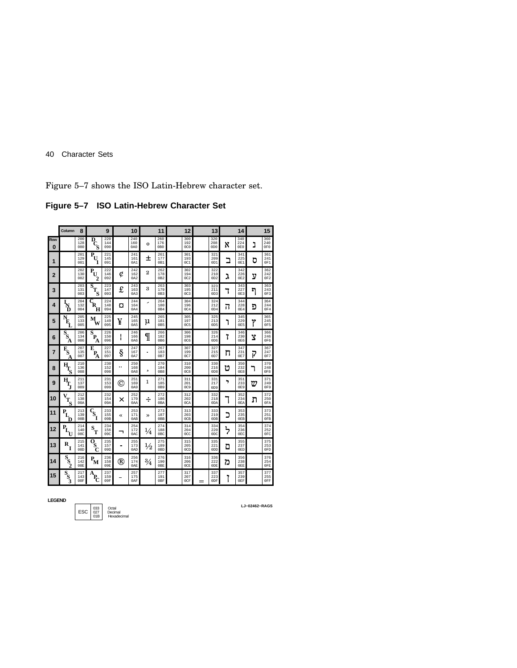Figure 5–7 shows the ISO Latin-Hebrew character set.

**Figure 5–7 ISO Latin-Hebrew Character Set**

|                | Column                                       | 8                 |                                                          | 9                 |              | 10                |                | 11                            | 12                             |     | 13                             |      | 14                |   | 15                |
|----------------|----------------------------------------------|-------------------|----------------------------------------------------------|-------------------|--------------|-------------------|----------------|-------------------------------|--------------------------------|-----|--------------------------------|------|-------------------|---|-------------------|
| Row<br>0       |                                              | 200<br>128<br>080 |                                                          | 220<br>144<br>090 |              | 240<br>160<br>0A0 | $\circ$        | 260<br>176<br>0B <sub>0</sub> | 300<br>192<br>0 <sub>C</sub> 0 |     | 320<br>208<br>0D <sub>0</sub>  | X    | 340<br>224<br>0EO | נ | 360<br>240<br>0F0 |
| 1              |                                              | 201<br>129<br>081 | $\bar{P}_{U}$<br>1                                       | 221<br>145<br>091 |              | 241<br>161<br>0A1 | Ŧ              | 261<br>177<br>0B1             | 301<br>193<br>0C1              |     | 321<br>209<br>0 <sub>D1</sub>  | ב    | 341<br>225<br>0E1 | ס | 361<br>241<br>0F1 |
| $\overline{2}$ |                                              | 202<br>130<br>082 | P<br>U<br>2                                              | 222<br>146<br>092 | ¢            | 242<br>162<br>0A2 | $\overline{2}$ | 262<br>178<br>0B2             | 302<br>194<br>0C2              |     | 322<br>210<br>OD2              | ג    | 342<br>226<br>0E2 | ע | 362<br>242<br>0F2 |
| 3              |                                              | 203<br>131<br>083 | $\overline{s}_{T_{\!S}}$                                 | 223<br>147<br>093 | £            | 243<br>163<br>0A3 | 3              | 263<br>179<br>0B3             | 303<br>195<br>0C3              |     | 323<br>211<br>OD3              | ٦    | 343<br>227<br>0E3 | ግ | 363<br>243<br>OF3 |
| 4              | l<br>D                                       | 204<br>132<br>084 | $\overline{C}_{\overline{\mathbf{R}}_{\mathbf{R}}}$<br>н | 224<br>148<br>094 | O            | 244<br>164<br>0A4 | ,              | 264<br>180<br>0B4             | 304<br>196<br>0C4              |     | 324<br>212<br>OD4              | Π    | 344<br>228<br>0E4 | פ | 364<br>244<br>0F4 |
| 5              | È,                                           | 205<br>133<br>085 | М<br>W                                                   | 225<br>149<br>095 | ¥            | 245<br>165<br>0A5 | μ              | 265<br>181<br>0B5             | 305<br>197<br>0C5              |     | 325<br>213<br>0 <sub>D5</sub>  | ٦    | 345<br>229<br>0E5 | Ÿ | 365<br>245<br>OF5 |
| 6              | $\overline{s_{\rm s}}$<br>A                  | 206<br>134<br>086 | S<br>$\mathbf{P}_{\mathbf{A}}$                           | 226<br>150<br>096 | $\mathbf{I}$ | 246<br>166<br>0A6 | I              | 266<br>182<br>0B6             | 306<br>198<br>0C6              |     | 326<br>214<br>0D6              | 7    | 346<br>230<br>0E6 | ÿ | 366<br>246<br>0F6 |
| $\overline{7}$ | $\mathbf{E}_\mathbf{S}$<br>A                 | 207<br>135<br>087 | E<br>$P_{\rm A}$                                         | 227<br>151<br>097 | ş            | 247<br>167<br>0A7 | $\bullet$      | 267<br>183<br>0B7             | 307<br>199<br>0C7              |     | 327<br>215<br>0D7              | Π    | 347<br>231<br>0E7 | P | 367<br>247<br>0F7 |
| 8              | $\bar{\mathbf{H}}_{\mathbf{\bar{S}}}$        | 210<br>136<br>088 |                                                          | 230<br>152<br>098 |              | 250<br>168<br>0A8 | ۵              | 270<br>184<br>0B8             | 310<br>200<br>0C8              |     | 330<br>216<br>0D8              | υ    | 350<br>232<br>0E8 | ٦ | 370<br>248<br>OF8 |
| 9              | $\overline{H}_{T_{\overline{J}}}$            | 211<br>137<br>089 |                                                          | 231<br>153<br>099 | O)           | 251<br>169<br>0A9 | 1              | 271<br>185<br>0B9             | 311<br>201<br>0C9              |     | 331<br>217<br>0D9              | ,    | 351<br>233<br>0E9 | υ | 371<br>249<br>0F9 |
| 10             | $\bar{v_{T_S}}$                              | 212<br>138<br>08A |                                                          | 232<br>154<br>09A | x            | 252<br>170<br>0AA | ÷              | 272<br>186<br>0BA             | 312<br>202<br>0CA              |     | 332<br>218<br>0 <sub>D</sub> A | ı    | 352<br>234<br>0EA | ת | 372<br>250<br>0FA |
| 11             | $\mathbf{P}_{\mathbf{L}_{\perp}}$<br>D       | 213<br>139<br>08B | $\mathbf{c}_{\mathbf{s}}$<br>T                           | 233<br>155<br>09B | «            | 253<br>171<br>0AB | »              | 273<br>187<br>0 <sub>BB</sub> | 313<br>203<br>0CB              |     | 333<br>219<br>0 <sub>DB</sub>  | כ    | 353<br>235<br>0EB |   | 373<br>251<br>0FB |
| 12             | $\mathbf{P}_{\! \mathbf{L}_{\! \mathbf{U}}}$ | 214<br>140<br>08C | $\mathbf{s}_{_{\mathrm{T}}}$                             | 234<br>156<br>09C | ⇁            | 254<br>172<br>0AC | $\frac{1}{4}$  | 274<br>188<br>0 <sub>BC</sub> | 314<br>204<br>0CC              |     | 334<br>220<br>0 <sub>DC</sub>  | ፟፟፟፟ | 354<br>236<br>0EC |   | 374<br>252<br>0FC |
| 13             | R<br>I                                       | 215<br>141<br>08D | $\overline{\mathbf{Q}}_{\mathbf{S}_{\mathbf{X}}}$<br>Ć   | 235<br>157<br>09D |              | 255<br>173<br>0AD | $\frac{1}{2}$  | 275<br>189<br>0 <sub>BD</sub> | 315<br>205<br>0CD              |     | 335<br>221<br>0 <sub>D</sub>   | ם    | 355<br>237<br>0ED |   | 375<br>253<br>0FD |
| 14             | $\bar{s}_{\rm s}$                            | 216<br>142<br>08E | $\mathbf{P}_{\!\mathbf{M}}$                              | 236<br>158<br>09E | ®            | 256<br>174<br>0AE | $\frac{3}{4}$  | 276<br>190<br>0 <sub>BE</sub> | 316<br>206<br>0CE              |     | 336<br>222<br>0DE              | n    | 356<br>238<br>0EE |   | 376<br>254<br>0FE |
| 15             | $\overline{s}_s$                             | 217<br>143<br>08F | A<br>$\mathbf{P}_{\!\mathbf{C}}$                         | 237<br>159<br>09F |              | 257<br>175<br>0AF |                | 277<br>191<br>0BF             | 317<br>207<br>0CF              | $=$ | 337<br>223<br>0DF              |      | 357<br>239<br>0EF |   | 377<br>255<br>0FF |

**LEGEND**

033 Octal 027 Decimal 01B Hexadecimal ESC

**LJ−02462−RAGS**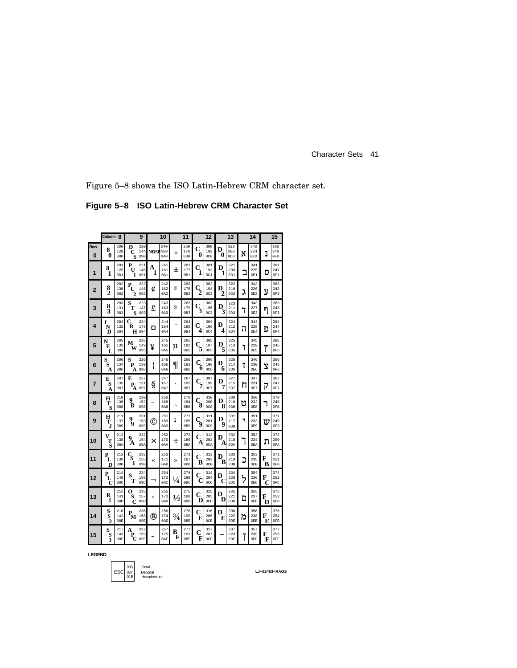Figure 5–8 shows the ISO Latin-Hebrew CRM character set.

**Figure 5–8 ISO Latin-Hebrew CRM Character Set**

|                | Column <sub>8</sub>            |                   |                                  | 9                 |                | 10                |               | 11                            |                           | 12                             |        | 13                            |                | 14                |        | 15                |
|----------------|--------------------------------|-------------------|----------------------------------|-------------------|----------------|-------------------|---------------|-------------------------------|---------------------------|--------------------------------|--------|-------------------------------|----------------|-------------------|--------|-------------------|
| Row<br>0       | 8<br>0                         | 200<br>128<br>080 | D<br>С<br>S                      | 220<br>144<br>090 | <b>NBSP160</b> | 240<br>0A0        | Ó             | 260<br>176<br>0B <sub>0</sub> | $\mathbf C$<br>0          | 300<br>192<br>0 <sub>C</sub> 0 | D<br>0 | 320<br>208<br>0D <sub>0</sub> | X              | 340<br>224<br>0E0 | נ      | 360<br>240<br>0F0 |
| 1              | 8<br>1                         | 201<br>129<br>081 | $\mathbf{P}_{\!\mathbf{U}}$<br>1 | 221<br>145<br>091 | A<br>1         | 241<br>161<br>0A1 | 土             | 261<br>177<br>0B1             | $\mathbf{c}_{\mathbf{i}}$ | 301<br>193<br>0C1              | D<br>1 | 321<br>209<br>OD1             | ב              | 341<br>225<br>0E1 | ס      | 361<br>241<br>0F1 |
| $\overline{2}$ | $\frac{8}{2}$                  | 202<br>130<br>082 | P<br>U<br>2                      | 222<br>146<br>092 | Ć              | 242<br>162<br>0A2 | 2             | 262<br>178<br>0B2             | $\mathbf{C}_2$            | 302<br>194<br>0C2              | D<br>2 | 322<br>210<br>0D2             | λ              | 342<br>226<br>0E2 | ע      | 362<br>242<br>0F2 |
| 3              | $\frac{8}{3}$                  | 203<br>131<br>083 | s<br>т<br>S                      | 223<br>147<br>093 | £              | 243<br>163<br>0A3 | 3             | 263<br>179<br>0B3             | $\frac{C}{3}$             | 303<br>195<br>0C <sub>3</sub>  | D<br>3 | 323<br>211<br>OD3             | ٦              | 343<br>227<br>0E3 | ካ      | 363<br>243<br>OF3 |
| 4              | I<br>Ñ<br>Ď                    | 204<br>132<br>084 | C<br>R<br>н                      | 224<br>148<br>094 | o              | 244<br>164<br>0A4 | ,             | 264<br>180<br>0B4             | C<br>4                    | 304<br>196<br>0C4              | D<br>4 | 324<br>212<br>OD4             | Π              | 344<br>228<br>0E4 | פ      | 364<br>244<br>0F4 |
| 5              | N<br>Е<br>L                    | 205<br>133<br>085 | M<br>W                           | 225<br>149<br>095 | ¥              | 245<br>165<br>0A5 | μ             | 265<br>181<br>0B5             | $\frac{C}{5}$             | 305<br>197<br>0C5              | D<br>5 | 325<br>213<br>0D5             | ٦              | 345<br>229<br>0E5 | Ÿ      | 365<br>245<br>0F5 |
| 6              | s<br>S<br>A                    | 206<br>134<br>086 | S<br>P<br>А                      | 226<br>150<br>096 | ł              | 246<br>166<br>0A6 | I             | 266<br>182<br>0B6             | Ċ<br>6                    | 306<br>198<br>0C6              | D<br>6 | 326<br>214<br>0D6             | 7              | 346<br>230<br>0E6 | Ÿ      | 366<br>246<br>0F6 |
| 7              | E<br>S<br>A                    | 207<br>135<br>087 | E<br>P<br>Α                      | 227<br>151<br>097 | ş              | 247<br>167<br>0A7 |               | 267<br>183<br>0B7             | $\mathbf{c}_{7}$          | 307<br>199<br>0C7              | D<br>7 | 327<br>215<br>0D7             | п              | 347<br>231<br>0E7 | 7      | 367<br>247<br>0F7 |
| 8              | Н<br>$\mathbf{T}_{\mathbf{S}}$ | 210<br>136<br>088 | 9<br>ś.                          | 230<br>152<br>098 |                | 250<br>168<br>0A8 | 5             | 270<br>184<br>0B8             | C<br>8                    | 310<br>200<br>0C8              | D<br>8 | 330<br>216<br>0D8             | υ              | 350<br>232<br>0E8 | ٦      | 370<br>248<br>0F8 |
| 9              | н<br>Ť,                        | 211<br>137<br>089 | $\frac{9}{9}$                    | 231<br>153<br>099 | ⊚              | 251<br>169<br>0A9 | 1             | 271<br>185<br>0B9             | $\mathbf{C}_{9}$          | 311<br>201<br>0C9              | D<br>9 | 331<br>217<br>0D9             | ,              | 351<br>233<br>0E9 | ω      | 371<br>249<br>0F9 |
| 10             | V<br>Τ<br>Š                    | 212<br>138<br>08A | 9<br>A                           | 232<br>154<br>09A | ×              | 252<br>170<br>0AA | ÷             | 272<br>186<br>0BA             | C<br>А                    | 312<br>202<br>0CA              | D<br>A | 332<br>218<br>0DA             |                | 352<br>234<br>0EA | ת      | 372<br>250<br>0FA |
| 11             | P<br>L<br>D                    | 213<br>139<br>08B | $\frac{c}{s}$<br>1               | 233<br>155<br>09B | «              | 253<br>171<br>0AB | $\rightarrow$ | 273<br>187<br>0 <sub>BB</sub> | C<br>в                    | 313<br>203<br>0CB              | D<br>в | 333<br>219<br>0DB             |                | 353<br>235<br>0EB | F<br>B | 373<br>251<br>0FB |
| 12             | P<br>L<br>U                    | 214<br>140<br>08C | S<br>Т                           | 234<br>156<br>09C | ┑              | 254<br>172<br>0AC | $\frac{1}{4}$ | 274<br>188<br>0BC             | C<br>C                    | 314<br>204<br>0CC              | D<br>C | 334<br>220<br>0DC             | $\overline{z}$ | 354<br>236<br>0EC | F<br>C | 374<br>252<br>0FC |
| 13             | R<br>1                         | 215<br>141<br>08D | о<br>S<br>C                      | 235<br>157<br>09D | $\blacksquare$ | 255<br>173<br>0AD | $\frac{1}{2}$ | 275<br>189<br>0 <sub>BD</sub> | C<br>D                    | 315<br>205<br>0CD              | D<br>D | 335<br>221<br>0 <sub>DD</sub> | ם              | 355<br>237<br>0ED | F<br>D | 375<br>253<br>0FD |
| 14             | S<br>Ŝ<br>$\overline{2}$       | 216<br>142<br>08E | $P_{\overline{M}}$               | 236<br>158<br>09E | ®              | 256<br>174<br>0AE | $^{3/4}$      | 276<br>190<br>0BE             | C<br>Е                    | 316<br>206<br>0CE              | D<br>E | 336<br>222<br>0DE             | n              | 356<br>238<br>0EE | F<br>E | 376<br>254<br>0FE |
| 15             | S<br>$\bf{s}$<br>3             | 217<br>143<br>08F | A<br>P<br>C                      | 237<br>159<br>09F |                | 257<br>175<br>0AF | в<br>F        | 277<br>191<br>0BF             | C<br>F                    | 317<br>207<br>0CF              | $=$    | 337<br>223<br>0DF             | 7              | 357<br>239<br>0EF | F<br>F | 377<br>255<br>0FF |

**LEGEND**

033 Octal 027 Decimal 01B Hexadecimal  $ESC \begin{bmatrix} 033 \\ 027 \\ 01B \end{bmatrix}$ 

**LJ−02463−RAGS**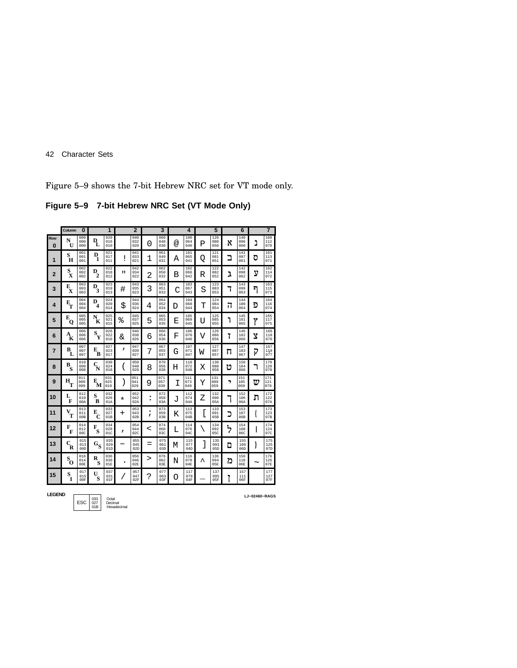Figure 5–9 shows the 7-bit Hebrew NRC set for VT mode only.

**Figure 5–9 7-bit Hebrew NRC Set (VT Mode Only)**

|                 | Column                                       | $\Omega$          |                                       | 1                 |              | $\overline{2}$    |                          | 3                 |   | 4                 |   | 5                 |      | 6                 |   | $\overline{7}$    |
|-----------------|----------------------------------------------|-------------------|---------------------------------------|-------------------|--------------|-------------------|--------------------------|-------------------|---|-------------------|---|-------------------|------|-------------------|---|-------------------|
| Row<br>$\bf{0}$ | N<br>U                                       | 000<br>000<br>000 | D<br>L                                | 020<br>016<br>010 |              | 040<br>032<br>020 | 0                        | 060<br>048<br>030 | @ | 100<br>064<br>040 | Ρ | 120<br>080<br>050 | X    | 140<br>096<br>060 | נ | 160<br>112<br>070 |
| $\mathbf{1}$    | S<br>H                                       | 001<br>001<br>001 | D<br>1                                | 021<br>017<br>011 | ï            | 041<br>033<br>021 | 1                        | 061<br>049<br>031 | Α | 101<br>065<br>041 | Q | 121<br>081<br>051 | ב    | 141<br>097<br>061 | ס | 161<br>113<br>071 |
| $\overline{2}$  | $\mathbf{s}_{\mathbf{x}}$                    | 002<br>002<br>002 | $\mathbf{D}_{\!\!2}^{\phantom{\dag}}$ | 022<br>018<br>012 | п            | 042<br>034<br>022 | 2                        | 062<br>050<br>032 | B | 102<br>066<br>042 | R | 122<br>082<br>052 | ג    | 142<br>098<br>062 | ע | 162<br>114<br>072 |
| 3               | Е<br>X                                       | 003<br>003<br>003 | D<br>3                                | 023<br>019<br>013 | #            | 043<br>035<br>023 | 3                        | 063<br>051<br>033 | C | 103<br>067<br>043 | S | 123<br>083<br>053 | ٦    | 143<br>099<br>063 | ግ | 163<br>115<br>073 |
| 4               | $\mathbf{E}_{\mathbf{T}}$                    | 004<br>004<br>004 | D<br>4                                | 024<br>020<br>014 | \$           | 044<br>036<br>024 | 4                        | 064<br>052<br>034 | D | 104<br>068<br>044 | т | 124<br>084<br>054 | π    | 144<br>100<br>064 | פ | 164<br>116<br>074 |
| 5               | Е<br>Q                                       | 005<br>005<br>005 | N<br>ÌК                               | 025<br>021<br>015 | ిం           | 045<br>037<br>025 | 5                        | 065<br>053<br>035 | Ε | 105<br>069<br>045 | U | 125<br>085<br>055 | ٦    | 145<br>101<br>065 | Ÿ | 165<br>117<br>075 |
| 6               | $\mathbf{A}_{\!\mathbf{K}}^{\phantom{\dag}}$ | 006<br>006<br>006 | $\mathbf{s}_{\mathbf{Y}}$             | 026<br>022<br>016 | &            | 046<br>038<br>026 | 6                        | 066<br>054<br>036 | F | 106<br>070<br>046 | V | 126<br>086<br>056 | 7    | 146<br>102<br>066 | Ÿ | 166<br>118<br>076 |
| $\overline{7}$  | В<br>L                                       | 007<br>007<br>007 | Е<br>в                                | 027<br>023<br>017 | $\mathbf{r}$ | 047<br>039<br>027 | 7                        | 067<br>055<br>037 | G | 107<br>071<br>047 | W | 127<br>087<br>057 | π    | 147<br>103<br>067 | P | 167<br>119<br>077 |
| 8               | $B_S$                                        | 010<br>008<br>008 | $\mathbf{C}_\mathbf{N}$               | 030<br>024<br>018 |              | 050<br>040<br>028 | 8                        | 070<br>056<br>038 | Н | 110<br>072<br>048 | Х | 130<br>088<br>058 | υ    | 150<br>104<br>068 | ٦ | 170<br>120<br>078 |
| 9               | $H_T$                                        | 011<br>009<br>009 | E<br>м                                | 031<br>025<br>019 |              | 051<br>041<br>029 | 9                        | 071<br>057<br>039 | Ι | 111<br>073<br>049 | Y | 131<br>089<br>059 | ,    | 151<br>105<br>069 | ω | 171<br>121<br>079 |
| 10              | L<br>F                                       | 012<br>010<br>00A | S<br>B                                | 032<br>026<br>01A | $^\star$     | 052<br>042<br>02A | :                        | 072<br>058<br>03A | J | 112<br>074<br>04A | Ζ | 132<br>090<br>05A |      | 152<br>106<br>06A | ת | 172<br>122<br>07A |
| 11              | V<br>T                                       | 013<br>011<br>00B | Е<br>С                                | 033<br>027<br>01B | $\pm$        | 053<br>043<br>02B | $\mathbf{r}$             | 073<br>059<br>03B | K | 113<br>075<br>04B | [ | 133<br>091<br>05B | כ    | 153<br>107<br>06B | { | 173<br>123<br>07B |
| 12              | F<br>F                                       | 014<br>012<br>00C | F<br>S                                | 034<br>028<br>01C | $\mathbf{r}$ | 054<br>044<br>02C | $\overline{\phantom{a}}$ | 074<br>060<br>03C | L | 114<br>076<br>04C |   | 134<br>092<br>05C | ፟፟፟፟ | 154<br>108<br>06C |   | 174<br>124<br>07C |
| 13              | $\mathbf{c}_{\mathbf{R}}^{\phantom{\dag}}$   | 015<br>013<br>00D | $\mathbf{G}_{\mathbf{S}}$             | 035<br>029<br>01D |              | 055<br>045<br>02D | $=$                      | 075<br>061<br>03D | М | 115<br>077<br>04D | 1 | 135<br>093<br>05D | ם    | 155<br>109<br>06D | } | 175<br>125<br>07D |
| 14              | $\mathbf{s}_0$                               | 016<br>014<br>00E | R<br>S                                | 036<br>030<br>01E | ٠            | 056<br>046<br>02E | >                        | 076<br>062<br>03E | N | 116<br>078<br>04E | ᄉ | 136<br>094<br>05E | n    | 156<br>110<br>06E | ~ | 176<br>126<br>07E |
| 15              | S<br>Ī                                       | 017<br>015<br>00F | U<br>S                                | 037<br>031<br>01F |              | 057<br>047<br>02F | د.                       | 077<br>063<br>03F | O | 117<br>079<br>04F |   | 137<br>095<br>05F | 7    | 157<br>111<br>06F |   | 177<br>127<br>07F |

**LEGEND LJ−02460-RAGS**<br> **LJ−02460-RAGS**<br>
01B Hexadecimal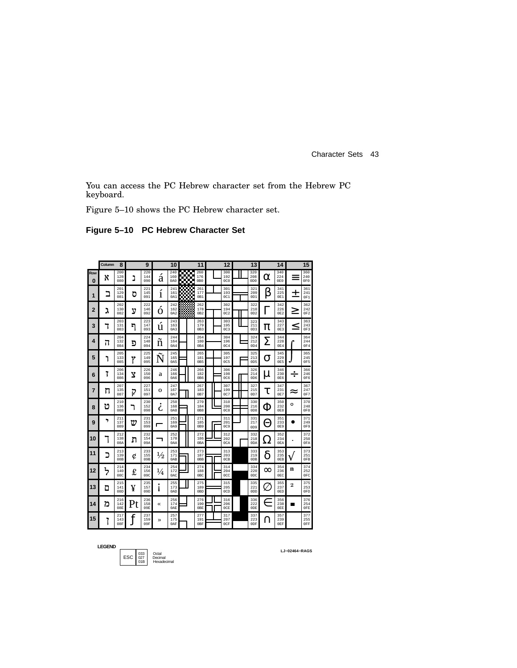You can access the PC Hebrew character set from the Hebrew PC keyboard.

Figure 5–10 shows the PC Hebrew character set.

**Figure 5–10 PC Hebrew Character Set**

|          | Column<br>8<br>9 |                   | 10 |                   |                 | 11                | 12          |                                |  | 13                            |  |  | 14                                        |            | 15                            |                |                               |
|----------|------------------|-------------------|----|-------------------|-----------------|-------------------|-------------|--------------------------------|--|-------------------------------|--|--|-------------------------------------------|------------|-------------------------------|----------------|-------------------------------|
| Row<br>0 | x                | 200<br>128<br>080 | נ  | 220<br>144<br>090 | á               | 240<br>160<br>0A0 | ▩<br>г<br>w | 260<br>176<br>0B <sub>0</sub>  |  | 300<br>192<br>0C0             |  |  | 320<br>208<br>0 <sub>D</sub> <sub>0</sub> | α          | 340<br>224<br>0E0             | =              | 360<br>240<br>0F0             |
| 1        | Ξ                | 201<br>129<br>081 | ס  | 221<br>145<br>091 | Ì               | 241<br>161<br>0A1 | т.          | 261<br>177<br>0B1              |  | 301<br>193<br>0C1             |  |  | 321<br>209<br>OD1                         | β          | 341<br>225<br>0E1             | ┿              | 361<br>241<br>0F1             |
| 2        | ٦                | 202<br>130<br>082 | ע  | 222<br>146<br>092 | O               | 242<br>162<br>0A2 |             | 262<br>178<br>0B2              |  | 302<br>194<br>0C2             |  |  | 322<br>210<br>OD2                         |            | 342<br>226<br>0E2             | ↗              | 362<br>242<br>0F2             |
| 3        |                  | 203<br>131<br>083 | ግ  | 223<br>147<br>093 | u               | 243<br>163<br>0A3 |             | 263<br>179<br>0B3              |  | 303<br>195<br>0C <sub>3</sub> |  |  | 323<br>211<br>OD3                         | π          | 343<br>227<br>0E3             | <              | 363<br>243<br>0F3             |
| 4        | ה                | 204<br>132<br>084 | פ  | 224<br>148<br>094 | n               | 244<br>164<br>0A4 |             | 264<br>180<br>0B4              |  | 304<br>196<br>0C4             |  |  | 324<br>212<br>0D4                         | Σ          | 344<br>228<br>0E4             |                | 364<br>244<br>0F4             |
| 5        | ٦                | 205<br>133<br>085 | γ  | 225<br>149<br>095 | $\tilde{}$<br>ľ | 245<br>165<br>0A5 |             | 265<br>181<br>0B5              |  | 305<br>197<br>0C5             |  |  | 325<br>213<br>0D5                         | O          | 345<br>229<br>0E5             |                | 365<br>245<br>OF <sub>5</sub> |
| 6        | 7                | 206<br>134<br>086 | Y  | 226<br>150<br>096 | a               | 246<br>166<br>0A6 |             | 266<br>182<br>0B6              |  | 306<br>198<br><b>0C6</b>      |  |  | 326<br>214<br>0D6                         | μ          | 346<br>230<br>0E6             | ÷              | 366<br>246<br>0F6             |
| 7        | п                | 207<br>135<br>087 | ī  | 227<br>151<br>097 | О               | 247<br>167<br>0A7 |             | 267<br>183<br>0B7              |  | 307<br>199<br>0C7             |  |  | 327<br>215<br>0D7                         | τ          | 347<br>231<br>0E7             | ≈              | 367<br>247<br>0F7             |
| 8        | υ                | 210<br>136<br>088 |    | 230<br>152<br>098 | 6               | 250<br>168<br>0A8 |             | 270<br>184<br>0B8              |  | 310<br>200<br>0C8             |  |  | 330<br>216<br>0D8                         | Ф          | 350<br>232<br>0E8             | O              | 370<br>248<br>0F8             |
| 9        | ,                | 211<br>137<br>089 | w  | 231<br>153<br>099 | г               | 251<br>169<br>0A9 |             | 271<br>185<br>0B9              |  | 311<br>201<br>0C9             |  |  | 331<br>217<br>0D9                         | Н          | 351<br>233<br>0E9             |                | 371<br>249<br>0F9             |
| 10       |                  | 212<br>138<br>08A | л  | 232<br>154<br>09A |                 | 252<br>170<br>0AA |             | 272<br>186<br>0 <sub>B</sub> A |  | 312<br>202<br>0CA             |  |  | 332<br>218<br>0 <sub>D</sub> A            | <u>( )</u> | 352<br>234<br>0EA             | ٠              | 372<br>250<br>0FA             |
| 11       | כ                | 213<br>139<br>08B | Ć  | 233<br>155<br>09B | $\frac{1}{2}$   | 253<br>171<br>0AB |             | 273<br>187<br>0 <sub>BB</sub>  |  | 313<br>203<br>0CB             |  |  | 333<br>219<br>0 <sub>DB</sub>             | δ          | 353<br>235<br>0EB             |                | 373<br>251<br>0FB             |
| 12       | ፟፟፟              | 214<br>140<br>08C | £  | 234<br>156<br>09C | $\frac{1}{4}$   | 254<br>172<br>0AC |             | 274<br>188<br>0 <sub>BC</sub>  |  | 314<br>204<br>0CC             |  |  | 334<br>220<br>0 <sub>DC</sub>             | $\infty$   | 354<br>236<br>0 <sub>EC</sub> | n              | 374<br>252<br>0FC             |
| 13       | ם                | 215<br>141<br>08D | ¥  | 235<br>157<br>09D |                 | 255<br>173<br>0AD |             | 275<br>189<br>0 <sub>BD</sub>  |  | 315<br>205<br>0CD             |  |  | 335<br>221<br>0 <sub>DD</sub>             |            | 355<br>237<br>0ED             | $\overline{2}$ | 375<br>253<br>0FD             |
| 14       | מ                | 216<br>142<br>08E |    | 236<br>158<br>09E | «               | 256<br>174<br>0AE |             | 276<br>190<br>0 <sub>BE</sub>  |  | 316<br>206<br>0CE             |  |  | 336<br>222<br>0 <sub>DE</sub>             | Е          | 356<br>238<br>0EE             | ш              | 376<br>254<br>0FE             |
| 15       | ٠                | 217<br>143<br>08F |    | 237<br>159<br>09F | »               | 257<br>175<br>0AF |             | 277<br>191<br>0BF              |  | 317<br>207<br>0CF             |  |  | 337<br>223<br>0DF                         |            | 357<br>239<br>0EF             |                | 377<br>255<br>0FF             |

**LEGEND**

033 Octal 027 Decimal 01B Hexadecimal ESC

**LJ−02464−RAGS**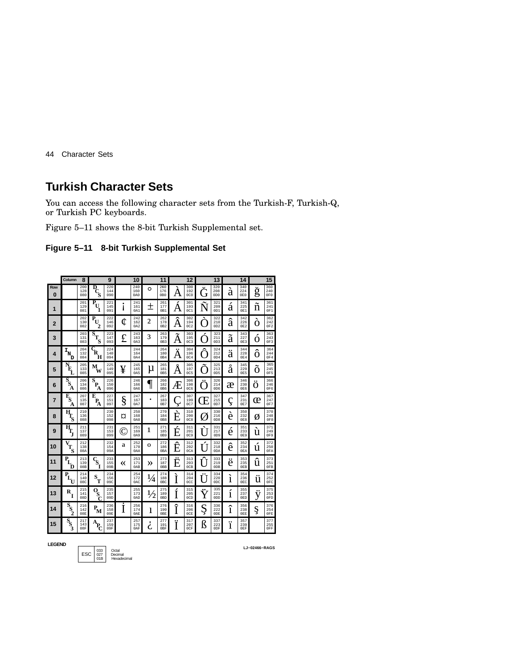## **Turkish Character Sets**

You can access the following character sets from the Turkish-F, Turkish-Q, or Turkish PC keyboards.

Figure 5–11 shows the 8-bit Turkish Supplemental set.

|  |  | Figure 5-11 8-bit Turkish Supplemental Set |  |
|--|--|--------------------------------------------|--|
|--|--|--------------------------------------------|--|

|                | Column                               | 8                 |                                            | 9                 |    | 10                |                | 11                             |              | 12                            |              | 13                             |              | 14                            |        | 15                            |
|----------------|--------------------------------------|-------------------|--------------------------------------------|-------------------|----|-------------------|----------------|--------------------------------|--------------|-------------------------------|--------------|--------------------------------|--------------|-------------------------------|--------|-------------------------------|
| Row<br>O       |                                      | 200<br>128<br>080 | D<br>Ś                                     | 220<br>144<br>090 |    | 240<br>160<br>0A0 | $\circ$        | 260<br>176<br>0B0              | A            | 300<br>192<br>0C0             | ۱i           | 320<br>208<br>0 <sub>D</sub> O | à            | 340<br>224<br>0E0             | ġ      | 360<br>240<br>0F0             |
| 1              |                                      | 201<br>129<br>081 | P<br>U                                     | 221<br>145<br>091 | ۱  | 241<br>161<br>0A1 | $^+$           | 261<br>177<br>0 <sub>R1</sub>  | A            | 301<br>193<br>0C1             | T            | 321<br>209<br>0D1              | à            | 341<br>225<br>0E1             | ñ      | 361<br>241<br>0F1             |
| $\overline{2}$ |                                      | 202<br>130<br>082 | P.<br>$\mathbf{U}$<br>$\overline{c}$       | 222<br>146<br>092 | ¢  | 242<br>162<br>0A2 | $\overline{2}$ | 262<br>178<br>0B2              | ^<br>Ä       | 302<br>194<br>0C2             |              | 322<br>210<br>0 <sub>D</sub> 2 | â            | 342<br>226<br>0E2             | O      | 362<br>242<br>0F <sub>2</sub> |
| 3              |                                      | 203<br>131<br>083 | S<br>$\mathbf{T}_{\mathbf{S}}$             | 223<br>147<br>093 | £  | 243<br>163<br>0A3 | 3              | 263<br>179<br>0B3              | A            | 303<br>195<br>0C <sub>3</sub> |              | 323<br>211<br>0D3              | a            | 343<br>227<br>0E3             | Ó      | 363<br>243<br>OF3             |
| 4              | I<br>'N<br>D                         | 204<br>132<br>084 | $\boldsymbol{\varsigma}_{\textbf{R}}$<br>н | 224<br>148<br>094 |    | 244<br>164<br>0A4 |                | 264<br>180<br>0 <sub>R4</sub>  | <br>A        | 304<br>196<br>0C4             |              | 324<br>212<br>0D4              | <br>a        | 344<br>228<br>0E4             | ^<br>Õ | 364<br>244<br>0F4             |
| 5              | N<br>E,                              | 205<br>133<br>085 | м<br>w                                     | 225<br>149<br>095 | ¥  | 245<br>165<br>0A5 | μ              | 265<br>181<br>0B5              | $\circ$<br>A | 305<br>197<br>0C5             | $\sim$       | 325<br>213<br>0D5              | $\circ$<br>à | 345<br>229<br>0E5             | O      | 365<br>245<br>OF5             |
| 6              | $\mathbf{s}_{\mathrm{s}}$<br>А       | 206<br>134<br>086 | $\overline{\mathbf{s}}$<br>P<br>A          | 226<br>150<br>096 |    | 246<br>166<br>0A6 |                | 266<br>182<br>0B6              | Æ            | 306<br>198<br><b>0C6</b>      |              | 326<br>214<br>0D6              | æ            | 346<br>230<br>0E6             | <br>O  | 366<br>246<br>0F6             |
| 7              | $\bar{\mathbf{E}}_\mathrm{S}$<br>А   | 207<br>135<br>087 | E<br>$\mathbf{P}_{\!\!\mathbf{A}}$         | 227<br>151<br>097 | §  | 247<br>167<br>0A7 | ٠              | 267<br>183<br>0B7              | 3            | 307<br>199<br>0C7             | $\mathsf{H}$ | 327<br>215<br>0D7              | ç            | 347<br>231<br>0E7             | œ      | 367<br>247<br>0F7             |
| 8              | н<br>S                               | 210<br>136<br>088 |                                            | 230<br>152<br>098 | ¤  | 250<br>168<br>0A8 |                | 270<br>184<br>0B <sub>8</sub>  | E            | 310<br>200<br>0C8             | k            | 330<br>216<br>0D8              | è            | 350<br>232<br>0E8             | ø      | 370<br>248<br>0F8             |
| 9              | н                                    | 211<br>137<br>089 |                                            | 231<br>153<br>099 | (C | 251<br>169<br>0A9 | 1              | 271<br>185<br>0B9              | ∕<br>É       | 311<br>201<br>0C9             |              | 331<br>217<br>0D9              | è            | 351<br>233<br>0E9             | Ú      | 371<br>249<br>0F9             |
| 10             | $\mathbf{T_{S}}$                     | 212<br>138<br>08A |                                            | 232<br>154<br>09A | a  | 252<br>170<br>0AA | О              | 272<br>186<br>0 <sub>B</sub> A | ^<br>E       | 312<br>202<br>0CA             |              | 332<br>218<br>0 <sub>D</sub> A | ê            | 352<br>234<br>0EA             | ú      | 372<br>250<br>0FA             |
| 11             | P<br>D                               | 213<br>139<br>08B | $\bar{\mathbf{s}}_{_{\mathbf{I}}}$         | 233<br>155<br>09B | ≪  | 253<br>171<br>0AB | ≫              | 273<br>187<br>0 <sub>BB</sub>  | <br>E        | 313<br>203<br>0 <sub>CR</sub> |              | 333<br>219<br>0DB              | ë            | 353<br>235<br>0EB             | û      | 373<br>251<br>0FB             |
| 12             | P<br>T١                              | 214<br>140<br>08C | S<br>T                                     | 234<br>156<br>09C |    | 254<br>172<br>0AC | $\frac{1}{4}$  | 274<br>188<br>0 <sub>BC</sub>  | Ì            | 314<br>204<br>0CC             |              | 334<br>220<br>0 <sub>DC</sub>  | ì            | 354<br>236<br>0 <sub>EC</sub> | <br>ü  | 374<br>252<br>0FC             |
| 13             | R<br>Т                               | 215<br>141<br>08D | о<br>Ś<br>C                                | 235<br>157<br>09D |    | 255<br>173<br>0AD | $\frac{1}{2}$  | 275<br>189<br>0 <sub>BD</sub>  | I            | 315<br>205<br>0CD             |              | 335<br>221<br>0 <sub>D</sub>   | 1            | 355<br>237<br>0ED             | V      | 375<br>253<br>0FD             |
| 14             | $\overline{s}_{\!\!\!S\!_{\!\!\!2}}$ | 216<br>142<br>08E | $\mathbf{P}_{\!\mathbf{M}}$                | 236<br>158<br>09R | I  | 256<br>174<br>0AE | 1              | 276<br>190<br>OBE              | î<br>ı       | 316<br>206<br>0CF             | ų            | 336<br>222<br>ODE              | ^<br>1       | 356<br>238<br>OEE             | Ş      | 376<br>254<br>0FE             |
| 15             | $S_S$                                | 217<br>143<br>08F | А<br>P.                                    | 237<br>159<br>09F |    | 257<br>175<br>0AF | 6              | 277<br>191<br>0BF              |              | 317<br>207<br>0CF             | ß            | 337<br>223<br>0DF              | <br>1        | 357<br>239<br>0EF             |        | 377<br>255<br>0FF             |

**LEGEND**

ESC 033 Octal<br>
01B Decimal<br>
Hexadecimal

**LJ−02466−RAGS**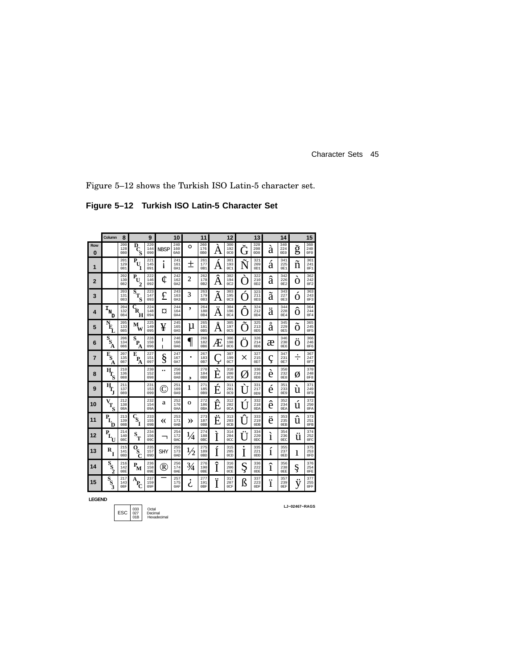Figure 5–12 shows the Turkish ISO Latin-5 character set.

**Figure 5–12 Turkish ISO Latin-5 Character Set**

|                 | Column                                                   | 8                             |                                                   | 9                 |            | 10                |               | 11                             |        | 12                            |           | 13                             |        | 14                |        | 15                            |
|-----------------|----------------------------------------------------------|-------------------------------|---------------------------------------------------|-------------------|------------|-------------------|---------------|--------------------------------|--------|-------------------------------|-----------|--------------------------------|--------|-------------------|--------|-------------------------------|
| Row<br>$\bf{0}$ |                                                          | 200<br>128<br>080             | $\overline{D}_C$                                  | 220<br>144<br>090 | NBSP       | 240<br>160<br>0A0 | O             | 260<br>176<br>0B <sub>0</sub>  | A      | 300<br>192<br>0C0             | ίŤ        | 320<br>208<br>0D <sub>0</sub>  | à      | 340<br>224<br>0E0 | ğ      | 360<br>240<br>0F <sub>0</sub> |
| 1               |                                                          | 201<br>129<br>081             | $\bar{\textbf{P}}_{\textbf{U}}$<br>1              | 221<br>145<br>091 |            | 241<br>161<br>0A1 | 土             | 261<br>177<br>0B1              | Α      | 301<br>193<br>0C1             | N         | 321<br>209<br>0 <sub>D1</sub>  | á      | 341<br>225<br>0E1 | ñ      | 361<br>241<br>0F1             |
| $\overline{2}$  |                                                          | 202<br>130<br>082             | $\mathbf{P}_{\!\mathbf{U}}$<br>$\mathbf{2}$       | 222<br>146<br>092 | ¢          | 242<br>162<br>0A2 | $\mathbf{z}$  | 262<br>178<br>0B2              | Â      | 302<br>194<br>0C2             | ⊖         | 322<br>210<br>OD2              | â      | 342<br>226<br>0E2 | Ò      | 362<br>242<br>0F2             |
| 3               |                                                          | 203<br>131<br>083             | $\overline{s}_{T_S}$                              | 223<br>147<br>093 | £          | 243<br>163<br>0A3 | 3             | 263<br>179<br>0B3              | Ã      | 303<br>195<br>0C <sub>3</sub> | Ń         | 323<br>211<br>OD3              | ã      | 343<br>227<br>0E3 | Ŏ      | 363<br>243<br>0F3             |
| 4               | $\mathbf{I}_{\mathbf{N}_{\mathrm{c}}}$<br>D              | 204<br>132<br>084             | $\overline{c}_{\mathbf{k}}$<br>н                  | 224<br>148<br>094 | ¤          | 244<br>164<br>0A4 | ,             | 264<br>180<br>0B4              | <br>A  | 304<br>196<br>0C4             |           | 324<br>212<br>OD4              | ä      | 344<br>228<br>0E4 | Ô      | 364<br>244<br>0F4             |
| 5               | $\bar{N}_{\!\!\!E_{\!\!\!f}}$                            | 205<br>133<br>085             | $\mathbf{\bar{M}_{W}}$                            | 225<br>149<br>095 | ¥          | 245<br>165<br>0A5 | μ             | 265<br>181<br>0 <sub>B5</sub>  | o<br>A | 305<br>197<br>0C5             |           | 325<br>213<br>0 <sub>D5</sub>  | o<br>á | 345<br>229<br>0E5 | õ      | 365<br>245<br>0F5             |
| 6               | $\bar{\mathbf{s}}_{\mathbf{s}_{\mathrm{a}}}$<br>Ά        | 206<br>134<br>086             | $\bar{\mathbf{s}}_\mathbf{p}$<br>A                | 226<br>150<br>096 | ı<br>ı     | 246<br>166<br>0A6 | 1             | 266<br>182<br>0 <sub>B6</sub>  | Æ      | 306<br>198<br>0C6             | ۰         | 326<br>214<br>0D6              | æ      | 346<br>230<br>0E6 | O      | 366<br>246<br>0F6             |
| 7               | $\bar{\mathbf{F}}_\mathrm{S}$<br>A                       | 207<br>135<br>087             | E<br>$P_{\rm A}$                                  | 227<br>151<br>097 | Ş          | 247<br>167<br>0A7 | ۰             | 267<br>183<br>0B7              | 3      | 307<br>199<br>0C7             | $\times$  | 327<br>215<br>0D7              | ç      | 347<br>231<br>0E7 | ٠<br>7 | 367<br>247<br>0F7             |
| 8               | $\bar{\mathbf{H}}_{\!\!\mathbf{S}}$                      | 210<br>136<br>088             |                                                   | 230<br>152<br>098 |            | 250<br>168<br>0A8 | 3             | 270<br>184<br>0B8              | ↖<br>È | 310<br>200<br>0C8             | $\varphi$ | 330<br>216<br>0D8              | è      | 350<br>232<br>0E8 | Ø      | 370<br>248<br>OF <sub>8</sub> |
| 9               | $\bar{\mathbf{H}}_{\!\!\!\mathbf{T}_{\!\!\!\mathbf{j}}}$ | 211<br>137<br>089             |                                                   | 231<br>153<br>099 | C          | 251<br>169<br>0A9 | 1             | 271<br>185<br>0B9              | ∕<br>É | 311<br>201<br>0C9             |           | 331<br>217<br>0D9              | é      | 351<br>233<br>0E9 | ù      | 371<br>249<br>0F9             |
| 10              | $\bar{v_{T_S}}$                                          | 212<br>138<br>08A             |                                                   | 232<br>154<br>09A | a          | 252<br>170<br>0AA | O             | 272<br>186<br>0 <sub>B</sub> A | Ê      | 312<br>202<br>0CA             | Ú         | 332<br>218<br>0 <sub>D</sub> A | ê      | 352<br>234<br>0EA | ú      | 372<br>250<br>0FA             |
| 11              | $\mathbf{P}_{\mathbf{L}_{\mathbf{D}}}$                   | 213<br>139<br>08B             | $\mathbf{c}_{\mathbf{s}_{\mathbf{I}}}$            | 233<br>155<br>09B | ≪          | 253<br>171<br>0AB | ≫             | 273<br>187<br>0BB              | Ë      | 313<br>203<br>0CB             |           | 333<br>219<br>0 <sub>DB</sub>  | ë      | 353<br>235<br>0EB | û      | 373<br>251<br>0FB             |
| 12              | $\overline{\mathbf{P}}_{\!\!\mathbf{L}_{\!\mathbf{U}}}$  | 214<br>140<br>08 <sub>C</sub> | $\mathbf{s}_{_{\mathrm{T}}}$                      | 234<br>156<br>09C |            | 254<br>172<br>0AC | $\frac{1}{4}$ | 274<br>188<br>0 <sub>BC</sub>  | Ì      | 314<br>204<br>0 <sub>C</sub>  |           | 334<br>220<br>0 <sub>DC</sub>  | ì      | 354<br>236<br>0EC | ü      | 374<br>252<br>0FC             |
| 13              | R<br>T                                                   | 215<br>141<br>08D             | $\overline{\mathbf{0}}_{\mathbf{S}_{\mathbf{C}}}$ | 235<br>157<br>09D | <b>SHY</b> | 255<br>173<br>0AD | $\frac{1}{2}$ | 275<br>189<br>0 <sub>BD</sub>  | Í      | 315<br>205<br>0CD             | ٠<br>I    | 335<br>221<br>0 <sub>DD</sub>  | í      | 355<br>237<br>0ED | 1      | 375<br>253<br>0FD             |
| 14              | $\bar{s}_{\rm s}$                                        | 216<br>142<br>08E             | $P_{\mathbf{M}}$                                  | 236<br>158<br>09E | ®          | 256<br>174<br>0AE | $\frac{3}{4}$ | 276<br>190<br>0BE              | Î      | 316<br>206<br>0CE             | c<br>ų    | 336<br>222<br>0DE              | î      | 356<br>238<br>0EE | ş      | 376<br>254<br>0FE             |
| 15              | $\bar{s}_{\rm s}$                                        | 217<br>143<br>08F             | $\mathbf{A}_{\mathbf{P_C}}$                       | 237<br>159<br>09F |            | 257<br>175<br>0AF | i,            | 277<br>191<br>0 <sub>BF</sub>  | Ï      | 317<br>207<br>0CF             | ß         | 337<br>223<br>0 <sub>DF</sub>  | ï      | 357<br>239<br>0EF |        | 377<br>255<br>0FF             |

**LEGEND**

$$
\begin{array}{c|c}\n\text{ESC} & \begin{array}{c}\n033 \\
027 \\
01B\n\end{array} & \begin{array}{c}\n\text{Octal} \\
\text{Decimal} \\
\text{Hexadecimal}\n\end{array}\n\end{array}
$$

**LJ−02467−RAGS**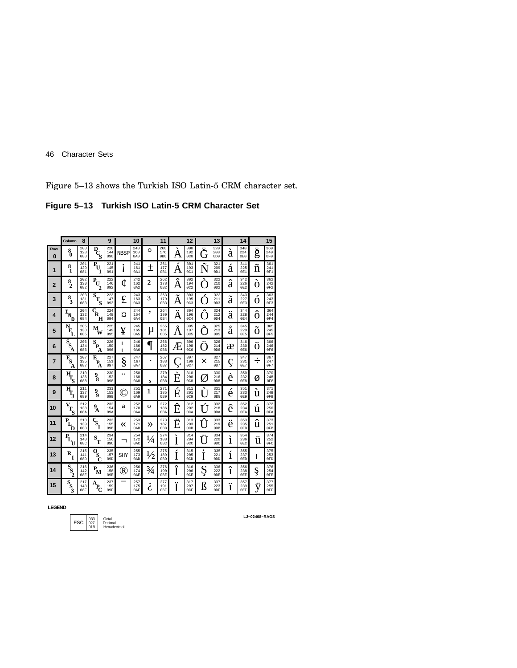Figure 5–13 shows the Turkish ISO Latin-5 CRM character set.

**Figure 5–13 Turkish ISO Latin-5 CRM Character Set**

|                | Column                                                                 | 8                 |                                                   | 9                 |             | 10                |                | 11                             |              | 12                             |                     | 13                             |              | 14                |   | 15                            |
|----------------|------------------------------------------------------------------------|-------------------|---------------------------------------------------|-------------------|-------------|-------------------|----------------|--------------------------------|--------------|--------------------------------|---------------------|--------------------------------|--------------|-------------------|---|-------------------------------|
| Row<br>O       | $_{0}^{8}$                                                             | 200<br>128<br>080 | $\overline{D}_{C_{S}}$                            | 220<br>144<br>090 | <b>NBSP</b> | 240<br>160<br>0A0 | $\circ$        | 260<br>176<br>0B0              | А            | 300<br>192<br>0 <sub>C</sub> 0 | Ğ                   | 320<br>208<br>0D <sub>0</sub>  | à            | 340<br>224<br>0E0 | g | 360<br>240<br>0F <sub>0</sub> |
| 1              | 8<br>1                                                                 | 201<br>129<br>081 | P<br>$\mathbf{u}_1$                               | 221<br>145<br>091 | I           | 241<br>161<br>0A1 | 土              | 261<br>177<br>0B1              | A            | 301<br>193<br>0C1              | Ñ                   | 321<br>209<br>0D1              | á            | 341<br>225<br>0E1 | ñ | 361<br>241<br>0F1             |
| $\overline{2}$ | $\frac{8}{2}$                                                          | 202<br>130<br>082 | $\bar{\textbf{P}}_{\textbf{U}}$<br>$\overline{c}$ | 222<br>146<br>092 | ¢           | 242<br>162<br>0A2 | $\overline{2}$ | 262<br>178<br>0B2              | Ą<br>Â       | 302<br>194<br>0C2              | ↘                   | 322<br>210<br>0D2              | â            | 342<br>226<br>0E2 | O | 362<br>242<br>0F2             |
| 3              | $\frac{8}{3}$                                                          | 203<br>131<br>083 | $\overline{s}_{T_{\!S}}$                          | 223<br>147<br>093 | £           | 243<br>163<br>0A3 | 3              | 263<br>179<br>0B3              | A            | 303<br>195<br>0C <sub>3</sub>  |                     | 323<br>211<br>OD3              | ã            | 343<br>227<br>0E3 | O | 363<br>243<br>0F3             |
| 4              | $\mathbf{I}_{\mathbf{N}}$<br>ת                                         | 204<br>132<br>084 | $\vec{\varsigma}_{\textbf{R}}$<br>н               | 224<br>148<br>094 | ¤           | 244<br>164<br>0A4 | ,              | 264<br>180<br>0B4              | <br>A        | 304<br>196<br>0C4              | $\hat{\mathcal{L}}$ | 324<br>212<br>OD4              | <br>a        | 344<br>228<br>0E4 | ô | 364<br>244<br>0F4             |
| 5              | N                                                                      | 205<br>133<br>085 | M<br>W                                            | 225<br>149<br>095 | ¥           | 245<br>165<br>0A5 | μ              | 265<br>181<br>0B5              | $\circ$<br>A | 305<br>197<br>0C5              |                     | 325<br>213<br>0D5              | $\circ$<br>a | 345<br>229<br>085 | O | 365<br>245<br>0F5             |
| 6              | $\overline{\mathbf{s}}_{\mathbf{s}}$<br>Ά                              | 206<br>134<br>086 | $\bar{s}_{\rm P_{\!A}}$                           | 226<br>150<br>096 | ı<br>ı      | 246<br>166<br>0A6 |                | 266<br>182<br>0 <sub>B6</sub>  | Æ            | 306<br>198<br>0C6              | Ö                   | 326<br>214<br>0D6              | æ            | 346<br>230<br>0E6 | ö | 366<br>246<br>0F6             |
| 7              | $\bar{\mathbf{F}}_\mathrm{S}$<br>A                                     | 207<br>135<br>087 | E<br>$P_{\rm A}$                                  | 227<br>151<br>097 | §           | 247<br>167<br>0A7 |                | 267<br>183<br>0B7              | 5            | 307<br>199<br>0C7              | $\times$            | 327<br>215<br>0D7              | ç            | 347<br>231<br>0E7 | ٠ | 367<br>247<br>0F7             |
| 8              | $\overline{\mathbf{H}}_\mathbf{S}$                                     | 210<br>136<br>088 | 9<br>`8                                           | 230<br>152<br>098 |             | 250<br>168<br>0A8 | 3              | 270<br>184<br>0B8              | E            | 310<br>200<br>0C8              | Ø                   | 330<br>216<br>0 <sub>D</sub> 8 | è            | 350<br>232<br>OE8 | Ø | 370<br>248<br>0F8             |
| 9              | $\overline{\mathbf{H}}_{\mathbf{T}_{\mathbf{J}}}$                      | 211<br>137<br>089 | 9<br>ğ,                                           | 231<br>153<br>099 | C           | 251<br>169<br>0A9 | 1              | 271<br>185<br>0B9              | É            | 311<br>201<br>0C9              | ľ                   | 331<br>217<br>0D <sub>9</sub>  | é            | 351<br>233<br>0E9 | ù | 371<br>249<br>OF9             |
| 10             | $\mathbf{V}$<br>$\mathbf{T_{S}}$                                       | 212<br>138<br>08A | $\boldsymbol{P}_{\!\!\mathbf{A}}$                 | 232<br>154<br>09A | a           | 252<br>170<br>0AA | O              | 272<br>186<br>0 <sub>B</sub> A | $\sim$<br>E  | 312<br>202<br>0CA              | I                   | 332<br>218<br>0 <sub>D</sub> A | ê            | 352<br>234<br>0EA | ú | 372<br>250<br>0FA             |
| 11             | $\mathbf{P}_{\!\!\mathbf{L}_\downarrow}$<br>D                          | 213<br>139<br>08B | $\tilde{\mathbf{S}}$<br>ī                         | 233<br>155<br>09B | «           | 253<br>171<br>0AB | ≫              | 273<br>187<br>0 <sub>BB</sub>  | Е            | 313<br>203<br>0CB              |                     | 333<br>219<br>0 <sub>DB</sub>  | ë            | 353<br>235<br>0EB | û | 373<br>251<br>0FB             |
| 12             | $\bar{\mathbf{P}}_{\!\!\!\!\boldsymbol{L}_{\!\!\!\!\boldsymbol{(U)}}}$ | 214<br>140<br>08C | $\mathbf{s}_{_{\mathbf{T}}}$                      | 234<br>156<br>09C | ٦           | 254<br>172<br>0AC | 1,<br>'/4      | 274<br>188<br>0BC              | Ì            | 314<br>204<br>0 <sub>CC</sub>  |                     | 334<br>220<br>0 <sub>DC</sub>  | ì            | 354<br>236<br>0EC | ü | 374<br>252<br>0FC             |
| 13             | $\mathbf{R}_{\mathbf{I}}$                                              | 215<br>141<br>08D | $\bar{\textbf{o}}_{\textbf{s}}$<br>Ć              | 235<br>157<br>09D | SHY         | 255<br>173<br>0AD | $\frac{1}{2}$  | 275<br>189<br>0 <sub>BD</sub>  | Ì            | 315<br>205<br>0CD              | ٠<br>I              | 335<br>221<br>0 <sub>D</sub>   | í            | 355<br>237<br>0ED | 1 | 375<br>253<br>0FD             |
| 14             | $\mathbf{s}_{\mathbf{s}_2}$                                            | 216<br>142<br>08E | $P_{\mathbf{M}}$                                  | 236<br>158<br>09R | ®           | 256<br>174<br>0AE | $\frac{3}{4}$  | 276<br>190<br>OBE              | Î            | 316<br>206<br>0CF              | c<br>R              | 336<br>222<br>ODE              | î            | 356<br>238<br>OEE | ş | 376<br>254<br>0FE             |
| 15             | $S_{S_3}$                                                              | 217<br>143<br>08F | А<br>$\mathbf{P}_{\!\mathbf{C}}$                  | 237<br>159<br>09F |             | 257<br>175<br>0AF | 6              | 277<br>191<br>0 <sub>BF</sub>  | <br>т        | 317<br>207<br>0CF              | ß                   | 337<br>223<br>0DF              | <br>1        | 357<br>239<br>0EF | V | 377<br>255<br>0FF             |

**LEGEND**

ESC 033 Octal<br>
027 Decimal<br>
Hexadecimal

**LJ−02468−RAGS**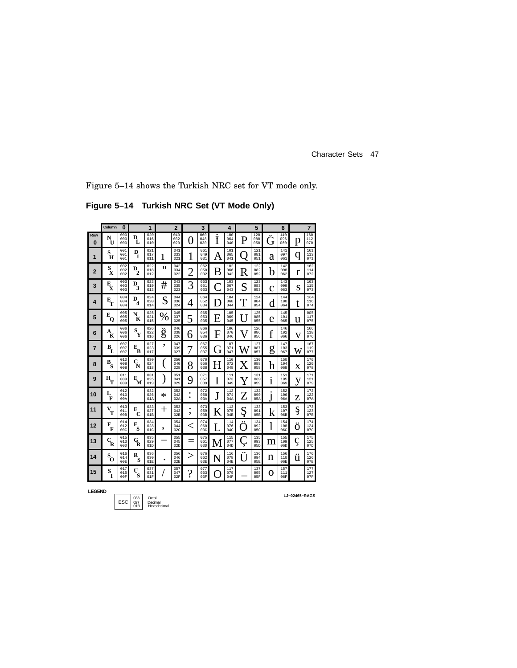Figure 5–14 shows the Turkish NRC set for VT mode only.

**Figure 5–14 Turkish NRC Set (VT Mode Only)**

|                 | Column                                             | $\bf{0}$          |                                               | 1                 |      | $\overline{2}$    |                | 3                 |        | 4                 |         | 5                 |              | 6                 |       | $\overline{7}$    |
|-----------------|----------------------------------------------------|-------------------|-----------------------------------------------|-------------------|------|-------------------|----------------|-------------------|--------|-------------------|---------|-------------------|--------------|-------------------|-------|-------------------|
| Row<br>$\Omega$ | N<br>U                                             | 000<br>000<br>000 | D<br>L                                        | 020<br>016<br>010 |      | 040<br>032<br>020 | O              | 060<br>048<br>030 | ٠<br>I | 100<br>064<br>040 | Ρ       | 120<br>080<br>050 | Ğ            | 140<br>096<br>060 | p     | 160<br>112<br>070 |
| 1               | s<br>H                                             | 001<br>001<br>001 | D<br>1                                        | 021<br>017<br>011 | 1    | 041<br>033<br>021 | 1              | 061<br>049<br>031 | A      | 101<br>065<br>041 |         | 121<br>081<br>051 | a            | 141<br>097<br>061 | q     | 161<br>113<br>071 |
| $\overline{2}$  | $\mathbf{s}_{\mathbf{x}}$                          | 002<br>002<br>002 | $\overline{D}_2$                              | 022<br>018<br>012 | "    | 042<br>034<br>022 | $\overline{2}$ | 062<br>050<br>032 | B      | 102<br>066<br>042 | R       | 122<br>082<br>052 | b            | 142<br>098<br>062 | r     | 162<br>114<br>072 |
| 3               | E<br>$\mathbf x$                                   | 003<br>003<br>003 | $\overline{D}_3$                              | 023<br>019<br>013 | #    | 043<br>035<br>023 | 3              | 063<br>051<br>033 |        | 103<br>067<br>043 | S       | 123<br>083<br>053 | C            | 143<br>099<br>063 | S     | 163<br>115<br>073 |
| 4               | $\mathbf{E}_{\mathbf{T}}$                          | 004<br>004<br>004 | D<br>4                                        | 024<br>020<br>014 | \$   | 044<br>036<br>024 | 4              | 064<br>052<br>034 |        | 104<br>068<br>044 |         | 124<br>084<br>054 | d            | 144<br>100<br>064 | t     | 164<br>116<br>074 |
| 5               | E<br>Q                                             | 005<br>005<br>005 | $\bar{N}_{\!\!\mathbf{K}}$                    | 025<br>021<br>015 | $\%$ | 045<br>037<br>025 | 5              | 065<br>053<br>035 | Е      | 105<br>069<br>045 |         | 125<br>085<br>055 | e            | 145<br>101<br>065 | u     | 005<br>117<br>075 |
| 6               | $\boldsymbol{A}_{\!\!\mathbf{K}}^{\phantom{\dag}}$ | 006<br>006<br>006 | $\mathbf{s}_{\mathbf{y}}$                     | 026<br>022<br>016 | ğ    | 046<br>038<br>026 | 6              | 066<br>054<br>036 | F      | 106<br>070<br>046 | V       | 126<br>086<br>056 | f            | 146<br>102<br>066 | v     | 166<br>118<br>076 |
| 7               | $\mathbf{B}_{\mathbf{L}}$                          | 007<br>007<br>007 | Е<br>B                                        | 027<br>023<br>017 | ٠    | 047<br>039<br>027 |                | 067<br>055<br>037 | Cτ     | 107<br>071<br>047 | W       | 127<br>087<br>057 | g            | 147<br>103<br>067 | W     | 167<br>119<br>077 |
| 8               | В<br>'s                                            | 010<br>008<br>008 | $\frac{C}{N}$                                 | 030<br>024<br>018 |      | 050<br>040<br>028 | 8              | 070<br>056<br>038 | H      | 110<br>072<br>048 | $\rm X$ | 130<br>088<br>058 | h            | 150<br>104<br>068 | X     | 170<br>120<br>078 |
| 9               | $\mathbf{H}_{\mathbf{T}}$                          | 011<br>009<br>009 | $\frac{E}{M}$                                 | 031<br>025<br>019 |      | 051<br>041<br>029 | 9              | 071<br>057<br>039 | I      | 111<br>073<br>049 |         | 131<br>089<br>059 | ٠<br>1       | 151<br>105<br>069 | V     | 171<br>121<br>079 |
| 10              | L<br>F                                             | 012<br>010<br>00A |                                               | 032<br>026<br>01A | ∗    | 052<br>042<br>02A | ۰              | 072<br>058<br>03A | J      | 112<br>074<br>04A | Z       | 132<br>090<br>05A | $\mathbf{j}$ | 152<br>106<br>06A | Z     | 172<br>122<br>07A |
| 11              | V<br>T                                             | 013<br>011<br>00B | E<br>$\mathbf C$                              | 033<br>027<br>01B | ┿    | 053<br>043<br>02B | ٠<br>,         | 073<br>059<br>03B | K      | 113<br>075<br>04B | c<br>Ŗ  | 133<br>091<br>05B | k            | 153<br>107<br>06B | ş     | 173<br>123<br>07B |
| 12              | F<br>F                                             | 014<br>012<br>00C | F<br>S                                        | 034<br>028<br>01C | ,    | 054<br>044<br>02C | $\,<\,$        | 074<br>060<br>03C | I      | 114<br>076<br>04C | <br>Ĉ.  | 134<br>092<br>05C | 1            | 154<br>108<br>06C | <br>O | 174<br>124<br>07C |
| 13              | $\mathbf{c}_{\mathbf{R}}$                          | 015<br>013<br>00D | $\mathbf{G}_{\!\!\mathbf{R}}^{\!\!\mathbf{}}$ | 035<br>029<br>01D |      | 055<br>045<br>02D |                | 075<br>061<br>03D | M      | 115<br>077<br>04D | Y       | 135<br>093<br>05D | m            | 155<br>109<br>06D |       | 175<br>125<br>07D |
| 14              | $S_{\odot}$                                        | 016<br>014<br>00E | R<br>s                                        | 036<br>030<br>01E |      | 056<br>046<br>02E |                | 076<br>062<br>03E | N      | 116<br>078<br>04E | <br>Ü   | 136<br>094<br>05E | n            | 156<br>110<br>06E | ü     | 176<br>126<br>07E |
| 15              | S<br>1                                             | 017<br>015<br>00F | U<br>S                                        | 037<br>031<br>01F |      | 057<br>047<br>02F | ?              | 077<br>063<br>03F |        | 117<br>079<br>04F |         | 137<br>095<br>05F | O            | 157<br>111<br>06F |       | 177<br>127<br>07F |

**LEGEND**

033 Octal 027 Decimal 01B Hexadecimal ESC

**LJ−02465−RAGS**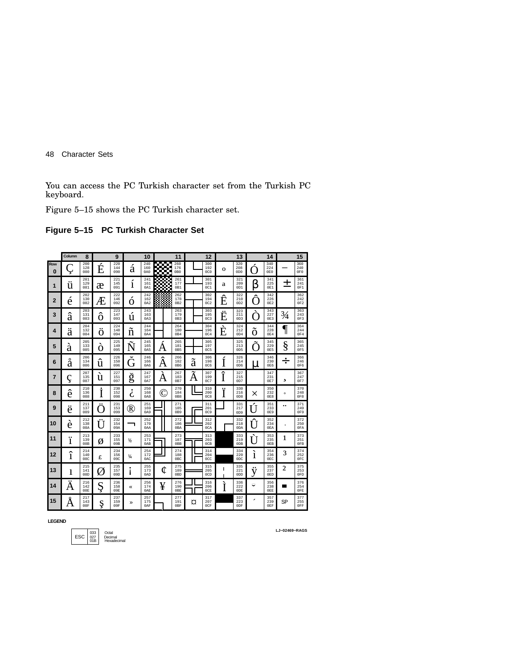You can access the PC Turkish character set from the Turkish PC keyboard.

Figure 5–15 shows the PC Turkish character set.

### **Figure 5–15 PC Turkish Character Set**

|                | Column       | 8                 |       | 9                 |                         | 10                |        | 11                             |   | 12                             |                               | 13                             |   | 14                |                | 15                |
|----------------|--------------|-------------------|-------|-------------------|-------------------------|-------------------|--------|--------------------------------|---|--------------------------------|-------------------------------|--------------------------------|---|-------------------|----------------|-------------------|
| Row<br>O       |              | 200<br>128<br>080 | É     | 220<br>144<br>090 | á                       | 240<br>160<br>0A0 | ▩      | 260<br>176<br>0B <sub>0</sub>  |   | 300<br>192<br>0 <sub>C</sub> 0 | O                             | 320<br>208<br>0 <sub>D</sub> O |   | 340<br>224<br>0E0 |                | 360<br>240<br>0F0 |
| 1              | u            | 201<br>129<br>081 | æ     | 221<br>145<br>091 | í                       | 241<br>161<br>0A1 | ee     | 261<br>177<br>0B1              |   | 301<br>193<br>0C1              | a                             | 321<br>209<br>OD1              | ß | 341<br>225<br>0E1 | ┭              | 361<br>241<br>OF1 |
| $\overline{2}$ | é            | 202<br>130<br>082 | Æ     | 222<br>146<br>092 | Ò                       | 242<br>162<br>0A2 |        | 262<br>178<br>0B2              |   | 302<br>194<br>0C2              | $\overline{\phantom{a}}$<br>Ê | 322<br>210<br>0D2              | △ | 342<br>226<br>0E2 |                | 362<br>242<br>0F2 |
| 3              | ä            | 203<br>131<br>083 | O     | 223<br>147<br>093 | Ú                       | 243<br>163<br>0A3 |        | 263<br>179<br>0B3              |   | 303<br>195<br>0C <sub>3</sub>  | <br>E                         | 323<br>211<br>0D3              |   | 343<br>227<br>0E3 | $\frac{3}{4}$  | 363<br>243<br>0F3 |
| 4              | <br>a        | 204<br>132<br>084 | <br>O | 224<br>148<br>094 | n                       | 244<br>164<br>0A4 |        | 264<br>180<br>0B4              |   | 304<br>196<br>0C4              | ╰<br>É                        | 324<br>212<br>0D4              | O | 344<br>228<br>0E4 | ſ              | 364<br>244<br>0F4 |
| 5              | à            | 205<br>133<br>085 | O     | 225<br>149<br>095 | ∼<br>Ñ                  | 245<br>165<br>0A5 | A      | 265<br>181<br>0 <sub>B5</sub>  |   | 305<br>197<br>0C5              |                               | 325<br>213<br>0D5              |   | 345<br>229<br>0E5 | §              | 365<br>245<br>0F5 |
| 6              | $\circ$<br>a | 206<br>134<br>086 | û     | 226<br>150<br>096 | $\checkmark$<br>╮<br>Ĺj | 246<br>166<br>0A6 | ^<br>A | 266<br>182<br>0B6              | ã | 306<br>198<br><b>0C6</b>       |                               | 326<br>214<br>0D6              | u | 346<br>230<br>0E6 | ÷              | 366<br>246<br>0F6 |
| 7              |              | 207<br>135<br>087 | u     | 227<br>151<br>097 | ٮ<br>ğ                  | 247<br>167<br>0A7 | A      | 267<br>183<br>0B7              | A | 307<br>199<br>0C7              | ٠                             | 327<br>215<br>0D7              |   | 347<br>231<br>0E7 | د              | 367<br>247<br>0F7 |
| 8              | ê            | 210<br>136<br>088 |       | 230<br>152<br>098 | 6                       | 250<br>168<br>0A8 | (C     | 270<br>184<br>0B8              |   | 310<br>200<br>0C8              |                               | 330<br>216<br>0D8              | X | 350<br>232<br>0E8 | $\circ$        | 370<br>248<br>0F8 |
| 9              | <br>ë        | 211<br>137<br>089 |       | 231<br>153<br>099 | ®                       | 251<br>169<br>0A9 |        | 271<br>185<br>0B9              |   | 311<br>201<br>0C9              |                               | 331<br>217<br>OD9              |   | 351<br>233<br>0E9 |                | 371<br>249<br>OF9 |
| 10             | é            | 212<br>138<br>08A |       | 232<br>154<br>09A |                         | 252<br>170<br>0AA |        | 272<br>186<br>0 <sub>B</sub> A |   | 312<br>202<br>$0C_A$           |                               | 332<br>218<br>0 <sub>D</sub> A |   | 352<br>234<br>OEA |                | 372<br>250<br>0FA |
| 11             | <br>1        | 213<br>139<br>08B | Ø     | 233<br>155<br>09B | ⅓                       | 253<br>171<br>0AB |        | 273<br>187<br>0 <sub>BB</sub>  |   | 313<br>203<br>0CB              |                               | 333<br>219<br>0 <sub>DB</sub>  |   | 353<br>235<br>0EB | 1              | 373<br>251<br>0FB |
| 12             | î            | 214<br>140<br>08C | £     | 234<br>156<br>09C | $\frac{1}{4}$           | 254<br>172<br>0AC |        | 274<br>188<br>0BC              |   | 314<br>204<br>0CC              |                               | 334<br>220<br>0 <sub>DC</sub>  | ì | 354<br>236<br>0EC | 3              | 374<br>252<br>0FC |
| 13             | 1            | 215<br>141<br>08D | Ø     | 235<br>157<br>09D | ٠                       | 255<br>173<br>0AD | ¢      | 275<br>189<br>0 <sub>BD</sub>  |   | 315<br>205<br>0CD              | ı<br>ı                        | 335<br>221<br>ODD              | V | 355<br>237<br>0ED | $\overline{2}$ | 375<br>253<br>0FD |
| 14             | A            | 216<br>142<br>08E | Ş     | 236<br>158<br>09E | ≪                       | 256<br>174<br>0AE | ¥      | 276<br>190<br>0 <sub>BE</sub>  |   | 316<br>206<br>0CF              |                               | 336<br>222<br>ODE              | ◡ | 356<br>238<br>0EE | ▅              | 376<br>254<br>0FE |
| 15             | $\circ$<br>A | 217<br>143<br>08F | Ş     | 237<br>159<br>09F | $\mathbf{v}$            | 257<br>175<br>0AF |        | 277<br>191<br>0BF              | ¤ | 317<br>207<br>0CF              |                               | 337<br>223<br>0DF              | ۔ | 357<br>239<br>0EF | SP             | 377<br>255<br>0FF |

**LEGEND**

033 Octal 027 Decimal 01B Hexadecimal ESC

**LJ−02469−RAGS**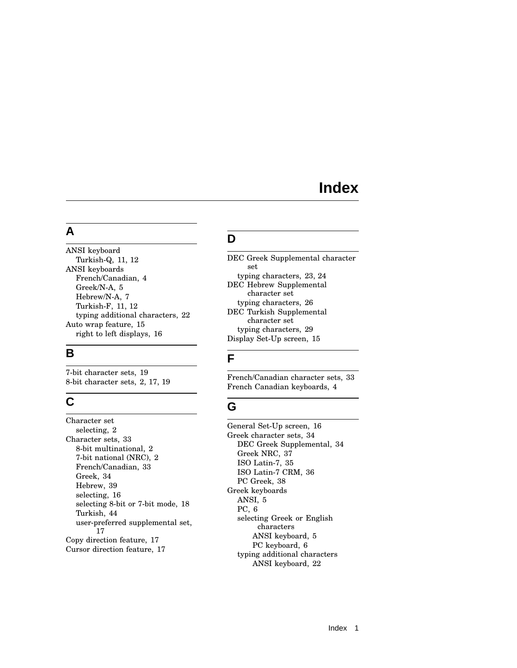# **Index**

### **A**

ANSI keyboard Turkish-Q, 11, 12 ANSI keyboards French/Canadian, 4 Greek/N-A, 5 Hebrew/N-A, 7 Turkish-F, 11, 12 typing additional characters, 22 Auto wrap feature, 15 right to left displays, 16

## **B**

7-bit character sets, 19 8-bit character sets, 2, 17, 19

## **C**

Character set selecting, 2 Character sets, 33 8-bit multinational, 2 7-bit national (NRC), 2 French/Canadian, 33 Greek, 34 Hebrew, 39 selecting, 16 selecting 8-bit or 7-bit mode, 18 Turkish, 44 user-preferred supplemental set, 17 Copy direction feature, 17 Cursor direction feature, 17

## **D**

DEC Greek Supplemental character set typing characters, 23, 24 DEC Hebrew Supplemental character set typing characters, 26 DEC Turkish Supplemental character set typing characters, 29 Display Set-Up screen, 15

## **F**

French/Canadian character sets, 33 French Canadian keyboards, 4

# **G**

General Set-Up screen, 16 Greek character sets, 34 DEC Greek Supplemental, 34 Greek NRC, 37 ISO Latin-7, 35 ISO Latin-7 CRM, 36 PC Greek, 38 Greek keyboards ANSI, 5 PC, 6 selecting Greek or English characters ANSI keyboard, 5 PC keyboard, 6 typing additional characters ANSI keyboard, 22